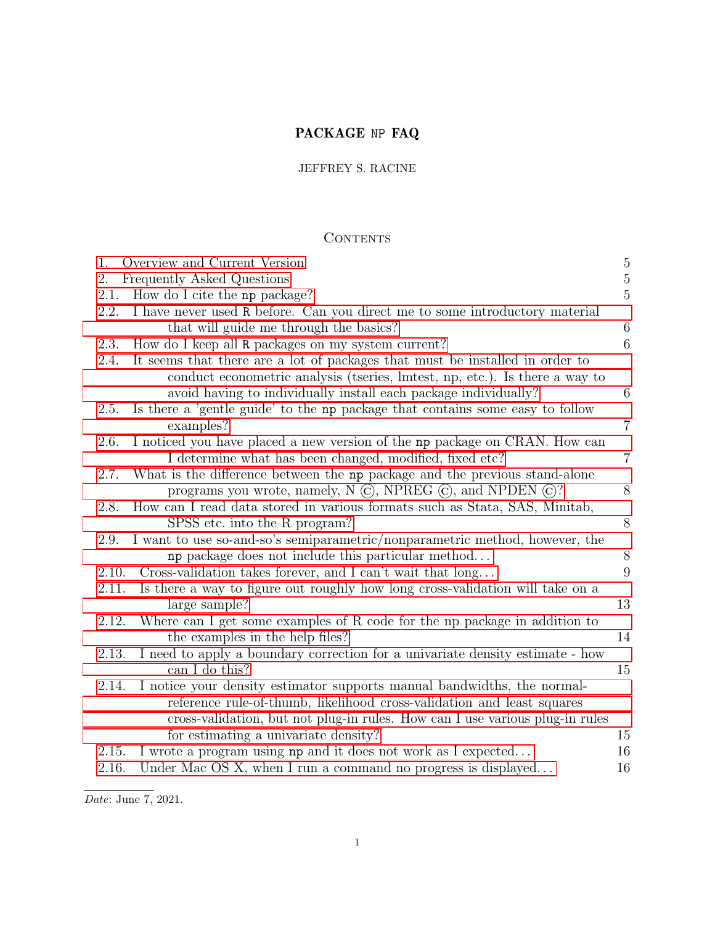# PACKAGE NP FAQ

# JEFFREY S. RACINE

# **CONTENTS**

| 1.    | Overview and Current Version                                                  | $\overline{5}$ |
|-------|-------------------------------------------------------------------------------|----------------|
| 2.    | Frequently Asked Questions                                                    | $\overline{5}$ |
| 2.1.  | How do I cite the np package?                                                 | $\overline{5}$ |
| 2.2.  | I have never used R before. Can you direct me to some introductory material   |                |
|       | that will guide me through the basics?                                        | $\,6$          |
| 2.3.  | How do I keep all R packages on my system current?                            | 6              |
| 2.4.  | It seems that there are a lot of packages that must be installed in order to  |                |
|       | conduct econometric analysis (tseries, lmtest, np, etc.). Is there a way to   |                |
|       | avoid having to individually install each package individually?               | 6              |
| 2.5.  | Is there a 'gentle guide' to the np package that contains some easy to follow |                |
|       | examples?                                                                     | $\overline{7}$ |
| 2.6.  | I noticed you have placed a new version of the np package on CRAN. How can    |                |
|       | I determine what has been changed, modified, fixed etc?                       | $\overline{7}$ |
| 2.7.  | What is the difference between the np package and the previous stand-alone    |                |
|       | programs you wrote, namely, $N$ $\odot$ , NPREG $\odot$ , and NPDEN $\odot$ ? | 8              |
| 2.8.  | How can I read data stored in various formats such as Stata, SAS, Minitab,    |                |
|       | SPSS etc. into the R program?                                                 | 8              |
| 2.9.  | I want to use so-and-so's semiparametric/nonparametric method, however, the   |                |
|       | np package does not include this particular method                            | 8              |
| 2.10. | Cross-validation takes forever, and I can't wait that long                    | 9              |
| 2.11. | Is there a way to figure out roughly how long cross-validation will take on a |                |
|       | large sample?                                                                 | 13             |
| 2.12. | Where can I get some examples of R code for the np package in addition to     |                |
|       | the examples in the help files?                                               | 14             |
| 2.13. | I need to apply a boundary correction for a univariate density estimate - how |                |
|       | can I do this?                                                                | 15             |
| 2.14. | I notice your density estimator supports manual bandwidths, the normal-       |                |
|       | reference rule-of-thumb, likelihood cross-validation and least squares        |                |
|       | cross-validation, but not plug-in rules. How can I use various plug-in rules  |                |
|       | for estimating a univariate density?                                          | 15             |
| 2.15. | I wrote a program using np and it does not work as I expected                 | 16             |
| 2.16. | Under Mac OS X, when I run a command no progress is displayed                 | 16             |
|       |                                                                               |                |

 $\overline{Date:$  June 7, 2021.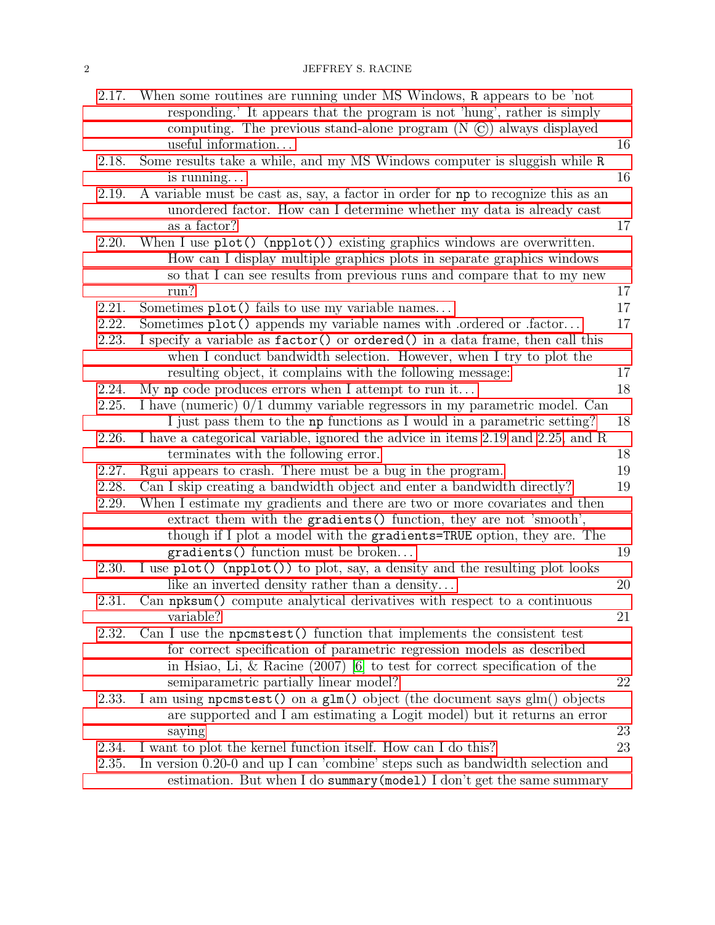## 2 JEFFREY S. RACINE

| 2.17. | When some routines are running under MS Windows, R appears to be 'not<br>responding.' It appears that the program is not 'hung', rather is simply |          |
|-------|---------------------------------------------------------------------------------------------------------------------------------------------------|----------|
|       | computing. The previous stand-alone program $(N \odot)$ always displayed<br>useful information                                                    | 16       |
| 2.18. | Some results take a while, and my MS Windows computer is sluggish while R                                                                         |          |
|       | is running                                                                                                                                        | 16       |
| 2.19. | A variable must be cast as, say, a factor in order for np to recognize this as an                                                                 |          |
|       | unordered factor. How can I determine whether my data is already cast                                                                             |          |
|       | as a factor?                                                                                                                                      | 17       |
| 2.20. | When I use $plot()$ (npplot()) existing graphics windows are overwritten.                                                                         |          |
|       | How can I display multiple graphics plots in separate graphics windows                                                                            |          |
|       | so that I can see results from previous runs and compare that to my new                                                                           |          |
|       | run?                                                                                                                                              | 17       |
| 2.21. | Sometimes plot() fails to use my variable names                                                                                                   | 17       |
| 2.22. | Sometimes plot() appends my variable names with .ordered or .factor                                                                               | 17       |
| 2.23. | I specify a variable as factor() or ordered() in a data frame, then call this                                                                     |          |
|       | when I conduct bandwidth selection. However, when I try to plot the                                                                               |          |
| 2.24. | resulting object, it complains with the following message:<br>My np code produces errors when I attempt to run it                                 | 17<br>18 |
| 2.25. | I have (numeric) 0/1 dummy variable regressors in my parametric model. Can                                                                        |          |
|       | I just pass them to the np functions as I would in a parametric setting?                                                                          | 18       |
| 2.26. | I have a categorical variable, ignored the advice in items 2.19 and 2.25, and R                                                                   |          |
|       | terminates with the following error.                                                                                                              | 18       |
| 2.27. | Regui appears to crash. There must be a bug in the program.                                                                                       | 19       |
| 2.28. | Can I skip creating a bandwidth object and enter a bandwidth directly?                                                                            | 19       |
| 2.29. | When I estimate my gradients and there are two or more covariates and then                                                                        |          |
|       | extract them with the gradients () function, they are not 'smooth',                                                                               |          |
|       | though if I plot a model with the gradients=TRUE option, they are. The                                                                            |          |
|       | gradients () function must be broken                                                                                                              | 19       |
| 2.30. | I use plot() (npplot()) to plot, say, a density and the resulting plot looks                                                                      |          |
|       | like an inverted density rather than a density                                                                                                    | 20       |
| 2.31. | Can npksum() compute analytical derivatives with respect to a continuous                                                                          |          |
|       | variable?                                                                                                                                         | 21       |
| 2.32. | Can I use the necessit () function that implements the consistent test<br>for correct specification of parametric regression models as described  |          |
|       | in Hsiao, Li, & Racine $(2007)$ [6] to test for correct specification of the                                                                      |          |
|       | semiparametric partially linear model?                                                                                                            | 22       |
| 2.33. | I am using nonemation on a glm() object (the document says glm() objects                                                                          |          |
|       | are supported and I am estimating a Logit model) but it returns an error                                                                          |          |
|       | saying                                                                                                                                            | 23       |
| 2.34. | I want to plot the kernel function itself. How can I do this?                                                                                     | 23       |
| 2.35. | In version 0.20-0 and up I can 'combine' steps such as bandwidth selection and                                                                    |          |
|       | estimation. But when I do summary (model) I don't get the same summary                                                                            |          |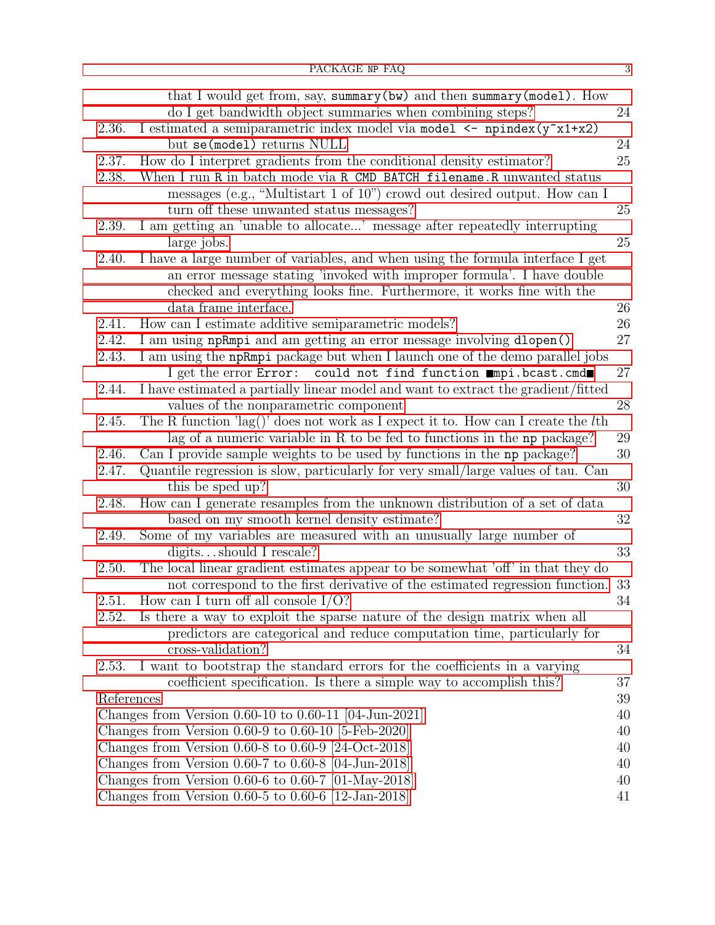|            | that I would get from, say, summary (bw) and then summary (model). How<br>do I get bandwidth object summaries when combining steps? | 24 |
|------------|-------------------------------------------------------------------------------------------------------------------------------------|----|
| 2.36.      | I estimated a semiparametric index model via model <- npindex(y <sup>-x1+x2)</sup>                                                  |    |
|            | but se(model) returns NULL                                                                                                          | 24 |
| 2.37.      | How do I interpret gradients from the conditional density estimator?                                                                | 25 |
| 2.38.      | When I run R in batch mode via R CMD BATCH filename. R unwanted status                                                              |    |
|            | messages (e.g., "Multistart 1 of 10") crowd out desired output. How can I                                                           |    |
|            | turn off these unwanted status messages?                                                                                            | 25 |
| 2.39.      | I am getting an 'unable to allocate' message after repeatedly interrupting                                                          |    |
|            | large jobs.                                                                                                                         | 25 |
| 2.40.      | I have a large number of variables, and when using the formula interface I get                                                      |    |
|            | an error message stating 'invoked with improper formula'. I have double                                                             |    |
|            | checked and everything looks fine. Furthermore, it works fine with the                                                              |    |
|            | data frame interface.                                                                                                               | 26 |
| 2.41.      | How can I estimate additive semiparametric models?                                                                                  | 26 |
| 2.42.      | I am using npRmpi and am getting an error message involving dlopen()                                                                | 27 |
| 2.43.      | I am using the npRmpi package but when I launch one of the demo parallel jobs                                                       |    |
|            | I get the error Error: could not find function mmpi.bcast.cmd                                                                       | 27 |
| 2.44.      | I have estimated a partially linear model and want to extract the gradient/fitted                                                   |    |
|            | values of the nonparametric component                                                                                               | 28 |
| 2.45.      | The R function 'lag()' does not work as I expect it to. How can I create the $l$ th                                                 |    |
|            | lag of a numeric variable in R to be fed to functions in the np package?                                                            | 29 |
| 2.46.      | Can I provide sample weights to be used by functions in the np package?                                                             | 30 |
| 2.47.      | Quantile regression is slow, particularly for very small/large values of tau. Can                                                   |    |
|            | this be sped up?                                                                                                                    | 30 |
| 2.48.      | How can I generate resamples from the unknown distribution of a set of data                                                         |    |
|            | based on my smooth kernel density estimate?                                                                                         | 32 |
| 2.49.      | Some of my variables are measured with an unusually large number of                                                                 |    |
|            | digitsshould I rescale?                                                                                                             | 33 |
| 2.50.      | The local linear gradient estimates appear to be somewhat 'off' in that they do                                                     |    |
|            | not correspond to the first derivative of the estimated regression function.                                                        | 33 |
| 2.51.      | How can I turn off all console $I/O$ ?                                                                                              | 34 |
| 2.52.      | Is there a way to exploit the sparse nature of the design matrix when all                                                           |    |
|            | predictors are categorical and reduce computation time, particularly for                                                            |    |
| 2.53.      | cross-validation?                                                                                                                   | 34 |
|            | I want to bootstrap the standard errors for the coefficients in a varying                                                           | 37 |
| References | coefficient specification. Is there a simple way to accomplish this?                                                                | 39 |
|            | Changes from Version $0.60-10$ to $0.60-11$ [04-Jun-2021]                                                                           | 40 |
|            | Changes from Version $0.60-9$ to $0.60-10$ [5-Feb-2020]                                                                             | 40 |
|            | Changes from Version $0.60-8$ to $0.60-9$ [24-Oct-2018]                                                                             | 40 |
|            | Changes from Version $0.60-7$ to $0.60-8$ [04-Jun-2018]                                                                             | 40 |
|            | Changes from Version 0.60-6 to 0.60-7 $[01$ -May-2018                                                                               | 40 |
|            | Changes from Version $0.60-5$ to $0.60-6$ [12-Jan-2018]                                                                             | 41 |
|            |                                                                                                                                     |    |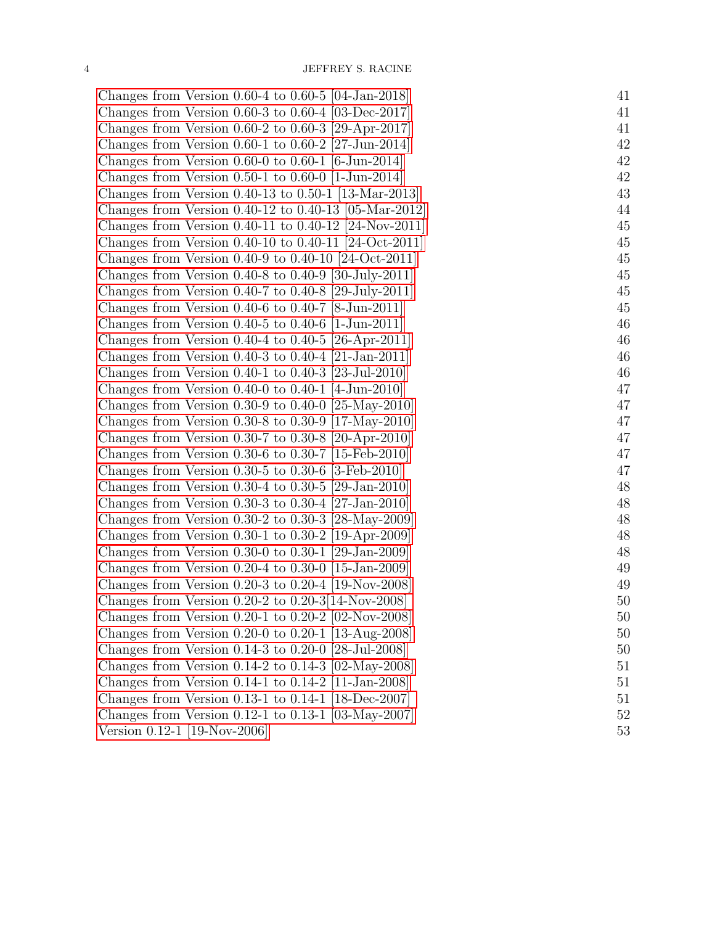| Changes from Version $0.60-4$ to $0.60-5$ [04-Jan-2018]     | 41 |
|-------------------------------------------------------------|----|
| Changes from Version 0.60-3 to 0.60-4 $[03$ -Dec-2017       | 41 |
| Changes from Version 0.60-2 to 0.60-3 [29-Apr-2017]         | 41 |
| Changes from Version 0.60-1 to 0.60-2 [27-Jun-2014]         | 42 |
| Changes from Version 0.60-0 to 0.60-1 [6-Jun-2014]          | 42 |
| Changes from Version 0.50-1 to 0.60-0 $[1\text{-Jun-2014}]$ | 42 |
| Changes from Version $0.40-13$ to $0.50-1$ [13-Mar-2013]    | 43 |
| Changes from Version $0.40-12$ to $0.40-13$ [05-Mar-2012]   | 44 |
| Changes from Version 0.40-11 to 0.40-12 [24-Nov-2011]       | 45 |
| Changes from Version $0.40-10$ to $0.40-11$ [24-Oct-2011]   | 45 |
| Changes from Version $0.40-9$ to $0.40-10$ [24-Oct-2011]    | 45 |
| Changes from Version $0.40-8$ to $0.40-9$ [30-July-2011]    | 45 |
| Changes from Version 0.40-7 to 0.40-8 [29-July-2011]        | 45 |
| Changes from Version 0.40-6 to 0.40-7 [8-Jun-2011]          | 45 |
| Changes from Version $0.40-5$ to $0.40-6$ [1-Jun-2011]      | 46 |
| Changes from Version $0.40-4$ to $0.40-5$ [26-Apr-2011]     | 46 |
| Changes from Version $0.40-3$ to $0.40-4$ [21-Jan-2011]     | 46 |
| Changes from Version $0.40-1$ to $0.40-3$ [23-Jul-2010]     | 46 |
| Changes from Version 0.40-0 to 0.40-1 [4-Jun-2010]          | 47 |
| Changes from Version 0.30-9 to 0.40-0 [25-May-2010]         | 47 |
| Changes from Version 0.30-8 to 0.30-9 [17-May-2010]         | 47 |
| Changes from Version 0.30-7 to 0.30-8 [20-Apr-2010]         | 47 |
| Changes from Version $0.30-6$ to $0.30-7$ [15-Feb-2010]     | 47 |
| Changes from Version $0.30-5$ to $0.30-6$ [3-Feb-2010]      | 47 |
| Changes from Version 0.30-4 to 0.30-5 [29-Jan-2010]         | 48 |
| Changes from Version 0.30-3 to 0.30-4 [27-Jan-2010]         | 48 |
| Changes from Version 0.30-2 to 0.30-3 [28-May-2009]         | 48 |
| Changes from Version $0.30-1$ to $0.30-2$ [19-Apr-2009]     | 48 |
| Changes from Version 0.30-0 to 0.30-1 [29-Jan-2009]         | 48 |
| Changes from Version $0.20-4$ to $0.30-0$ [15-Jan-2009]     | 49 |
| Changes from Version 0.20-3 to 0.20-4 [19-Nov-2008]         | 49 |
| Changes from Version $0.20-2$ to $0.20-3[14$ -Nov-2008      | 50 |
| Changes from Version 0.20-1 to 0.20-2 $[02$ -Nov-2008       | 50 |
| Changes from Version 0.20-0 to 0.20-1 [13-Aug-2008]         | 50 |
| Changes from Version $0.14-3$ to $0.20-0$ [28-Jul-2008]     | 50 |
| Changes from Version $0.14-2$ to $0.14-3$ [02-May-2008]     | 51 |
| Changes from Version $0.14-1$ to $0.14-2$ [11-Jan-2008]     | 51 |
| Changes from Version 0.13-1 to $0.14$ -1 [18-Dec-2007]      | 51 |
| Changes from Version 0.12-1 to 0.13-1 $[03$ -May-2007]      | 52 |
| Version 0.12-1 [19-Nov-2006]                                | 53 |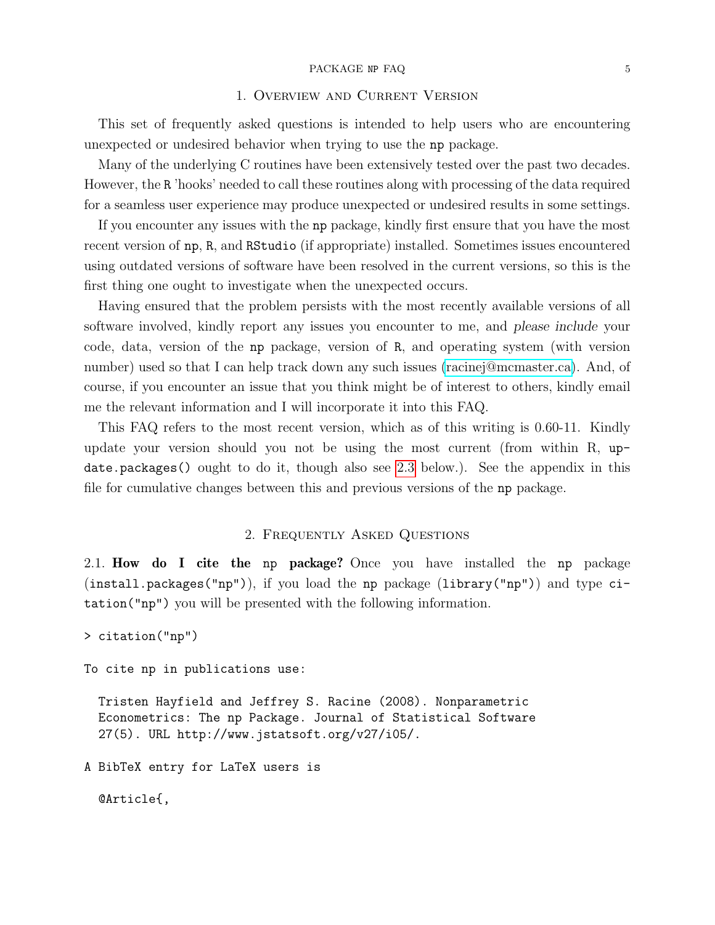#### PACKAGE NP FAQ 5

## 1. Overview and Current Version

<span id="page-4-0"></span>This set of frequently asked questions is intended to help users who are encountering unexpected or undesired behavior when trying to use the np package.

Many of the underlying C routines have been extensively tested over the past two decades. However, the R 'hooks' needed to call these routines along with processing of the data required for a seamless user experience may produce unexpected or undesired results in some settings.

If you encounter any issues with the np package, kindly first ensure that you have the most recent version of np, R, and RStudio (if appropriate) installed. Sometimes issues encountered using outdated versions of software have been resolved in the current versions, so this is the first thing one ought to investigate when the unexpected occurs.

Having ensured that the problem persists with the most recently available versions of all software involved, kindly report any issues you encounter to me, and please include your code, data, version of the np package, version of R, and operating system (with version number) used so that I can help track down any such issues [\(racinej@mcmaster.ca\)](mailto:racinej@mcmaster.ca). And, of course, if you encounter an issue that you think might be of interest to others, kindly email me the relevant information and I will incorporate it into this FAQ.

This FAQ refers to the most recent version, which as of this writing is 0.60-11. Kindly update your version should you not be using the most current (from within R, update.packages() ought to do it, though also see [2.3](#page-5-1) below.). See the appendix in this file for cumulative changes between this and previous versions of the np package.

## 2. Frequently Asked Questions

<span id="page-4-2"></span><span id="page-4-1"></span>2.1. How do I cite the np package? Once you have installed the np package (install.packages("np")), if you load the np package (library("np")) and type citation("np") you will be presented with the following information.

```
> citation("np")
```
To cite np in publications use:

Tristen Hayfield and Jeffrey S. Racine (2008). Nonparametric Econometrics: The np Package. Journal of Statistical Software 27(5). URL http://www.jstatsoft.org/v27/i05/.

A BibTeX entry for LaTeX users is

@Article{,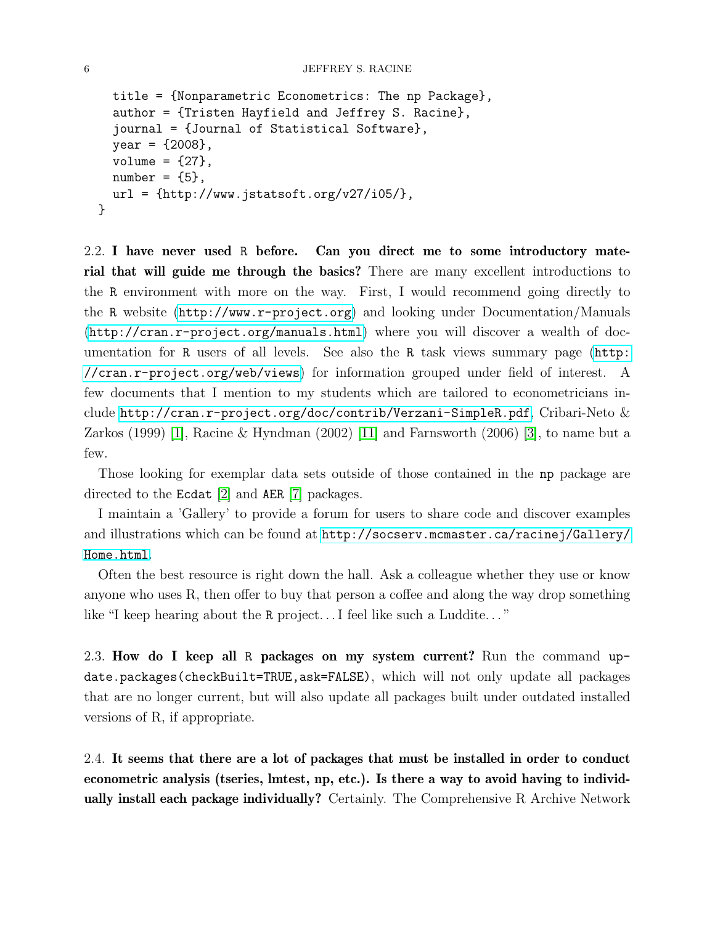```
title = {Nonparametric Econometrics: The np Package},
  author = {Tristen Hayfield and Jeffrey S. Racine},
  journal = {Journal of Statistical Software},
  year = {2008},
  volume = {27},
  number = {5},url = \{http://www.jstatsoft.org/v27/i05/\},\}
```
<span id="page-5-0"></span>2.2. I have never used R before. Can you direct me to some introductory material that will guide me through the basics? There are many excellent introductions to the R environment with more on the way. First, I would recommend going directly to the R website (<http://www.r-project.org>) and looking under Documentation/Manuals (<http://cran.r-project.org/manuals.html>) where you will discover a wealth of documentation for R users of all levels. See also the R task views summary page ([http:](http://cran.r-project.org/web/views) [//cran.r-project.org/web/views](http://cran.r-project.org/web/views)) for information grouped under field of interest. A few documents that I mention to my students which are tailored to econometricians include <http://cran.r-project.org/doc/contrib/Verzani-SimpleR.pdf>, Cribari-Neto & Zarkos (1999) [\[1\]](#page-38-2), Racine & Hyndman (2002) [\[11\]](#page-38-3) and Farnsworth (2006) [\[3\]](#page-38-4), to name but a few.

Those looking for exemplar data sets outside of those contained in the np package are directed to the Ecdat [\[2\]](#page-38-5) and AER [\[7\]](#page-38-6) packages.

I maintain a 'Gallery' to provide a forum for users to share code and discover examples and illustrations which can be found at [http://socserv.mcmaster.ca/racinej/Gallery/](http://socserv.mcmaster.ca/racinej/Gallery/Home.html) [Home.html](http://socserv.mcmaster.ca/racinej/Gallery/Home.html).

Often the best resource is right down the hall. Ask a colleague whether they use or know anyone who uses R, then offer to buy that person a coffee and along the way drop something like "I keep hearing about the R project... I feel like such a Luddite..."

<span id="page-5-1"></span>2.3. How do I keep all R packages on my system current? Run the command update.packages(checkBuilt=TRUE,ask=FALSE), which will not only update all packages that are no longer current, but will also update all packages built under outdated installed versions of R, if appropriate.

<span id="page-5-2"></span>2.4. It seems that there are a lot of packages that must be installed in order to conduct econometric analysis (tseries, lmtest, np, etc.). Is there a way to avoid having to individually install each package individually? Certainly. The Comprehensive R Archive Network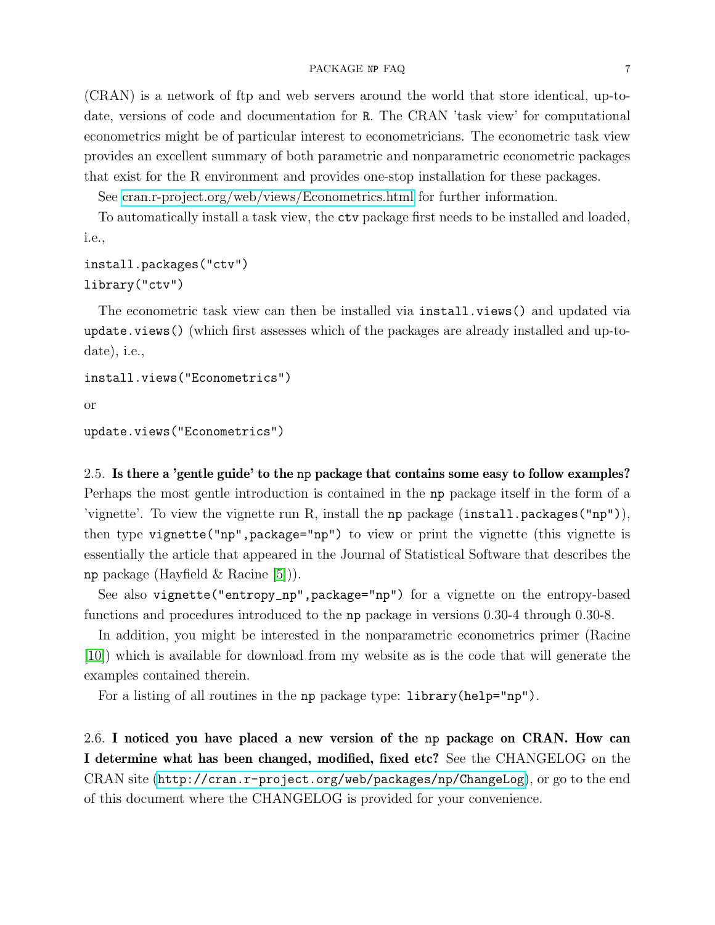#### PACKAGE NP FAQ 7

(CRAN) is a network of ftp and web servers around the world that store identical, up-todate, versions of code and documentation for R. The CRAN 'task view' for computational econometrics might be of particular interest to econometricians. The econometric task view provides an excellent summary of both parametric and nonparametric econometric packages that exist for the R environment and provides one-stop installation for these packages.

See [cran.r-project.org/web/views/Econometrics.html](http://cran.r-project.org/web/views/Econometrics.html) for further information.

To automatically install a task view, the ctv package first needs to be installed and loaded, i.e.,

# install.packages("ctv") library("ctv")

The econometric task view can then be installed via install. views() and updated via update.views() (which first assesses which of the packages are already installed and up-todate), i.e.,

```
install.views("Econometrics")
```
or

```
update.views("Econometrics")
```
<span id="page-6-0"></span>2.5. Is there a 'gentle guide' to the np package that contains some easy to follow examples? Perhaps the most gentle introduction is contained in the np package itself in the form of a 'vignette'. To view the vignette run R, install the np package  $(install.packages("np"))$ , then type vignette("np",package="np") to view or print the vignette (this vignette is essentially the article that appeared in the Journal of Statistical Software that describes the np package (Hayfield  $\&$  Racine [\[5\]](#page-38-7)).

See also vignette("entropy\_np",package="np") for a vignette on the entropy-based functions and procedures introduced to the np package in versions 0.30-4 through 0.30-8.

In addition, you might be interested in the nonparametric econometrics primer (Racine [\[10\]](#page-38-8)) which is available for download from my website as is the code that will generate the examples contained therein.

For a listing of all routines in the np package type: library(help="np").

<span id="page-6-1"></span>2.6. I noticed you have placed a new version of the np package on CRAN. How can I determine what has been changed, modified, fixed etc? See the CHANGELOG on the CRAN site (<http://cran.r-project.org/web/packages/np/ChangeLog>), or go to the end of this document where the CHANGELOG is provided for your convenience.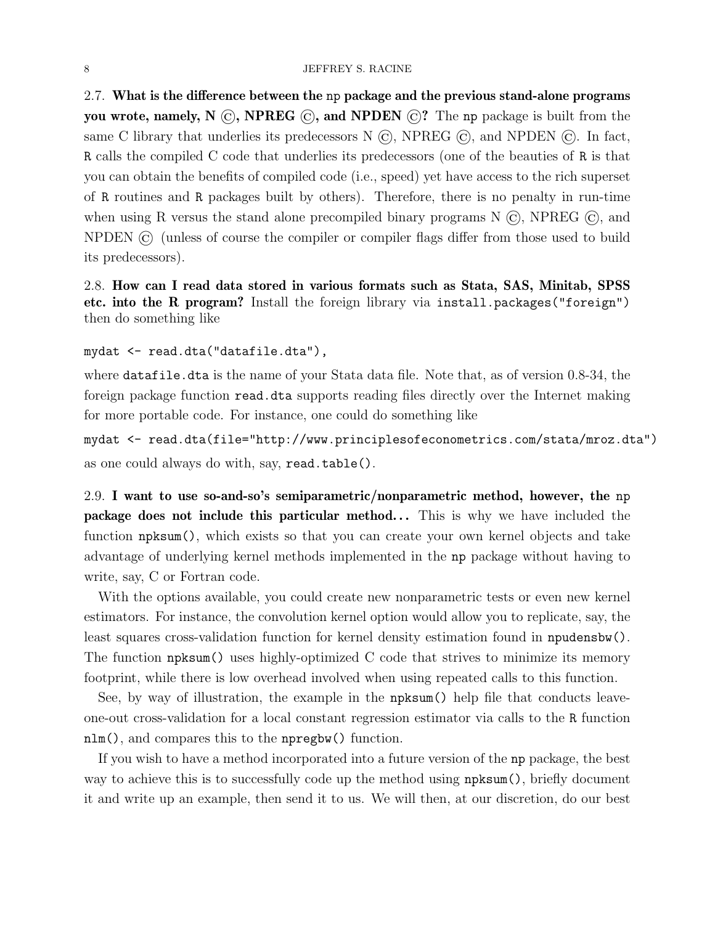<span id="page-7-0"></span>2.7. What is the difference between the np package and the previous stand-alone programs you wrote, namely, N  $\odot$ , NPREG  $\odot$ , and NPDEN  $\odot$ ? The np package is built from the same C library that underlies its predecessors N  $\overline{C}$ , NPREG  $\overline{C}$ , and NPDEN  $\overline{C}$ . In fact, R calls the compiled C code that underlies its predecessors (one of the beauties of R is that you can obtain the benefits of compiled code (i.e., speed) yet have access to the rich superset of R routines and R packages built by others). Therefore, there is no penalty in run-time when using R versus the stand alone precompiled binary programs  $N(G)$ , NPREG  $(G)$ , and NPDEN © (unless of course the compiler or compiler flags differ from those used to build its predecessors).

<span id="page-7-1"></span>2.8. How can I read data stored in various formats such as Stata, SAS, Minitab, SPSS etc. into the R program? Install the foreign library via install.packages("foreign") then do something like

mydat <- read.dta("datafile.dta"),

where datafile.dta is the name of your Stata data file. Note that, as of version 0.8-34, the foreign package function read.dta supports reading files directly over the Internet making for more portable code. For instance, one could do something like

mydat <- read.dta(file="http://www.principlesofeconometrics.com/stata/mroz.dta") as one could always do with, say, read.table().

<span id="page-7-2"></span>2.9. I want to use so-and-so's semiparametric/nonparametric method, however, the np package does not include this particular method... This is why we have included the function npksum(), which exists so that you can create your own kernel objects and take advantage of underlying kernel methods implemented in the np package without having to write, say, C or Fortran code.

With the options available, you could create new nonparametric tests or even new kernel estimators. For instance, the convolution kernel option would allow you to replicate, say, the least squares cross-validation function for kernel density estimation found in npudensbw(). The function npksum() uses highly-optimized C code that strives to minimize its memory footprint, while there is low overhead involved when using repeated calls to this function.

See, by way of illustration, the example in the npksum() help file that conducts leaveone-out cross-validation for a local constant regression estimator via calls to the R function nlm(), and compares this to the npregbw() function.

If you wish to have a method incorporated into a future version of the np package, the best way to achieve this is to successfully code up the method using npksum(), briefly document it and write up an example, then send it to us. We will then, at our discretion, do our best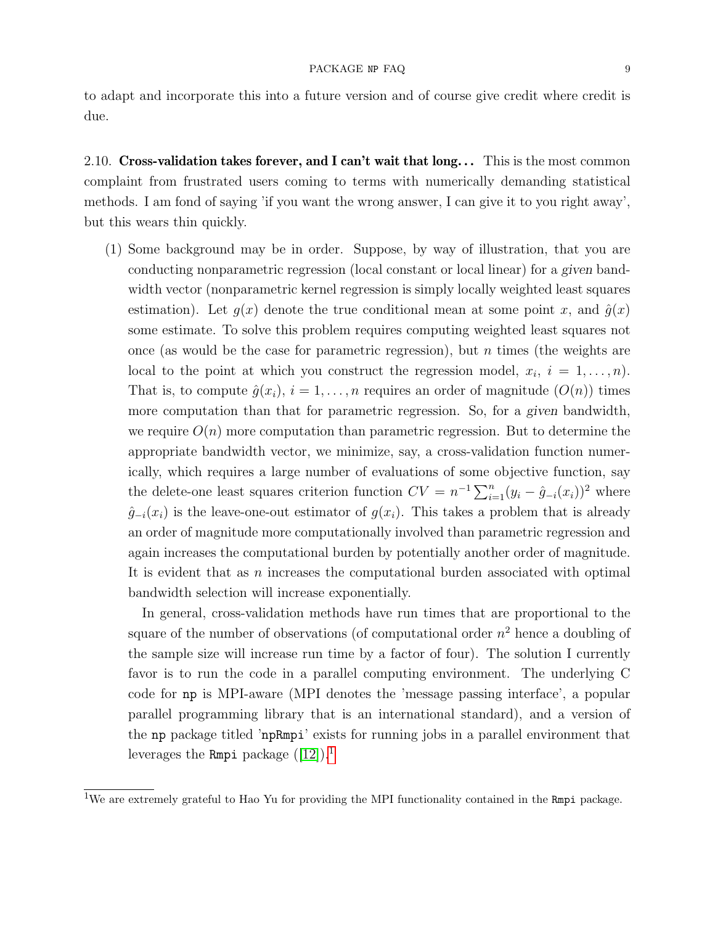due.

to adapt and incorporate this into a future version and of course give credit where credit is

<span id="page-8-0"></span>2.10. Cross-validation takes forever, and I can't wait that  $\log$ ... This is the most common complaint from frustrated users coming to terms with numerically demanding statistical methods. I am fond of saying 'if you want the wrong answer, I can give it to you right away', but this wears thin quickly.

(1) Some background may be in order. Suppose, by way of illustration, that you are conducting nonparametric regression (local constant or local linear) for a given bandwidth vector (nonparametric kernel regression is simply locally weighted least squares estimation). Let  $q(x)$  denote the true conditional mean at some point x, and  $\hat{q}(x)$ some estimate. To solve this problem requires computing weighted least squares not once (as would be the case for parametric regression), but  $n$  times (the weights are local to the point at which you construct the regression model,  $x_i$ ,  $i = 1, \ldots, n$ . That is, to compute  $\hat{g}(x_i)$ ,  $i = 1, \ldots, n$  requires an order of magnitude  $(O(n))$  times more computation than that for parametric regression. So, for a given bandwidth, we require  $O(n)$  more computation than parametric regression. But to determine the appropriate bandwidth vector, we minimize, say, a cross-validation function numerically, which requires a large number of evaluations of some objective function, say the delete-one least squares criterion function  $CV = n^{-1} \sum_{i=1}^{n} (y_i - \hat{g}_{-i}(x_i))^2$  where  $\hat{g}_{-i}(x_i)$  is the leave-one-out estimator of  $g(x_i)$ . This takes a problem that is already an order of magnitude more computationally involved than parametric regression and again increases the computational burden by potentially another order of magnitude. It is evident that as n increases the computational burden associated with optimal bandwidth selection will increase exponentially.

In general, cross-validation methods have run times that are proportional to the square of the number of observations (of computational order  $n^2$  hence a doubling of the sample size will increase run time by a factor of four). The solution I currently favor is to run the code in a parallel computing environment. The underlying C code for np is MPI-aware (MPI denotes the 'message passing interface', a popular parallel programming library that is an international standard), and a version of the np package titled 'npRmpi' exists for running jobs in a parallel environment that leverages the Rmpi package  $([12])$  $([12])$  $([12])$ .<sup>[1](#page-8-1)</sup>

<span id="page-8-1"></span><sup>&</sup>lt;sup>1</sup>We are extremely grateful to Hao Yu for providing the MPI functionality contained in the Rmpi package.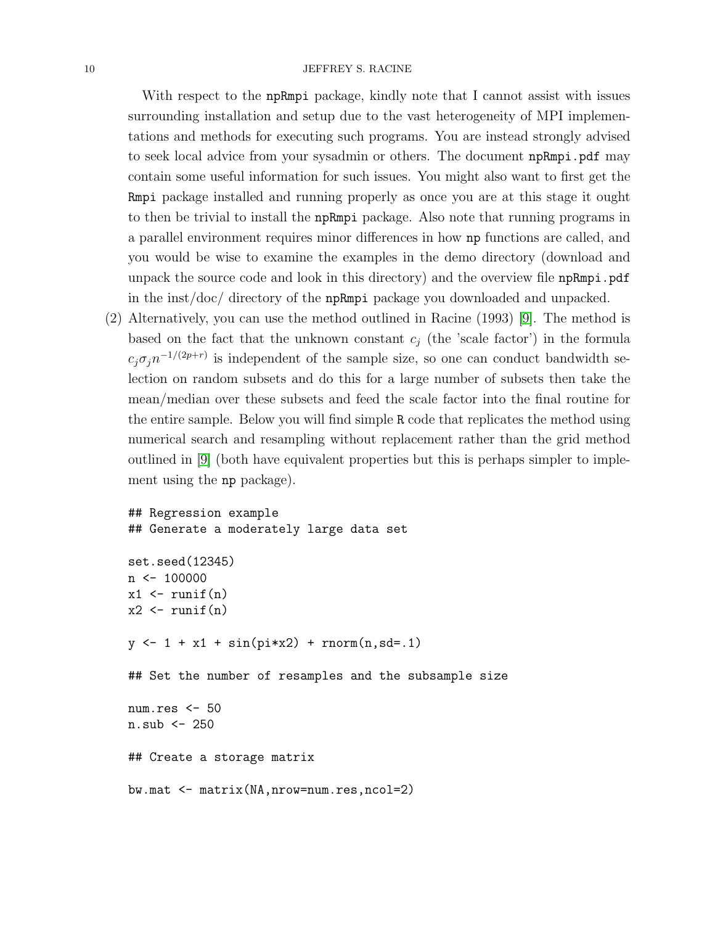### 10 JEFFREY S. RACINE

With respect to the npRmpi package, kindly note that I cannot assist with issues surrounding installation and setup due to the vast heterogeneity of MPI implementations and methods for executing such programs. You are instead strongly advised to seek local advice from your sysadmin or others. The document npRmpi.pdf may contain some useful information for such issues. You might also want to first get the Rmpi package installed and running properly as once you are at this stage it ought to then be trivial to install the npRmpi package. Also note that running programs in a parallel environment requires minor differences in how np functions are called, and you would be wise to examine the examples in the demo directory (download and unpack the source code and look in this directory) and the overview file npRmpi.pdf in the inst/doc/ directory of the npRmpi package you downloaded and unpacked.

(2) Alternatively, you can use the method outlined in Racine (1993) [\[9\]](#page-38-10). The method is based on the fact that the unknown constant  $c_j$  (the 'scale factor') in the formula  $c_j \sigma_j n^{-1/(2p+r)}$  is independent of the sample size, so one can conduct bandwidth selection on random subsets and do this for a large number of subsets then take the mean/median over these subsets and feed the scale factor into the final routine for the entire sample. Below you will find simple R code that replicates the method using numerical search and resampling without replacement rather than the grid method outlined in [\[9\]](#page-38-10) (both have equivalent properties but this is perhaps simpler to implement using the np package).

```
## Regression example
## Generate a moderately large data set
set.seed(12345)
n \leftarrow 100000x1 \leftarrow runif(n)x2 \leftarrow runif(n)y \leftarrow 1 + x1 + \sin(pix2) + \text{norm}(n, sd=0.1)## Set the number of resamples and the subsample size
num.res <- 50
n.sub <- 250
## Create a storage matrix
bw.mat <- matrix(NA,nrow=num.res,ncol=2)
```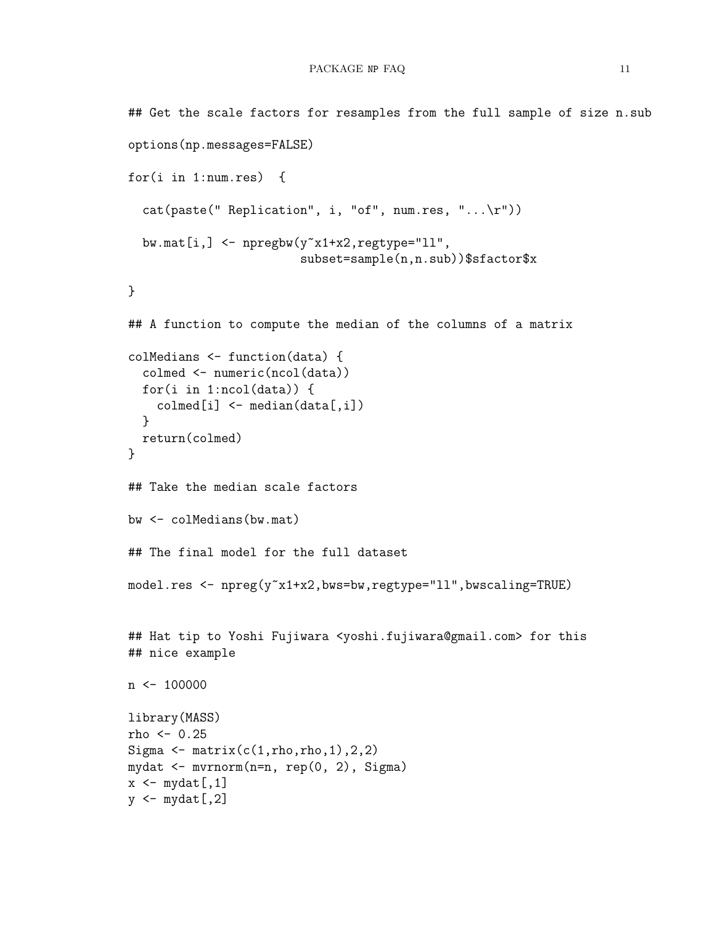```
## Get the scale factors for resamples from the full sample of size n.sub
options(np.messages=FALSE)
for(i in 1:num.res) {
  cat(paste("Replication", i, "of", num,res, "...\r"))bw.mat[i, ] \leftarrow npregbw(y^x x1+x2, \text{regtype="11",}subset=sample(n,n.sub))$sfactor$x
}
## A function to compute the median of the columns of a matrix
colMedians <- function(data) {
  colmed <- numeric(ncol(data))
  for(i in 1:ncol(data)) {
    \text{colmed}[i] \leq - \text{median}(data[, i])}
  return(colmed)
}
## Take the median scale factors
bw <- colMedians(bw.mat)
## The final model for the full dataset
model.res <- npreg(y<sup>~x1+x2</sup>,bws=bw,regtype="ll",bwscaling=TRUE)
## Hat tip to Yoshi Fujiwara <yoshi.fujiwara@gmail.com> for this
## nice example
n \le -100000library(MASS)
rho <-0.25Sigma \leq matrix(c(1,rho,rho,1),2,2)
mydat <- mvrnorm(n=n, rep(0, 2), Sigma)
x \leftarrow mydat[, 1]y \leftarrow \text{mydat}[, 2]
```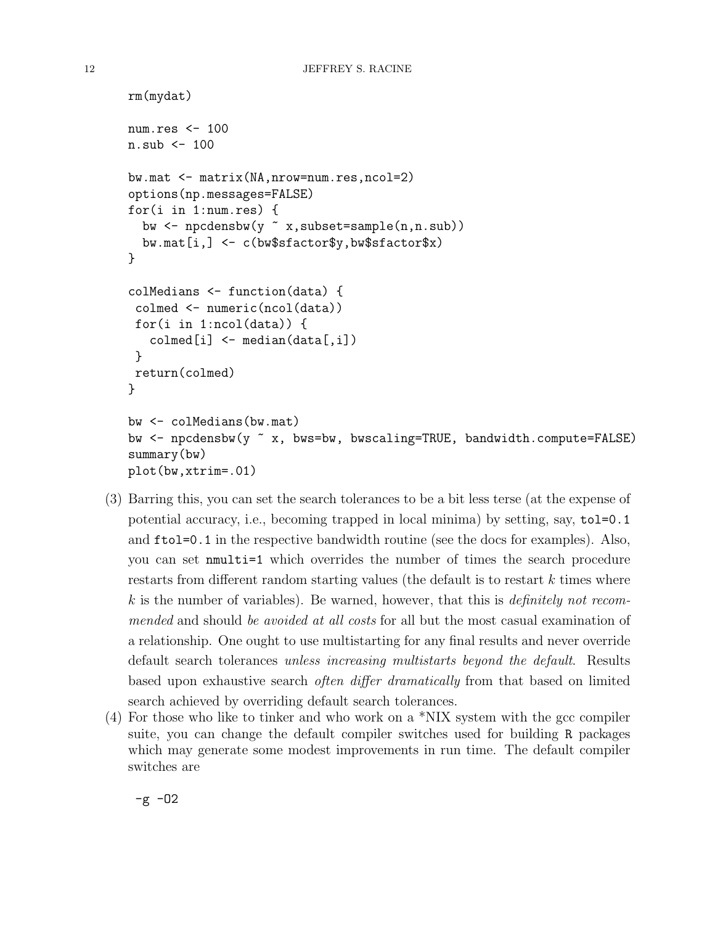```
rm(mydat)
num.res <- 100
n. sub \leq -100bw.mat <- matrix(NA,nrow=num.res,ncol=2)
options(np.messages=FALSE)
for(i in 1:num.res) {
  bw <- npcdensbw(y ~ x,subset=sample(n,n.sub))
  bw.mat[i,] <- c(bw$sfactor$y,bw$sfactor$x)
}
colMedians <- function(data) {
 colmed <- numeric(ncol(data))
 for(i in 1:ncol(data)) {
   \text{colmed}[i] \leq \text{median}(data[, i])}
 return(colmed)
}
bw <- colMedians(bw.mat)
bw <- npcdensbw(y ~ x, bws=bw, bwscaling=TRUE, bandwidth.compute=FALSE)
summary(bw)
plot(bw,xtrim=.01)
```
- (3) Barring this, you can set the search tolerances to be a bit less terse (at the expense of potential accuracy, i.e., becoming trapped in local minima) by setting, say, tol=0.1 and ftol=0.1 in the respective bandwidth routine (see the docs for examples). Also, you can set nmulti=1 which overrides the number of times the search procedure restarts from different random starting values (the default is to restart k times where  $k$  is the number of variables). Be warned, however, that this is *definitely not recom*mended and should be avoided at all costs for all but the most casual examination of a relationship. One ought to use multistarting for any final results and never override default search tolerances unless increasing multistarts beyond the default. Results based upon exhaustive search often differ dramatically from that based on limited search achieved by overriding default search tolerances.
- (4) For those who like to tinker and who work on a \*NIX system with the gcc compiler suite, you can change the default compiler switches used for building R packages which may generate some modest improvements in run time. The default compiler switches are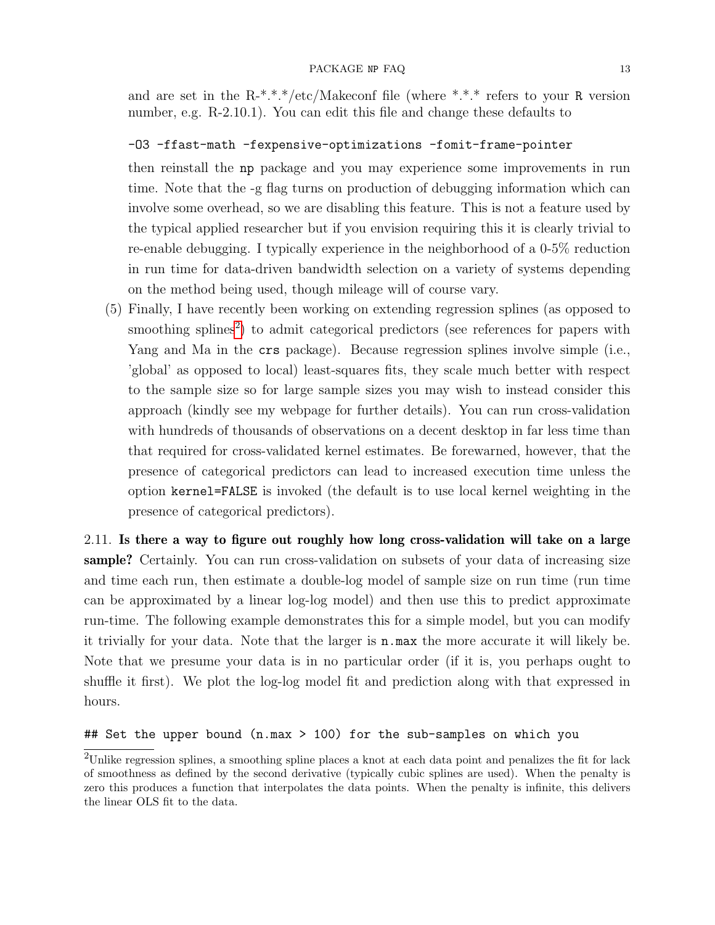and are set in the R-\*.\*.\*/etc/Makeconf file (where \*.\*.\* refers to your R version number, e.g. R-2.10.1). You can edit this file and change these defaults to

## -O3 -ffast-math -fexpensive-optimizations -fomit-frame-pointer

then reinstall the np package and you may experience some improvements in run time. Note that the -g flag turns on production of debugging information which can involve some overhead, so we are disabling this feature. This is not a feature used by the typical applied researcher but if you envision requiring this it is clearly trivial to re-enable debugging. I typically experience in the neighborhood of a 0-5% reduction in run time for data-driven bandwidth selection on a variety of systems depending on the method being used, though mileage will of course vary.

(5) Finally, I have recently been working on extending regression splines (as opposed to smoothing splines<sup>[2](#page-12-1)</sup>) to admit categorical predictors (see references for papers with Yang and Ma in the crs package). Because regression splines involve simple (i.e., 'global' as opposed to local) least-squares fits, they scale much better with respect to the sample size so for large sample sizes you may wish to instead consider this approach (kindly see my webpage for further details). You can run cross-validation with hundreds of thousands of observations on a decent desktop in far less time than that required for cross-validated kernel estimates. Be forewarned, however, that the presence of categorical predictors can lead to increased execution time unless the option kernel=FALSE is invoked (the default is to use local kernel weighting in the presence of categorical predictors).

<span id="page-12-0"></span>2.11. Is there a way to figure out roughly how long cross-validation will take on a large sample? Certainly. You can run cross-validation on subsets of your data of increasing size and time each run, then estimate a double-log model of sample size on run time (run time can be approximated by a linear log-log model) and then use this to predict approximate run-time. The following example demonstrates this for a simple model, but you can modify it trivially for your data. Note that the larger is n.max the more accurate it will likely be. Note that we presume your data is in no particular order (if it is, you perhaps ought to shuffle it first). We plot the log-log model fit and prediction along with that expressed in hours.

# ## Set the upper bound (n.max > 100) for the sub-samples on which you

<span id="page-12-1"></span><sup>2</sup>Unlike regression splines, a smoothing spline places a knot at each data point and penalizes the fit for lack of smoothness as defined by the second derivative (typically cubic splines are used). When the penalty is zero this produces a function that interpolates the data points. When the penalty is infinite, this delivers the linear OLS fit to the data.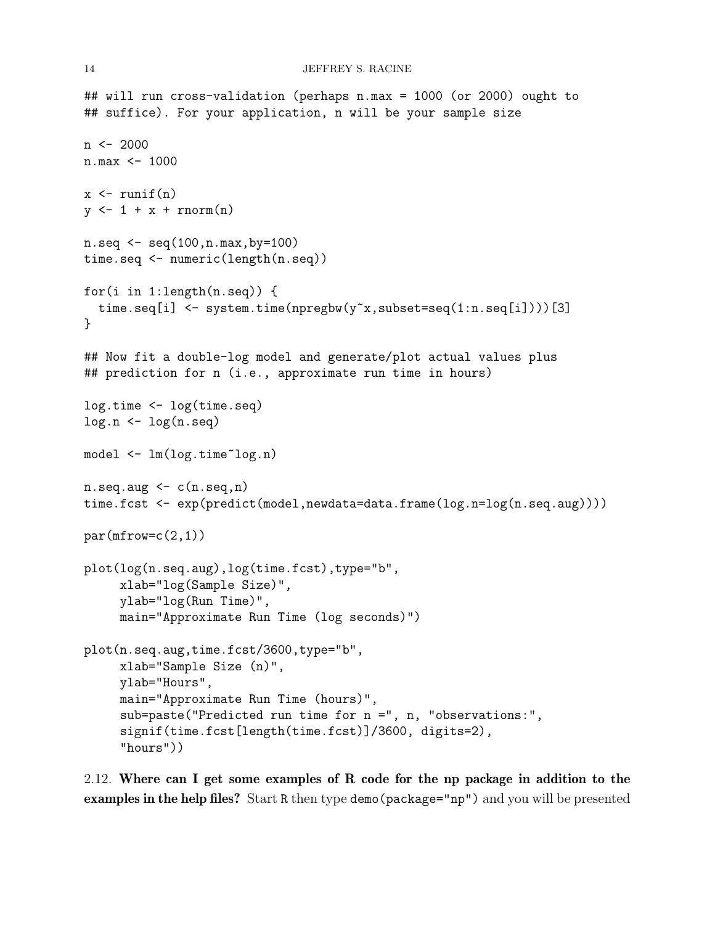```
## will run cross-validation (perhaps n.max = 1000 (or 2000) ought to
## suffice). For your application, n will be your sample size
n \le -2000n.max <- 1000
x \leftarrow \text{runif}(n)y \leftarrow 1 + x + \text{norm}(n)n.\text{seq} \leftarrow \text{seq}(100, n.\text{max}, \text{by=100})time.seq <- numeric(length(n.seq))
for(i in 1:length(n.seq)) {
  time.seq[i] <- system.time(npregbw(y~x,subset=seq(1:n.seq[i])))[3]
}
## Now fit a double-log model and generate/plot actual values plus
## prediction for n (i.e., approximate run time in hours)
log.time <- log(time.seq)
log.n \leftarrow log(n.\text{seq})model <- lm(log.time~log.n)
n.\text{seq.}aug \leftarrow c(n.\text{seq.}n)time.fcst <- exp(predict(model,newdata=data.frame(log.n=log(n.seq.aug))))
par(mfrow=c(2,1))plot(log(n.seq.aug),log(time.fcst),type="b",
     xlab="log(Sample Size)",
     ylab="log(Run Time)",
     main="Approximate Run Time (log seconds)")
plot(n.seq.aug,time.fcst/3600,type="b",
     xlab="Sample Size (n)",
     ylab="Hours",
     main="Approximate Run Time (hours)",
     sub=paste("Predicted run time for n =", n, "observations:",
     signif(time.fcst[length(time.fcst)]/3600, digits=2),
     "hours"))
```
<span id="page-13-0"></span>2.12. Where can I get some examples of R code for the np package in addition to the examples in the help files? Start R then type demo(package="np") and you will be presented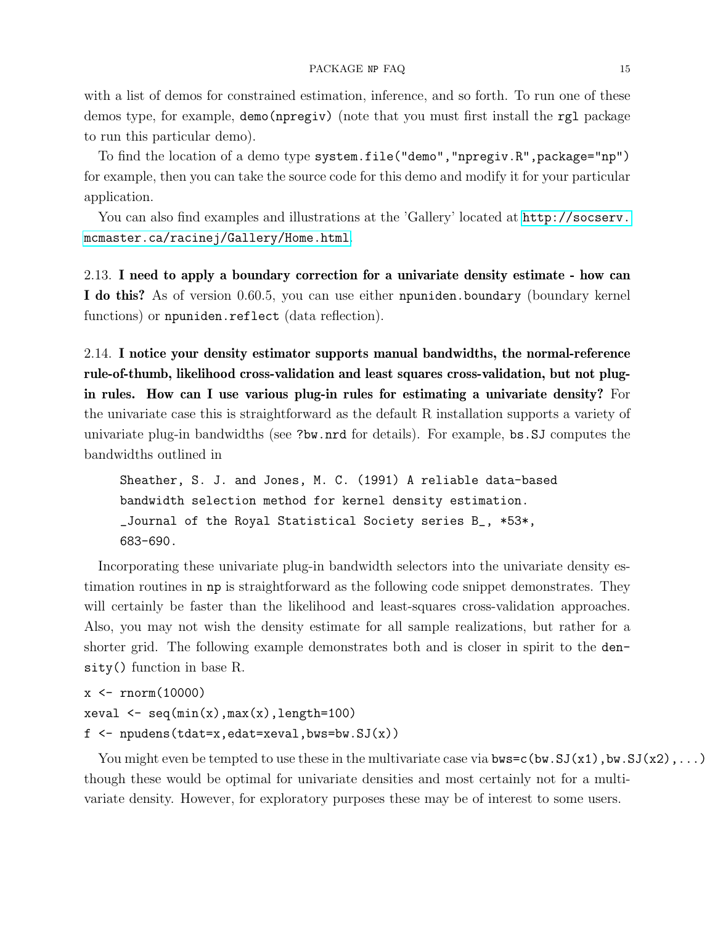with a list of demos for constrained estimation, inference, and so forth. To run one of these demos type, for example, demo(npregiv) (note that you must first install the rgl package to run this particular demo).

To find the location of a demo type system.file("demo","npregiv.R",package="np") for example, then you can take the source code for this demo and modify it for your particular application.

You can also find examples and illustrations at the 'Gallery' located at  $http://socserv.$ [mcmaster.ca/racinej/Gallery/Home.html](http://socserv.mcmaster.ca/racinej/Gallery/Home.html).

<span id="page-14-0"></span>2.13. I need to apply a boundary correction for a univariate density estimate - how can I do this? As of version 0.60.5, you can use either npuniden.boundary (boundary kernel functions) or npuniden.reflect (data reflection).

<span id="page-14-1"></span>2.14. I notice your density estimator supports manual bandwidths, the normal-reference rule-of-thumb, likelihood cross-validation and least squares cross-validation, but not plugin rules. How can I use various plug-in rules for estimating a univariate density? For the univariate case this is straightforward as the default R installation supports a variety of univariate plug-in bandwidths (see ?bw.nrd for details). For example, bs.SJ computes the bandwidths outlined in

Sheather, S. J. and Jones, M. C. (1991) A reliable data-based bandwidth selection method for kernel density estimation. \_Journal of the Royal Statistical Society series B\_, \*53\*, 683-690.

Incorporating these univariate plug-in bandwidth selectors into the univariate density estimation routines in np is straightforward as the following code snippet demonstrates. They will certainly be faster than the likelihood and least-squares cross-validation approaches. Also, you may not wish the density estimate for all sample realizations, but rather for a shorter grid. The following example demonstrates both and is closer in spirit to the density() function in base R.

```
x \leftarrow \text{rnorm}(10000)xeval \leftarrow seq(min(x),max(x),length=100)f \leftarrow npudens(tdat=x,edat=xeval,bws=bw.SJ(x))
```
You might even be tempted to use these in the multivariate case via  $bws=c(bw.SJ(x1),bw.SJ(x2),...)$ though these would be optimal for univariate densities and most certainly not for a multivariate density. However, for exploratory purposes these may be of interest to some users.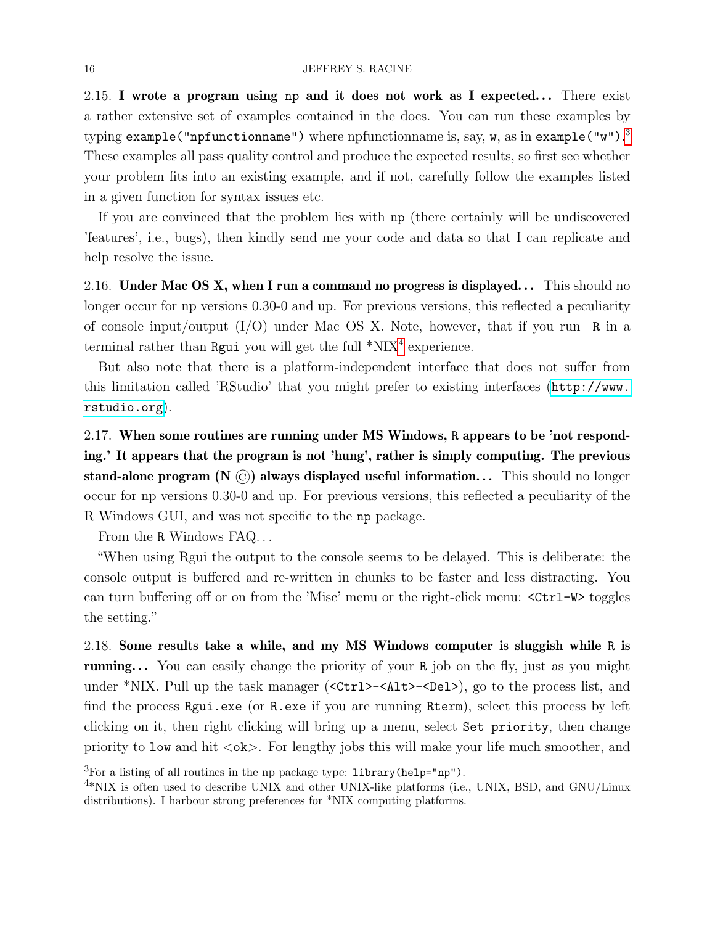### 16 JEFFREY S. RACINE

<span id="page-15-0"></span>2.15. I wrote a program using np and it does not work as I expected... There exist a rather extensive set of examples contained in the docs. You can run these examples by typing  $\verb|example("infunctionname")$  where npfunctionname is, say, **w**, as in  $\verb|example("w")$ .  $^3$  $^3$ These examples all pass quality control and produce the expected results, so first see whether your problem fits into an existing example, and if not, carefully follow the examples listed in a given function for syntax issues etc.

If you are convinced that the problem lies with np (there certainly will be undiscovered 'features', i.e., bugs), then kindly send me your code and data so that I can replicate and help resolve the issue.

<span id="page-15-1"></span>2.16. Under Mac OS X, when I run a command no progress is displayed... This should no longer occur for np versions 0.30-0 and up. For previous versions, this reflected a peculiarity of console input/output (I/O) under Mac OS X. Note, however, that if you run R in a terminal rather than Rgui you will get the full  $*NIX<sup>4</sup>$  $*NIX<sup>4</sup>$  $*NIX<sup>4</sup>$  experience.

But also note that there is a platform-independent interface that does not suffer from this limitation called 'RStudio' that you might prefer to existing interfaces ([http://www.](http://www.rstudio.org) [rstudio.org](http://www.rstudio.org)).

<span id="page-15-2"></span>2.17. When some routines are running under MS Windows, R appears to be 'not responding.' It appears that the program is not 'hung', rather is simply computing. The previous stand-alone program (N  $\circled{c}$ ) always displayed useful information... This should no longer occur for np versions 0.30-0 and up. For previous versions, this reflected a peculiarity of the R Windows GUI, and was not specific to the np package.

From the R Windows FAQ...

"When using Rgui the output to the console seems to be delayed. This is deliberate: the console output is buffered and re-written in chunks to be faster and less distracting. You can turn buffering off or on from the 'Misc' menu or the right-click menu: <Ctrl-W> toggles the setting."

<span id="page-15-3"></span>2.18. Some results take a while, and my MS Windows computer is sluggish while R is **running...** You can easily change the priority of your R job on the fly, just as you might under \*NIX. Pull up the task manager (<Ctrl>-<Alt>-<Del>), go to the process list, and find the process Rgui.exe (or R.exe if you are running Rterm), select this process by left clicking on it, then right clicking will bring up a menu, select Set priority, then change priority to low and hit  $\langle \circ \mathbf{k} \rangle$ . For lengthy jobs this will make your life much smoother, and

<span id="page-15-4"></span> ${}^{3}$ For a listing of all routines in the np package type: library(help="np").

<span id="page-15-5"></span><sup>&</sup>lt;sup>4\*</sup>NIX is often used to describe UNIX and other UNIX-like platforms (i.e., UNIX, BSD, and GNU/Linux distributions). I harbour strong preferences for \*NIX computing platforms.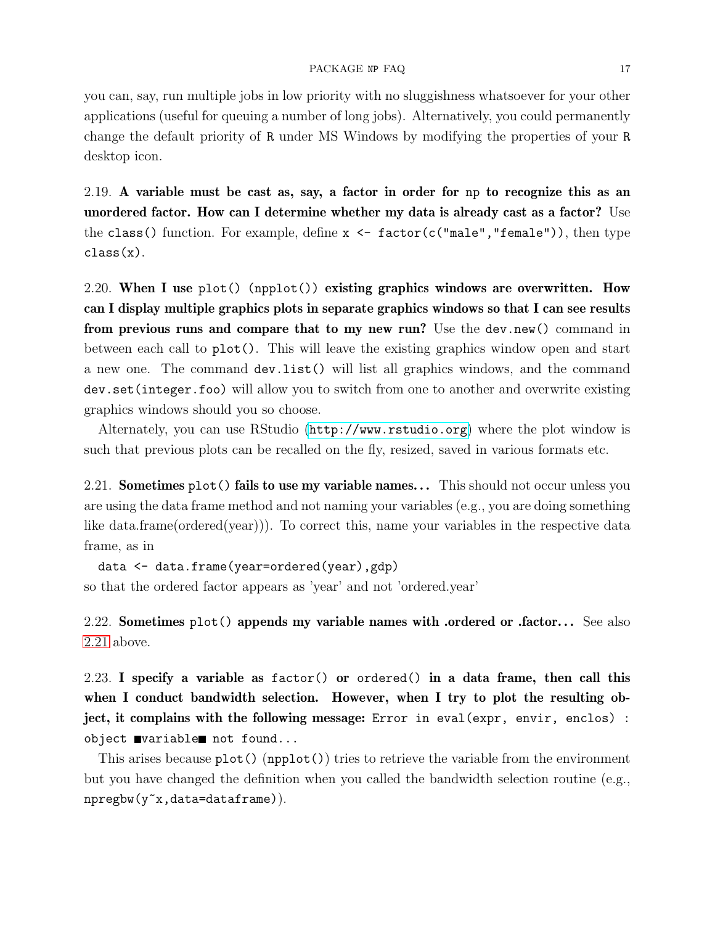### PACKAGE NP FAQ 17

you can, say, run multiple jobs in low priority with no sluggishness whatsoever for your other applications (useful for queuing a number of long jobs). Alternatively, you could permanently change the default priority of R under MS Windows by modifying the properties of your R desktop icon.

<span id="page-16-0"></span>2.19. A variable must be cast as, say, a factor in order for np to recognize this as an unordered factor. How can I determine whether my data is already cast as a factor? Use the class() function. For example, define  $x \leftarrow$  factor(c("male","female")), then type class(x).

<span id="page-16-1"></span>2.20. When I use plot() (npplot()) existing graphics windows are overwritten. How can I display multiple graphics plots in separate graphics windows so that I can see results from previous runs and compare that to my new run? Use the dev.new() command in between each call to plot(). This will leave the existing graphics window open and start a new one. The command dev.list() will list all graphics windows, and the command dev.set(integer.foo) will allow you to switch from one to another and overwrite existing graphics windows should you so choose.

Alternately, you can use RStudio (<http://www.rstudio.org>) where the plot window is such that previous plots can be recalled on the fly, resized, saved in various formats etc.

<span id="page-16-2"></span>2.21. **Sometimes plot() fails to use my variable names...** This should not occur unless you are using the data frame method and not naming your variables (e.g., you are doing something like data.frame(ordered(year))). To correct this, name your variables in the respective data frame, as in

data <- data.frame(year=ordered(year),gdp) so that the ordered factor appears as 'year' and not 'ordered.year'

<span id="page-16-3"></span>2.22. Sometimes  $plot()$  appends my variable names with .ordered or .factor... See also [2.21](#page-16-2) above.

<span id="page-16-4"></span>2.23. I specify a variable as factor() or ordered() in a data frame, then call this when I conduct bandwidth selection. However, when I try to plot the resulting object, it complains with the following message: Error in eval(expr, envir, enclos) : object wariable not found...

This arises because  $plot()$  (npplot()) tries to retrieve the variable from the environment but you have changed the definition when you called the bandwidth selection routine (e.g., npregbw(y~x,data=dataframe)).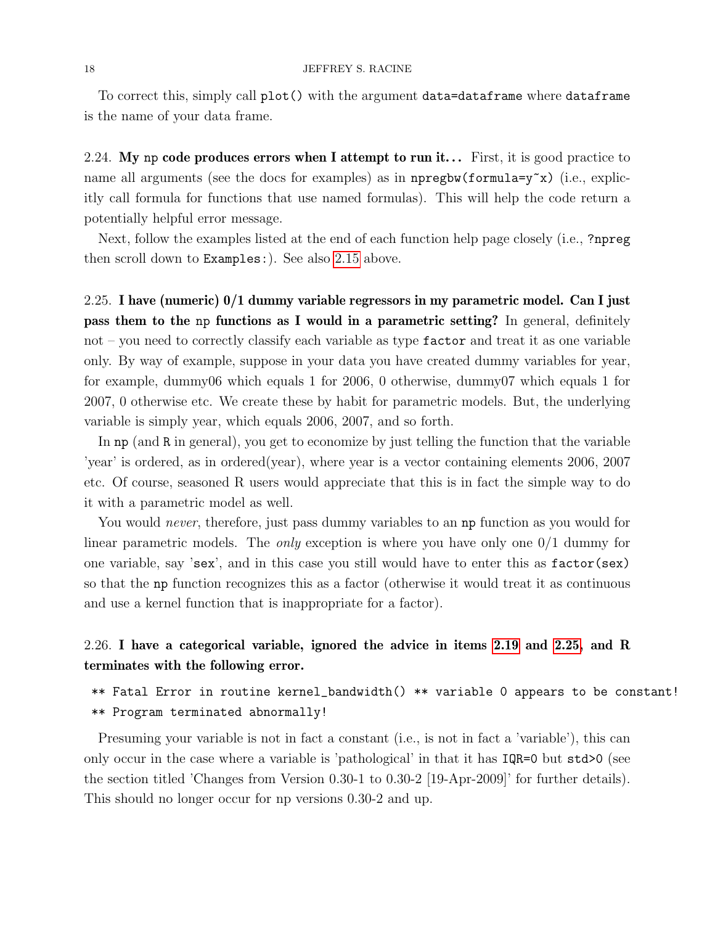To correct this, simply call plot() with the argument data=dataframe where dataframe is the name of your data frame.

<span id="page-17-0"></span>2.24. My np code produces errors when I attempt to run it... First, it is good practice to name all arguments (see the docs for examples) as in  $n$ pregbw(formula=y~x) (i.e., explicitly call formula for functions that use named formulas). This will help the code return a potentially helpful error message.

Next, follow the examples listed at the end of each function help page closely (i.e., ?npreg then scroll down to Examples:). See also [2.15](#page-15-0) above.

<span id="page-17-1"></span>2.25. I have (numeric) 0/1 dummy variable regressors in my parametric model. Can I just pass them to the np functions as I would in a parametric setting? In general, definitely not – you need to correctly classify each variable as type  $\texttt{factor}$  and treat it as one variable only. By way of example, suppose in your data you have created dummy variables for year, for example, dummy06 which equals 1 for 2006, 0 otherwise, dummy07 which equals 1 for 2007, 0 otherwise etc. We create these by habit for parametric models. But, the underlying variable is simply year, which equals 2006, 2007, and so forth.

In np (and R in general), you get to economize by just telling the function that the variable 'year' is ordered, as in ordered(year), where year is a vector containing elements 2006, 2007 etc. Of course, seasoned R users would appreciate that this is in fact the simple way to do it with a parametric model as well.

You would *never*, therefore, just pass dummy variables to an **np** function as you would for linear parametric models. The *only* exception is where you have only one  $0/1$  dummy for one variable, say 'sex', and in this case you still would have to enter this as factor(sex) so that the np function recognizes this as a factor (otherwise it would treat it as continuous and use a kernel function that is inappropriate for a factor).

# <span id="page-17-2"></span>2.26. I have a categorical variable, ignored the advice in items [2.19](#page-16-0) and [2.25,](#page-17-1) and R terminates with the following error.

\*\* Fatal Error in routine kernel\_bandwidth() \*\* variable 0 appears to be constant! \*\* Program terminated abnormally!

Presuming your variable is not in fact a constant (i.e., is not in fact a 'variable'), this can only occur in the case where a variable is 'pathological' in that it has IQR=0 but std>0 (see the section titled 'Changes from Version 0.30-1 to 0.30-2 [19-Apr-2009]' for further details). This should no longer occur for np versions 0.30-2 and up.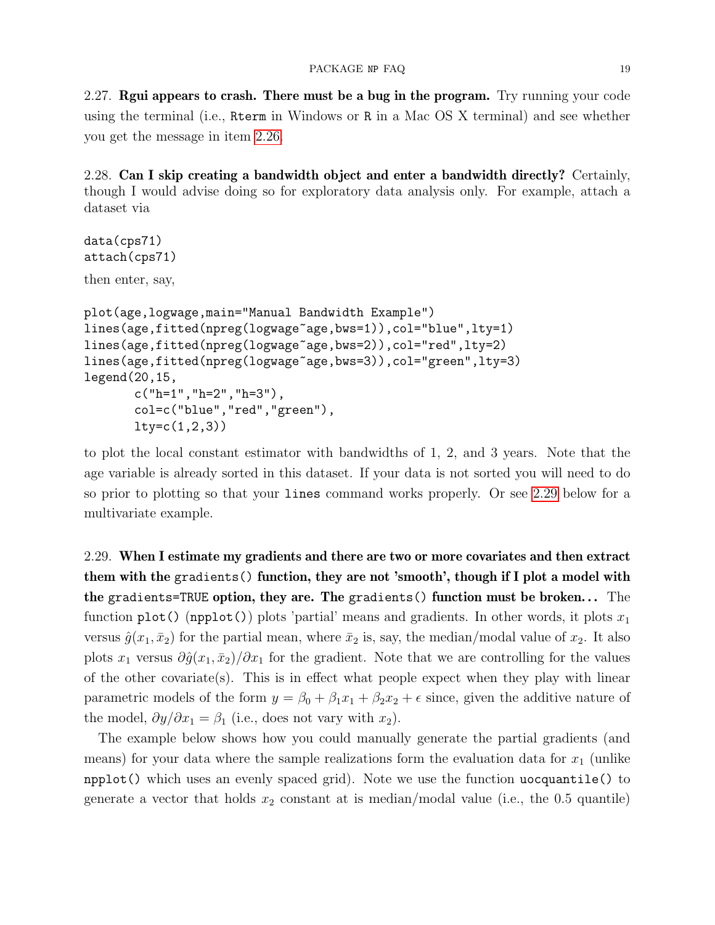<span id="page-18-0"></span>2.27. Regui appears to crash. There must be a bug in the program. Try running your code using the terminal (i.e., Rterm in Windows or R in a Mac OS X terminal) and see whether you get the message in item [2.26.](#page-17-2)

<span id="page-18-1"></span>2.28. Can I skip creating a bandwidth object and enter a bandwidth directly? Certainly, though I would advise doing so for exploratory data analysis only. For example, attach a dataset via

```
data(cps71)
attach(cps71)
then enter, say,
plot(age,logwage,main="Manual Bandwidth Example")
lines(age,fitted(npreg(logwage~age,bws=1)),col="blue",lty=1)
lines(age,fitted(npreg(logwage~age,bws=2)),col="red",lty=2)
lines(age,fitted(npreg(logwage~age,bws=3)),col="green",lty=3)
legend(20,15,
       c("h=1", "h=2", "h=3"),
       col=c("blue","red","green"),
       lty=c(1,2,3)
```
to plot the local constant estimator with bandwidths of 1, 2, and 3 years. Note that the age variable is already sorted in this dataset. If your data is not sorted you will need to do so prior to plotting so that your lines command works properly. Or see [2.29](#page-18-2) below for a multivariate example.

<span id="page-18-2"></span>2.29. When I estimate my gradients and there are two or more covariates and then extract them with the gradients() function, they are not 'smooth', though if I plot a model with the gradients=TRUE option, they are. The gradients() function must be broken... The function plot() (npplot()) plots 'partial' means and gradients. In other words, it plots  $x_1$ versus  $\hat{g}(x_1, \bar{x}_2)$  for the partial mean, where  $\bar{x}_2$  is, say, the median/modal value of  $x_2$ . It also plots  $x_1$  versus  $\partial \hat{g}(x_1, \bar{x}_2)/\partial x_1$  for the gradient. Note that we are controlling for the values of the other covariate(s). This is in effect what people expect when they play with linear parametric models of the form  $y = \beta_0 + \beta_1 x_1 + \beta_2 x_2 + \epsilon$  since, given the additive nature of the model,  $\partial y/\partial x_1 = \beta_1$  (i.e., does not vary with  $x_2$ ).

The example below shows how you could manually generate the partial gradients (and means) for your data where the sample realizations form the evaluation data for  $x_1$  (unlike npplot() which uses an evenly spaced grid). Note we use the function uocquantile() to generate a vector that holds  $x_2$  constant at is median/modal value (i.e., the 0.5 quantile)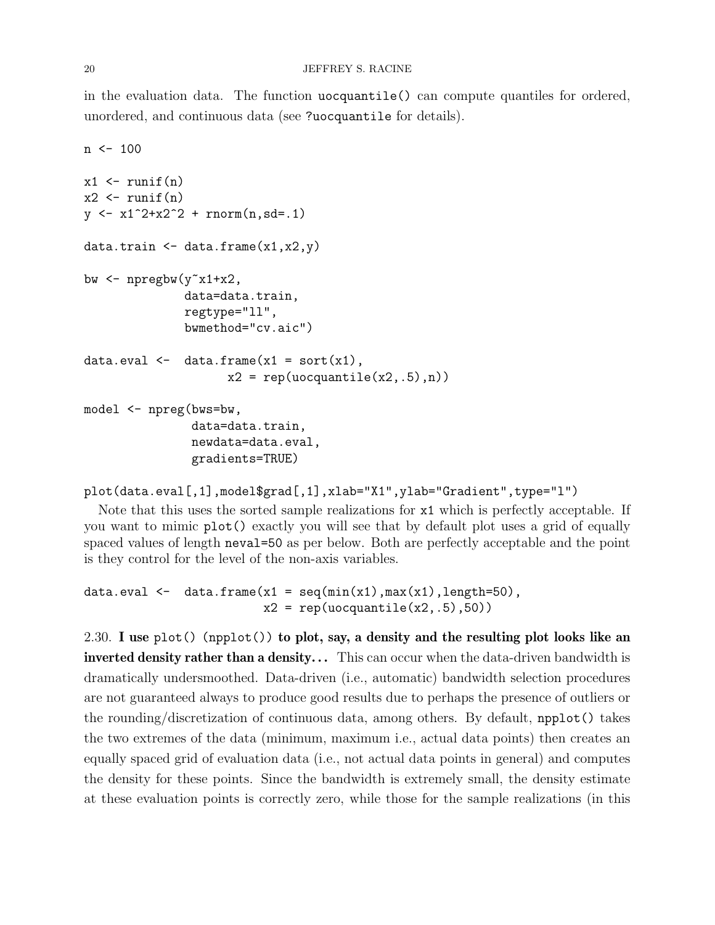in the evaluation data. The function uocquantile() can compute quantiles for ordered, unordered, and continuous data (see ?uocquantile for details).

```
n <- 100
x1 \leftarrow runif(n)x2 \leftarrow runif(n)y \leftarrow x1^2+x2^2 + \text{rnorm}(n, sd=.1)data.train \leq data.frame(x1, x2, y)bw \leq npregbw(y^{\sim}x1+x2),
                data=data.train,
                regtype="ll",
                bwmethod="cv.aic")
data.eval \leq data.frame(x1 = sort(x1),
                       x2 = rep(uocquantile(x2, .5), n))model <- npreg(bws=bw,
                 data=data.train,
                 newdata=data.eval,
                 gradients=TRUE)
```

```
plot(data.eval[,1],model$grad[,1],xlab="X1",ylab="Gradient",type="l")
```
Note that this uses the sorted sample realizations for x1 which is perfectly acceptable. If you want to mimic plot() exactly you will see that by default plot uses a grid of equally spaced values of length neval=50 as per below. Both are perfectly acceptable and the point is they control for the level of the non-axis variables.

```
data.eval \leq data.frame(x1 = seq(min(x1),max(x1),length=50),
                         x2 = rep(uocquantile(x2, .5), 50))
```
<span id="page-19-0"></span>2.30. I use plot() (npplot()) to plot, say, a density and the resulting plot looks like an inverted density rather than a density... This can occur when the data-driven bandwidth is dramatically undersmoothed. Data-driven (i.e., automatic) bandwidth selection procedures are not guaranteed always to produce good results due to perhaps the presence of outliers or the rounding/discretization of continuous data, among others. By default, npplot() takes the two extremes of the data (minimum, maximum i.e., actual data points) then creates an equally spaced grid of evaluation data (i.e., not actual data points in general) and computes the density for these points. Since the bandwidth is extremely small, the density estimate at these evaluation points is correctly zero, while those for the sample realizations (in this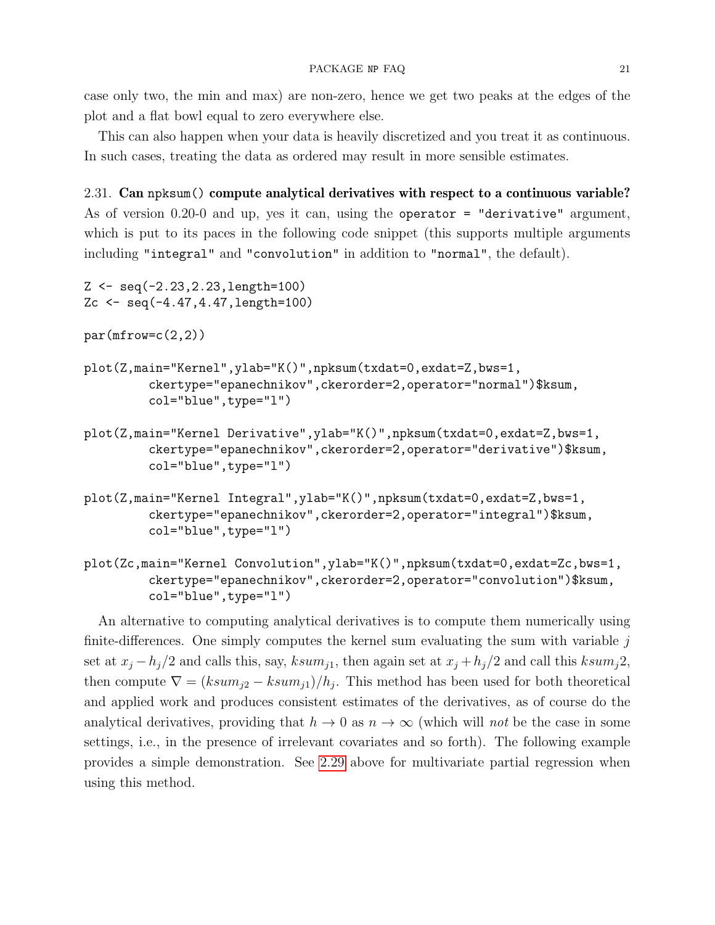case only two, the min and max) are non-zero, hence we get two peaks at the edges of the plot and a flat bowl equal to zero everywhere else.

This can also happen when your data is heavily discretized and you treat it as continuous. In such cases, treating the data as ordered may result in more sensible estimates.

<span id="page-20-0"></span>2.31. Can npksum() compute analytical derivatives with respect to a continuous variable? As of version 0.20-0 and up, yes it can, using the operator = "derivative" argument, which is put to its paces in the following code snippet (this supports multiple arguments including "integral" and "convolution" in addition to "normal", the default).

```
Z <- seq(-2.23,2.23,length=100)
Zc <- seq(-4.47,4.47,length=100)
par(mfrow=c(2,2))plot(Z,main="Kernel",ylab="K()",npksum(txdat=0,exdat=Z,bws=1,
         ckertype="epanechnikov",ckerorder=2,operator="normal")$ksum,
         col="blue",type="l")
plot(Z,main="Kernel Derivative",ylab="K()",npksum(txdat=0,exdat=Z,bws=1,
         ckertype="epanechnikov",ckerorder=2,operator="derivative")$ksum,
         col="blue",type="l")
plot(Z,main="Kernel Integral",ylab="K()",npksum(txdat=0,exdat=Z,bws=1,
```
- ckertype="epanechnikov",ckerorder=2,operator="integral")\$ksum, col="blue",type="l")
- plot(Zc,main="Kernel Convolution",ylab="K()",npksum(txdat=0,exdat=Zc,bws=1, ckertype="epanechnikov",ckerorder=2,operator="convolution")\$ksum, col="blue",type="l")

An alternative to computing analytical derivatives is to compute them numerically using finite-differences. One simply computes the kernel sum evaluating the sum with variable  $j$ set at  $x_j - h_j/2$  and calls this, say,  $ksum_{j1}$ , then again set at  $x_j + h_j/2$  and call this  $ksum_j 2$ , then compute  $\nabla = (ksum_{j2} - ksum_{j1})/h_j$ . This method has been used for both theoretical and applied work and produces consistent estimates of the derivatives, as of course do the analytical derivatives, providing that  $h \to 0$  as  $n \to \infty$  (which will not be the case in some settings, i.e., in the presence of irrelevant covariates and so forth). The following example provides a simple demonstration. See [2.29](#page-18-2) above for multivariate partial regression when using this method.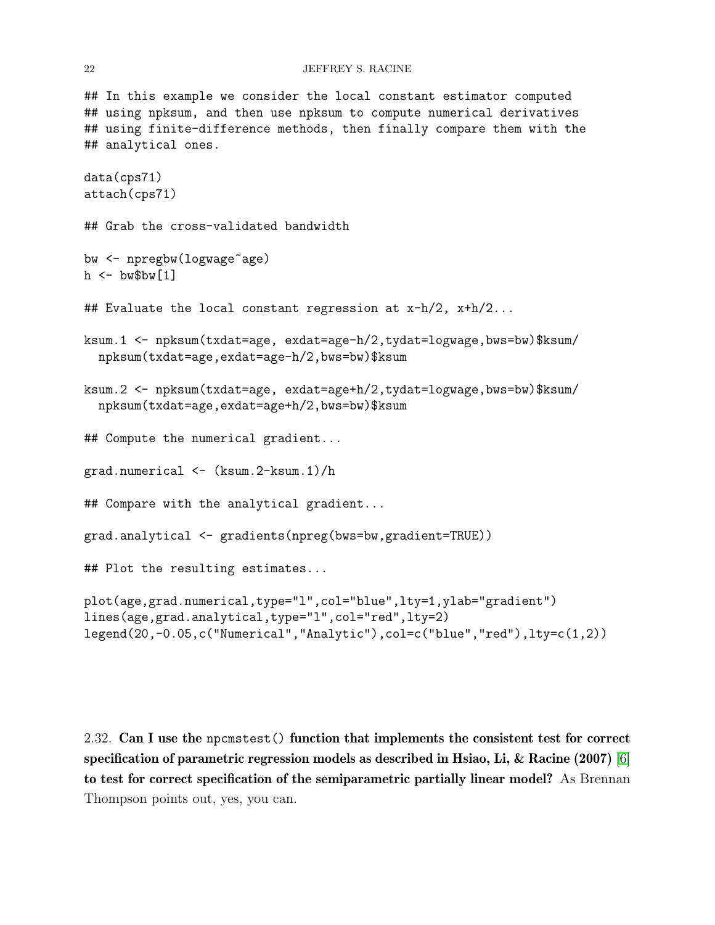#### 22 JEFFREY S. RACINE

## In this example we consider the local constant estimator computed ## using npksum, and then use npksum to compute numerical derivatives ## using finite-difference methods, then finally compare them with the ## analytical ones.

```
data(cps71)
attach(cps71)
## Grab the cross-validated bandwidth
bw <- npregbw(logwage~age)
h \leq - bw$bw[1]
## Evaluate the local constant regression at x-h/2, x+h/2...
ksum.1 <- npksum(txdat=age, exdat=age-h/2,tydat=logwage,bws=bw)$ksum/
 npksum(txdat=age,exdat=age-h/2,bws=bw)$ksum
ksum.2 <- npksum(txdat=age, exdat=age+h/2,tydat=logwage,bws=bw)$ksum/
 npksum(txdat=age,exdat=age+h/2,bws=bw)$ksum
## Compute the numerical gradient...
grad.numerical <- (ksum.2-ksum.1)/h
## Compare with the analytical gradient...
grad.analytical <- gradients(npreg(bws=bw,gradient=TRUE))
## Plot the resulting estimates...
plot(age,grad.numerical,type="l",col="blue",lty=1,ylab="gradient")
lines(age,grad.analytical,type="l",col="red",lty=2)
legend(20,-0.05,c("Numerical","Analytic"),col=c("blue","red"),lty=c(1,2))
```
<span id="page-21-0"></span>2.32. Can I use the npcmstest() function that implements the consistent test for correct specification of parametric regression models as described in Hsiao, Li, & Racine (2007) [\[6\]](#page-38-0) to test for correct specification of the semiparametric partially linear model? As Brennan Thompson points out, yes, you can.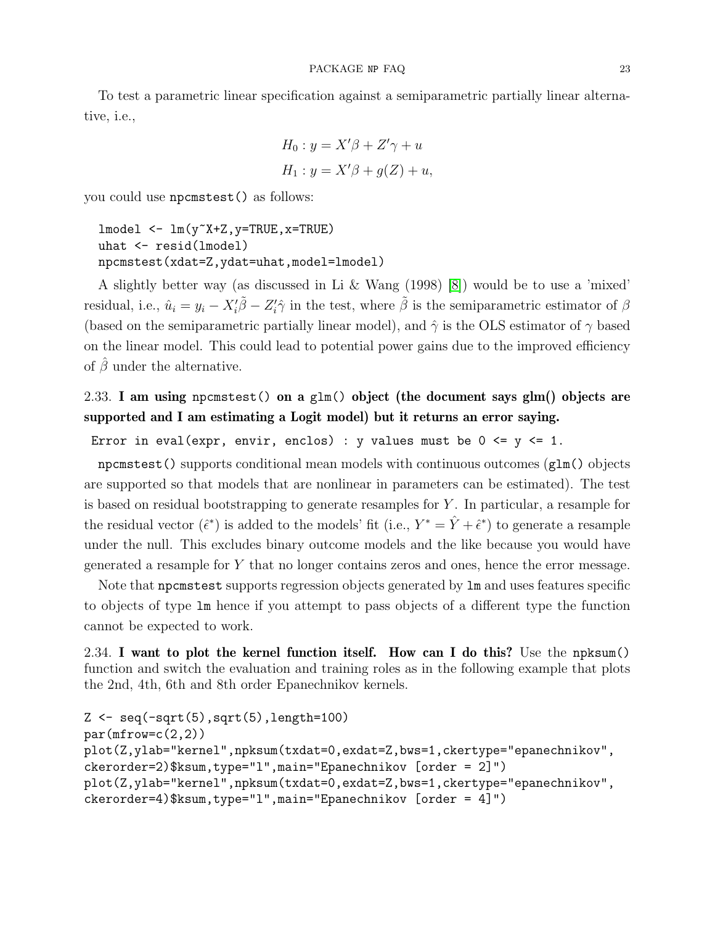To test a parametric linear specification against a semiparametric partially linear alternative, i.e.,

$$
H_0: y = X'\beta + Z'\gamma + u
$$
  

$$
H_1: y = X'\beta + g(Z) + u,
$$

you could use npcmstest() as follows:

```
lmodel <- lm(y~X+Z,y=TRUE,x=TRUE)
uhat <- resid(lmodel)
npcmstest(xdat=Z,ydat=uhat,model=lmodel)
```
A slightly better way (as discussed in Li & Wang (1998) [\[8\]](#page-38-11)) would be to use a 'mixed' residual, i.e.,  $\hat{u}_i = y_i - X'_i \tilde{\beta} - Z'_i \hat{\gamma}$  in the test, where  $\tilde{\beta}$  is the semiparametric estimator of  $\beta$ (based on the semiparametric partially linear model), and  $\hat{\gamma}$  is the OLS estimator of  $\gamma$  based on the linear model. This could lead to potential power gains due to the improved efficiency of  $\hat{\beta}$  under the alternative.

# <span id="page-22-0"></span>2.33. I am using npcmstest() on a glm() object (the document says glm() objects are supported and I am estimating a Logit model) but it returns an error saying.

Error in eval(expr, envir, enclos) : y values must be  $0 \le y \le 1$ .

npcmstest() supports conditional mean models with continuous outcomes (glm() objects are supported so that models that are nonlinear in parameters can be estimated). The test is based on residual bootstrapping to generate resamples for  $Y$ . In particular, a resample for the residual vector  $(\hat{\epsilon}^*)$  is added to the models' fit (i.e.,  $Y^* = \hat{Y} + \hat{\epsilon}^*$ ) to generate a resample under the null. This excludes binary outcome models and the like because you would have generated a resample for Y that no longer contains zeros and ones, hence the error message.

Note that npcmstest supports regression objects generated by lm and uses features specific to objects of type lm hence if you attempt to pass objects of a different type the function cannot be expected to work.

<span id="page-22-1"></span>2.34. I want to plot the kernel function itself. How can I do this? Use the npksum() function and switch the evaluation and training roles as in the following example that plots the 2nd, 4th, 6th and 8th order Epanechnikov kernels.

```
Z \leftarrow \text{seq}(-\text{sqrt}(5), \text{sqrt}(5), \text{length}=100)par(mfrow=c(2,2))plot(Z,ylab="kernel",npksum(txdat=0,exdat=Z,bws=1,ckertype="epanechnikov",
ckerorder=2)$ksum,type="l",main="Epanechnikov [order = 2]")
plot(Z,ylab="kernel",npksum(txdat=0,exdat=Z,bws=1,ckertype="epanechnikov",
ckerorder=4)$ksum,type="l",main="Epanechnikov [order = 4]")
```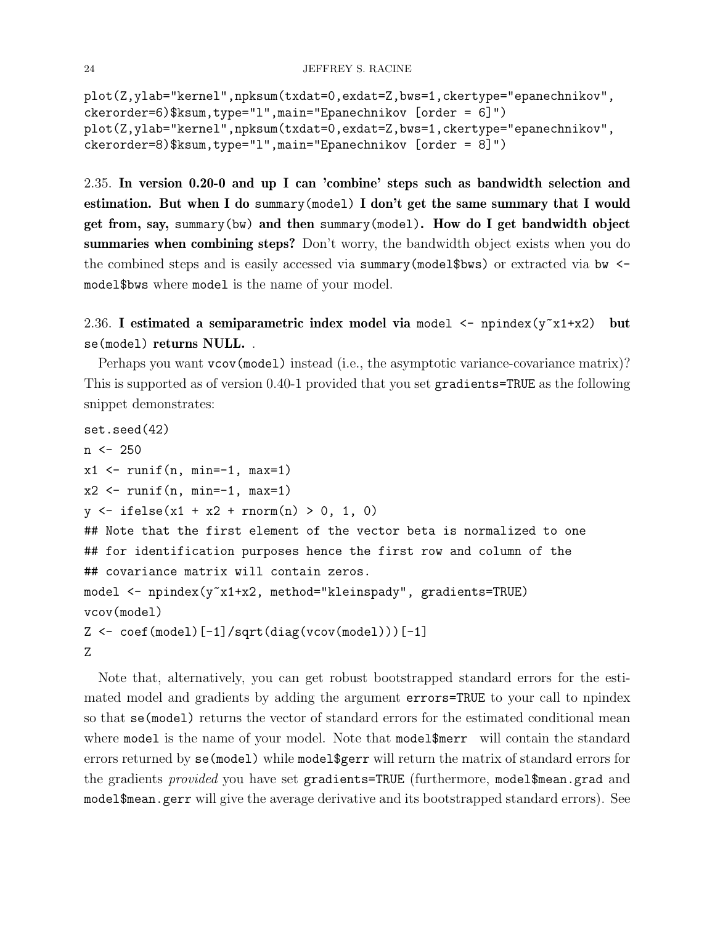```
plot(Z,ylab="kernel",npksum(txdat=0,exdat=Z,bws=1,ckertype="epanechnikov",
ckerorder=6)$ksum,type="l",main="Epanechnikov [order = 6]")
plot(Z,ylab="kernel",npksum(txdat=0,exdat=Z,bws=1,ckertype="epanechnikov",
ckerorder=8)$ksum,type="l",main="Epanechnikov [order = 8]")
```
<span id="page-23-0"></span>2.35. In version 0.20-0 and up I can 'combine' steps such as bandwidth selection and estimation. But when I do summary(model) I don't get the same summary that I would get from, say, summary(bw) and then summary(model). How do I get bandwidth object summaries when combining steps? Don't worry, the bandwidth object exists when you do the combined steps and is easily accessed via summary(model\$bws) or extracted via bw  $\le$ model\$bws where model is the name of your model.

```
2.36. I estimated a semiparametric index model via model \leq npindex(y^2 \times 1 + x^2) but
se(model) returns NULL. .
```
Perhaps you want vcov(model) instead (i.e., the asymptotic variance-covariance matrix)? This is supported as of version 0.40-1 provided that you set gradients=TRUE as the following snippet demonstrates:

```
set.seed(42)
n <- 250
x1 \leftarrow \text{runif}(n, \text{min}=-1, \text{max}=1)x2 \leftarrow \text{runif}(n, \text{min}=-1, \text{max}=1)y \le - ifelse(x1 + x2 + rnorm(n) > 0, 1, 0)
## Note that the first element of the vector beta is normalized to one
## for identification purposes hence the first row and column of the
## covariance matrix will contain zeros.
model <- npindex(y~x1+x2, method="kleinspady", gradients=TRUE)
vcov(model)
Z \leftarrow coef(model)[-1]/sqrt(\text{dist}(v \text{cov}(\text{model})))[-1]Z
```
Note that, alternatively, you can get robust bootstrapped standard errors for the estimated model and gradients by adding the argument errors=TRUE to your call to npindex so that se(model) returns the vector of standard errors for the estimated conditional mean where model is the name of your model. Note that model\$merr will contain the standard errors returned by se(model) while model\$gerr will return the matrix of standard errors for the gradients *provided* you have set gradients=TRUE (furthermore, model\$mean.grad and model\$mean.gerr will give the average derivative and its bootstrapped standard errors). See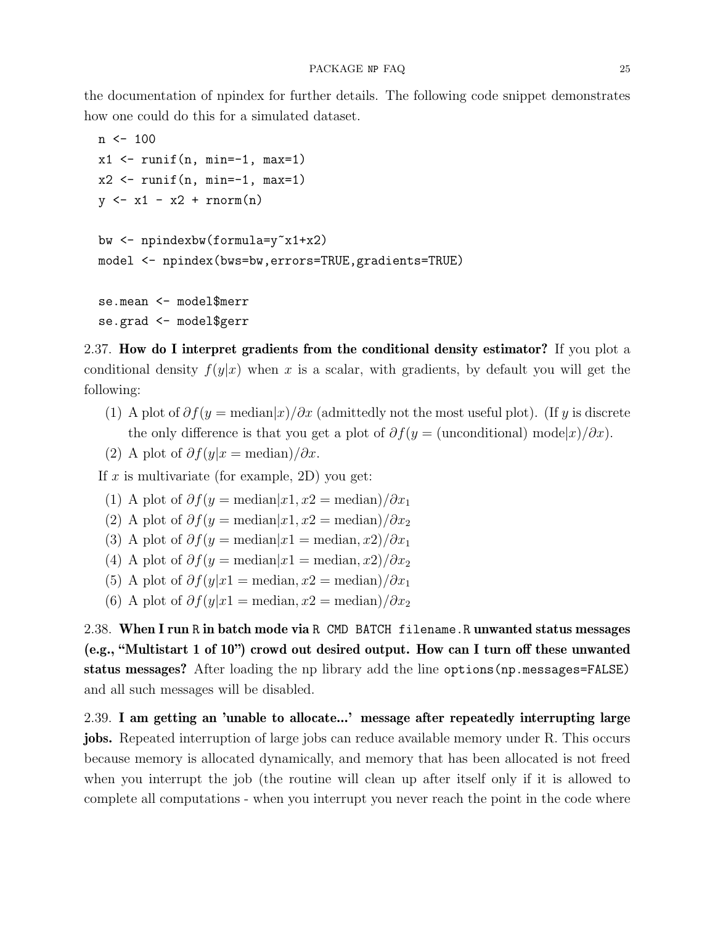the documentation of npindex for further details. The following code snippet demonstrates how one could do this for a simulated dataset.

```
n < -100x1 \leftarrow \text{runif}(n, \text{min}=-1, \text{max}=1)x2 \leftarrow \text{runif}(n, \text{min}=-1, \text{max}=1)y \leftarrow x1 - x2 + \text{norm}(n)bw <- npindexbw(formula=y~x1+x2)
model <- npindex(bws=bw,errors=TRUE,gradients=TRUE)
se.mean <- model$merr
se.grad <- model$gerr
```
<span id="page-24-0"></span>2.37. How do I interpret gradients from the conditional density estimator? If you plot a conditional density  $f(y|x)$  when x is a scalar, with gradients, by default you will get the following:

- (1) A plot of  $\partial f(y)$  = median $|x|/\partial x$  (admittedly not the most useful plot). (If y is discrete the only difference is that you get a plot of  $\partial f(y = \text{(unconditional)} \bmod x) / \partial x)$ .
- (2) A plot of  $\partial f(y|x) = \text{median} / \partial x$ .

If x is multivariate (for example, 2D) you get:

- (1) A plot of  $\partial f(y) = \text{median}[x_1, x_2] = \text{median}(\partial x_1)$
- (2) A plot of  $\partial f(y)$  = median $|x_1, x_2|$  = median) $\partial x_2$
- (3) A plot of  $\partial f(y) = \text{median}|x_1| = \text{median}(x_1, x_2)/\partial x_1$
- (4) A plot of  $\partial f(y = \text{median}|x_1 = \text{median}, x_2)/\partial x_2$
- (5) A plot of  $\partial f(y|x] = \text{median}, x^2 = \text{median}/\partial x_1$
- (6) A plot of  $\partial f(y|x) = \text{median}, x^2 = \text{median}/\partial x_2$

<span id="page-24-1"></span>2.38. When I run R in batch mode via R CMD BATCH filename.R unwanted status messages (e.g., "Multistart 1 of 10") crowd out desired output. How can I turn off these unwanted status messages? After loading the np library add the line options(np.messages=FALSE) and all such messages will be disabled.

<span id="page-24-2"></span>2.39. I am getting an 'unable to allocate...' message after repeatedly interrupting large jobs. Repeated interruption of large jobs can reduce available memory under R. This occurs because memory is allocated dynamically, and memory that has been allocated is not freed when you interrupt the job (the routine will clean up after itself only if it is allowed to complete all computations - when you interrupt you never reach the point in the code where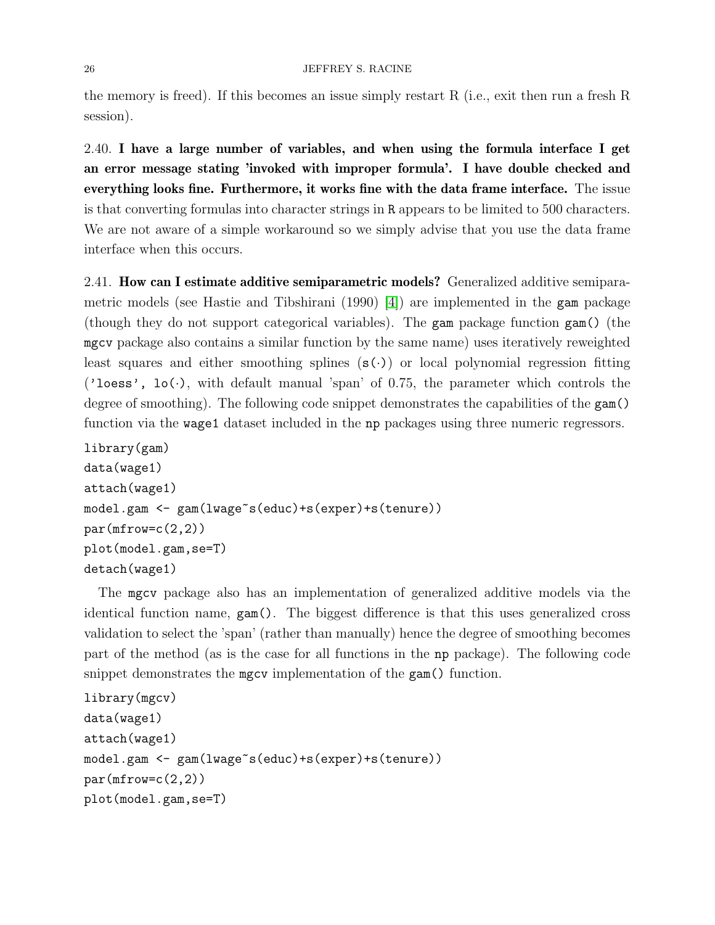### 26 JEFFREY S. RACINE

the memory is freed). If this becomes an issue simply restart R (i.e., exit then run a fresh R session).

<span id="page-25-0"></span>2.40. I have a large number of variables, and when using the formula interface I get an error message stating 'invoked with improper formula'. I have double checked and everything looks fine. Furthermore, it works fine with the data frame interface. The issue is that converting formulas into character strings in R appears to be limited to 500 characters. We are not aware of a simple workaround so we simply advise that you use the data frame interface when this occurs.

<span id="page-25-1"></span>2.41. How can I estimate additive semiparametric models? Generalized additive semiparametric models (see Hastie and Tibshirani (1990) [\[4\]](#page-38-12)) are implemented in the gam package (though they do not support categorical variables). The gam package function gam() (the mgcv package also contains a similar function by the same name) uses iteratively reweighted least squares and either smoothing splines  $(s(\cdot))$  or local polynomial regression fitting ('loess',  $1o(.)$ , with default manual 'span' of 0.75, the parameter which controls the degree of smoothing). The following code snippet demonstrates the capabilities of the gam() function via the wage1 dataset included in the np packages using three numeric regressors.

```
library(gam)
data(wage1)
attach(wage1)
model.gam <- gam(lwage~s(educ)+s(exper)+s(tenure))
par(mfrow=c(2,2))plot(model.gam,se=T)
detach(wage1)
```
The mgcv package also has an implementation of generalized additive models via the identical function name, gam(). The biggest difference is that this uses generalized cross validation to select the 'span' (rather than manually) hence the degree of smoothing becomes part of the method (as is the case for all functions in the np package). The following code snippet demonstrates the mgcv implementation of the gam() function.

```
library(mgcv)
data(wage1)
attach(wage1)
model.gam <- gam(lwage~s(educ)+s(exper)+s(tenure))
par(mfrow=c(2,2))plot(model.gam,se=T)
```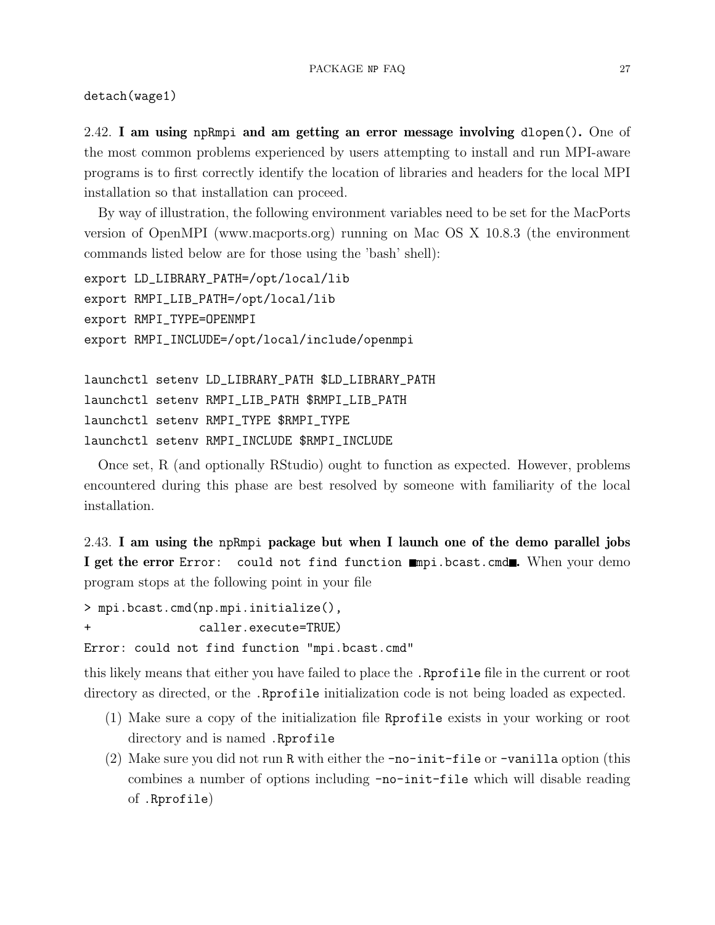detach(wage1)

<span id="page-26-0"></span>2.42. I am using npRmpi and am getting an error message involving dlopen(). One of the most common problems experienced by users attempting to install and run MPI-aware programs is to first correctly identify the location of libraries and headers for the local MPI installation so that installation can proceed.

By way of illustration, the following environment variables need to be set for the MacPorts version of OpenMPI (www.macports.org) running on Mac OS X 10.8.3 (the environment commands listed below are for those using the 'bash' shell):

```
export LD_LIBRARY_PATH=/opt/local/lib
export RMPI_LIB_PATH=/opt/local/lib
export RMPI_TYPE=OPENMPI
export RMPI_INCLUDE=/opt/local/include/openmpi
```

```
launchctl setenv LD_LIBRARY_PATH $LD_LIBRARY_PATH
launchctl setenv RMPI_LIB_PATH $RMPI_LIB_PATH
launchctl setenv RMPI_TYPE $RMPI_TYPE
launchctl setenv RMPI_INCLUDE $RMPI_INCLUDE
```
Once set, R (and optionally RStudio) ought to function as expected. However, problems encountered during this phase are best resolved by someone with familiarity of the local installation.

<span id="page-26-1"></span>2.43. I am using the npRmpi package but when I launch one of the demo parallel jobs I get the error Error: could not find function mapi.bcast.cmd. When your demo program stops at the following point in your file

> mpi.bcast.cmd(np.mpi.initialize(),

+ caller.execute=TRUE)

Error: could not find function "mpi.bcast.cmd"

this likely means that either you have failed to place the .Rprofile file in the current or root directory as directed, or the .Rprofile initialization code is not being loaded as expected.

- (1) Make sure a copy of the initialization file Rprofile exists in your working or root directory and is named .Rprofile
- (2) Make sure you did not run R with either the -no-init-file or -vanilla option (this combines a number of options including -no-init-file which will disable reading of .Rprofile)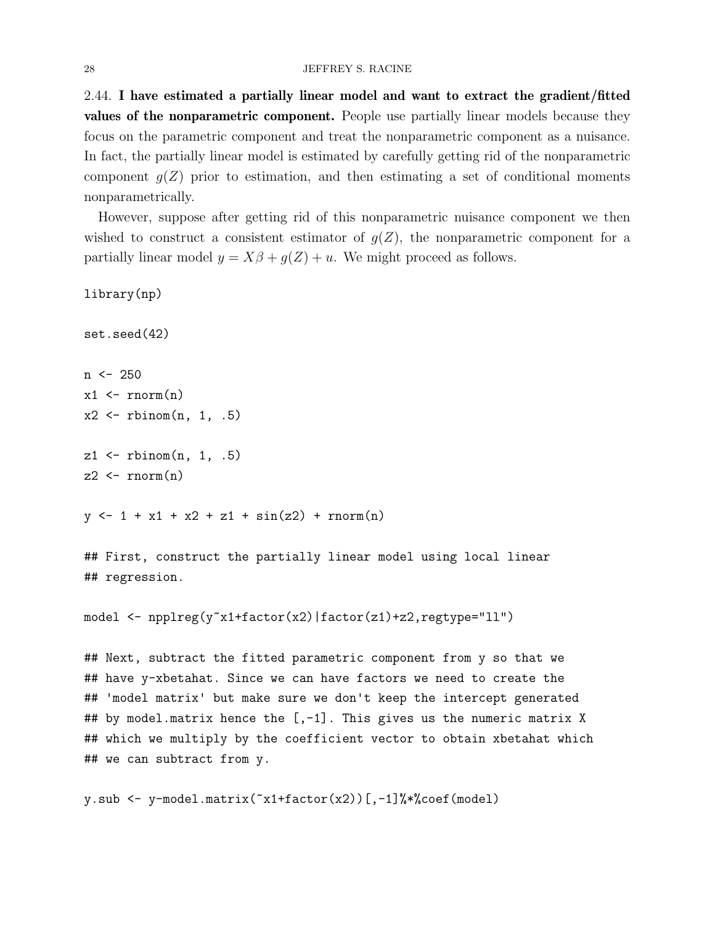<span id="page-27-0"></span>2.44. I have estimated a partially linear model and want to extract the gradient/fitted values of the nonparametric component. People use partially linear models because they focus on the parametric component and treat the nonparametric component as a nuisance. In fact, the partially linear model is estimated by carefully getting rid of the nonparametric component  $g(Z)$  prior to estimation, and then estimating a set of conditional moments nonparametrically.

However, suppose after getting rid of this nonparametric nuisance component we then wished to construct a consistent estimator of  $g(Z)$ , the nonparametric component for a partially linear model  $y = X\beta + g(Z) + u$ . We might proceed as follows.

```
library(np)
set.seed(42)
n <- 250
x1 \leftarrow \text{rnorm}(n)x2 \leftarrow rbinom(n, 1, .5)z1 \leftarrow rbinom(n, 1, .5)z2 \leftarrow \text{norm}(n)y \leftarrow 1 + x1 + x2 + z1 + \sin(z2) + \text{norm}(n)
```
## First, construct the partially linear model using local linear ## regression.

model <- npplreg(y~x1+factor(x2)|factor(z1)+z2,regtype="ll")

## Next, subtract the fitted parametric component from y so that we ## have y-xbetahat. Since we can have factors we need to create the ## 'model matrix' but make sure we don't keep the intercept generated ## by model.matrix hence the  $[-1]$ . This gives us the numeric matrix X ## which we multiply by the coefficient vector to obtain xbetahat which ## we can subtract from y.

```
y.sub \leq y-model.matrix(x1+factor(x2))[,-1]%*%coef(model)
```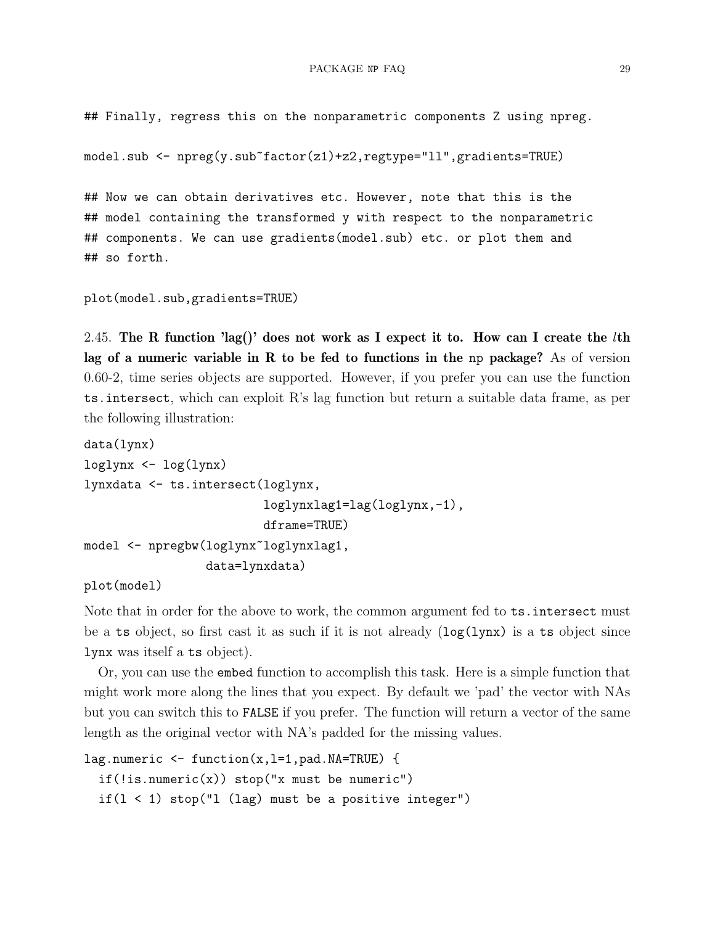## Finally, regress this on the nonparametric components Z using npreg.

model.sub <- npreg(y.sub~factor(z1)+z2,regtype="ll",gradients=TRUE)

## Now we can obtain derivatives etc. However, note that this is the ## model containing the transformed y with respect to the nonparametric ## components. We can use gradients(model.sub) etc. or plot them and ## so forth.

```
plot(model.sub,gradients=TRUE)
```
<span id="page-28-0"></span>2.45. The R function 'lag()' does not work as I expect it to. How can I create the *lth* lag of a numeric variable in R to be fed to functions in the np package? As of version 0.60-2, time series objects are supported. However, if you prefer you can use the function ts.intersect, which can exploit R's lag function but return a suitable data frame, as per the following illustration:

```
data(lynx)
loglynx <- log(lynx)
lynxdata <- ts.intersect(loglynx,
                          loglynxlag1=lag(loglynx,-1),
                         dframe=TRUE)
model <- npregbw(loglynx~loglynxlag1,
                 data=lynxdata)
```
plot(model)

Note that in order for the above to work, the common argument fed to ts.intersect must be a ts object, so first cast it as such if it is not already  $(\log(1) \text{ynx})$  is a ts object since lynx was itself a ts object).

Or, you can use the embed function to accomplish this task. Here is a simple function that might work more along the lines that you expect. By default we 'pad' the vector with NAs but you can switch this to FALSE if you prefer. The function will return a vector of the same length as the original vector with NA's padded for the missing values.

```
lag.numeric \leq function(x, l=1, pad.NA=TRUE) {
  if (!is.numeric(x)) stop("x must be numeric")if(1 < 1) stop("1 (lag) must be a positive integer")
```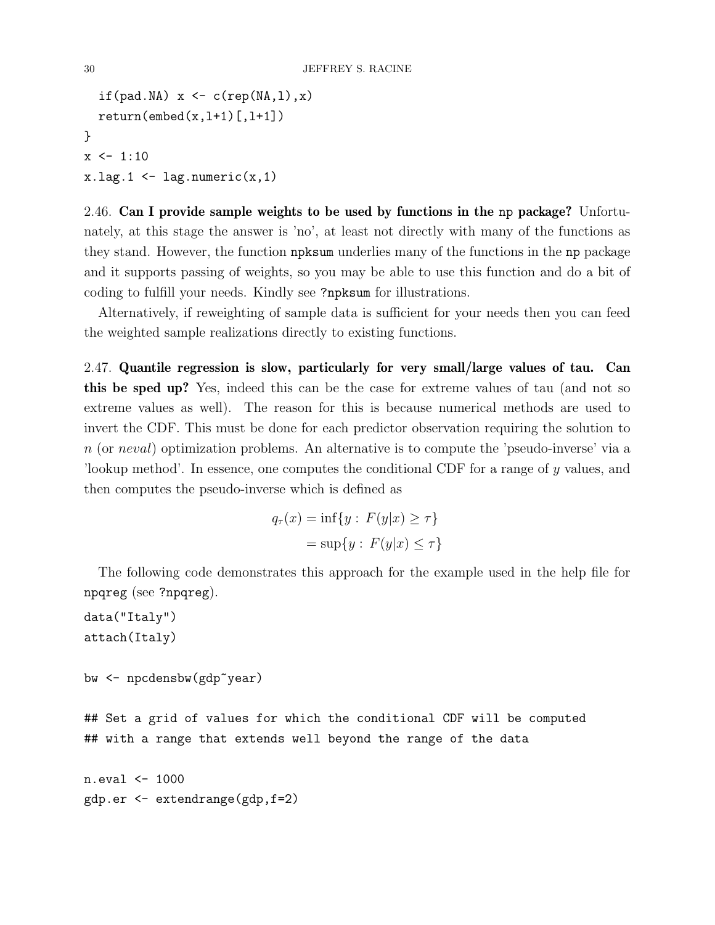```
if(pad.NA) x \leftarrow c(rep(NA,1),x)return(embed(x, l+1) [, l+1])}
x \leftarrow 1:10x.lag.1 \leftarrow lag.numeric(x,1)
```
<span id="page-29-0"></span>2.46. Can I provide sample weights to be used by functions in the np package? Unfortunately, at this stage the answer is 'no', at least not directly with many of the functions as they stand. However, the function npksum underlies many of the functions in the np package and it supports passing of weights, so you may be able to use this function and do a bit of coding to fulfill your needs. Kindly see ?npksum for illustrations.

Alternatively, if reweighting of sample data is sufficient for your needs then you can feed the weighted sample realizations directly to existing functions.

<span id="page-29-1"></span>2.47. Quantile regression is slow, particularly for very small/large values of tau. Can this be sped up? Yes, indeed this can be the case for extreme values of tau (and not so extreme values as well). The reason for this is because numerical methods are used to invert the CDF. This must be done for each predictor observation requiring the solution to n (or neval) optimization problems. An alternative is to compute the 'pseudo-inverse' via a 'lookup method'. In essence, one computes the conditional CDF for a range of y values, and then computes the pseudo-inverse which is defined as

$$
q_{\tau}(x) = \inf\{y : F(y|x) \ge \tau\}
$$

$$
= \sup\{y : F(y|x) \le \tau\}
$$

The following code demonstrates this approach for the example used in the help file for npqreg (see ?npqreg).

```
data("Italy")
attach(Italy)
```

```
bw <- npcdensbw(gdp~year)
```
## Set a grid of values for which the conditional CDF will be computed ## with a range that extends well beyond the range of the data

n.eval <- 1000 gdp.er <- extendrange(gdp,f=2)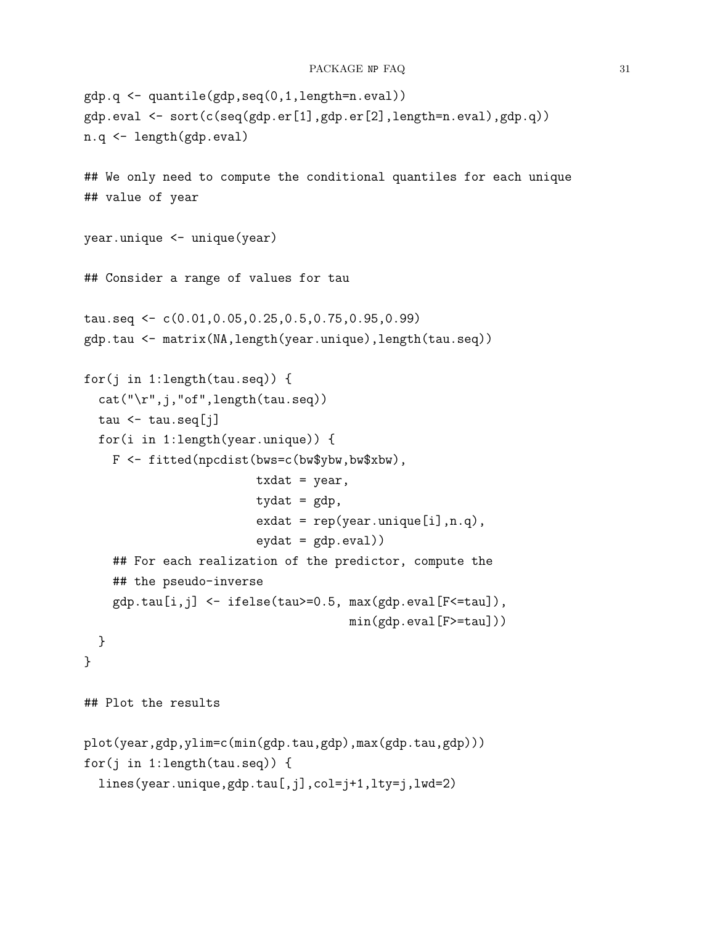```
gdp.q <- quantile(gdp,seq(0,1,length=n.eval))
gdp.eval <- sort(c(seq(gdp.er[1],gdp.er[2],length=n.eval),gdp.q))
n.q <- length(gdp.eval)
## We only need to compute the conditional quantiles for each unique
## value of year
year.unique <- unique(year)
## Consider a range of values for tau
tau.seq <- c(0.01,0.05,0.25,0.5,0.75,0.95,0.99)
gdp.tau <- matrix(NA,length(year.unique),length(tau.seq))
for(j in 1:length(tau.seq)) {
  cat("\r",j,"of",length(tau.seq))
  tau \leftarrow tau.seq[j]
  for(i in 1:length(year.unique)) {
    F <- fitted(npcdist(bws=c(bw$ybw,bw$xbw),
                        txdat = year,tydat = gdp,
                        ext = rep(year.unique[i], n.q),eydat = gdp. <math>eval)## For each realization of the predictor, compute the
    ## the pseudo-inverse
    gdp.tau[i,j] <- ifelse(tau>=0.5, max(gdp.eval[F<=tau]),
                                      min(gdp.eval[F>=tau]))
  }
}
## Plot the results
plot(year,gdp,ylim=c(min(gdp.tau,gdp),max(gdp.tau,gdp)))
for(j in 1:length(tau.seq)) {
  lines(year.unique,gdp.tau[,j],col=j+1,lty=j,lwd=2)
```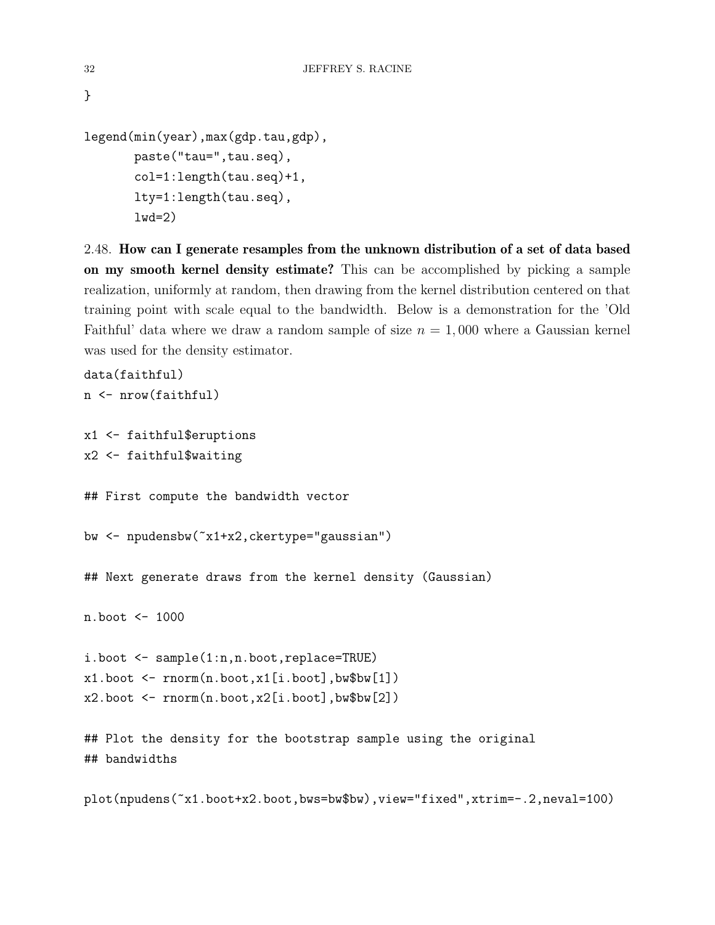```
legend(min(year),max(gdp.tau,gdp),
       paste("tau=",tau.seq),
       col=1:length(tau.seq)+1,
       lty=1:length(tau.seq),
       1wd=2)
```
<span id="page-31-0"></span>2.48. How can I generate resamples from the unknown distribution of a set of data based on my smooth kernel density estimate? This can be accomplished by picking a sample realization, uniformly at random, then drawing from the kernel distribution centered on that training point with scale equal to the bandwidth. Below is a demonstration for the 'Old Faithful' data where we draw a random sample of size  $n = 1,000$  where a Gaussian kernel was used for the density estimator.

```
data(faithful)
n <- nrow(faithful)
x1 <- faithful$eruptions
x2 <- faithful$waiting
## First compute the bandwidth vector
bw <- npudensbw(~x1+x2,ckertype="gaussian")
## Next generate draws from the kernel density (Gaussian)
n.boot <- 1000
i.boot <- sample(1:n,n.boot,replace=TRUE)
x1.boot \leq rnorm(n.boot,x1[i.boot],bw$bw[1])
x2.boot \leq rnorm(n.boot,x2[i.boot],bw$bw[2])## Plot the density for the bootstrap sample using the original
## bandwidths
```
plot(npudens(~x1.boot+x2.boot,bws=bw\$bw),view="fixed",xtrim=-.2,neval=100)

}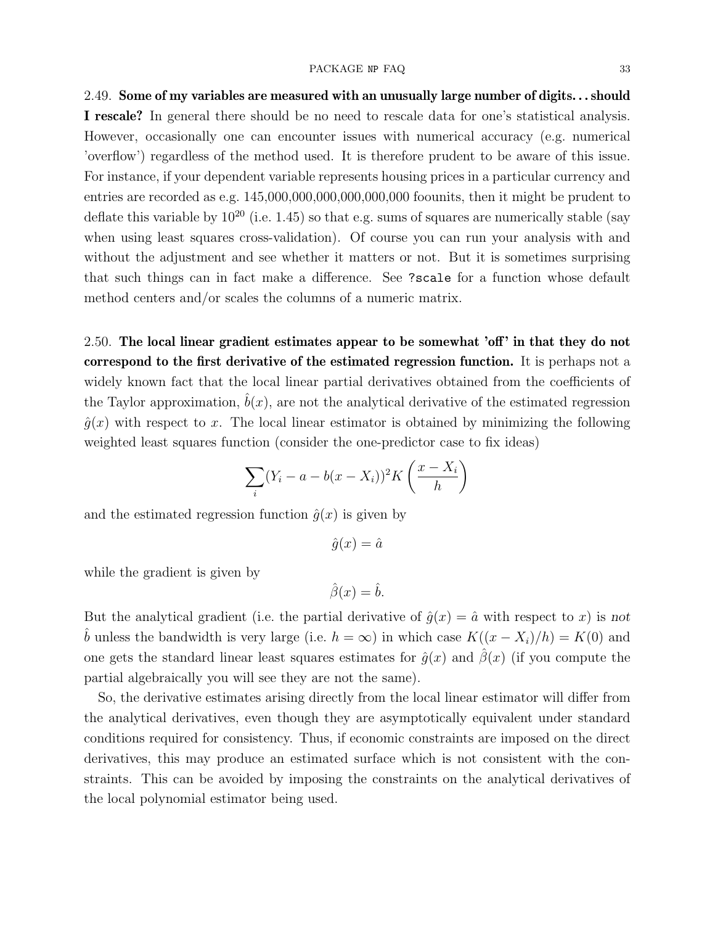#### PACKAGE NP FAQ 33

<span id="page-32-0"></span>2.49. Some of my variables are measured with an unusually large number of digits. . . should I rescale? In general there should be no need to rescale data for one's statistical analysis. However, occasionally one can encounter issues with numerical accuracy (e.g. numerical 'overflow') regardless of the method used. It is therefore prudent to be aware of this issue. For instance, if your dependent variable represents housing prices in a particular currency and entries are recorded as e.g. 145,000,000,000,000,000,000 foounits, then it might be prudent to deflate this variable by  $10^{20}$  (i.e. 1.45) so that e.g. sums of squares are numerically stable (say when using least squares cross-validation). Of course you can run your analysis with and without the adjustment and see whether it matters or not. But it is sometimes surprising that such things can in fact make a difference. See ?scale for a function whose default method centers and/or scales the columns of a numeric matrix.

<span id="page-32-1"></span>2.50. The local linear gradient estimates appear to be somewhat 'off' in that they do not correspond to the first derivative of the estimated regression function. It is perhaps not a widely known fact that the local linear partial derivatives obtained from the coefficients of the Taylor approximation,  $b(x)$ , are not the analytical derivative of the estimated regression  $\hat{q}(x)$  with respect to x. The local linear estimator is obtained by minimizing the following weighted least squares function (consider the one-predictor case to fix ideas)

$$
\sum_{i} (Y_i - a - b(x - X_i))^2 K\left(\frac{x - X_i}{h}\right)
$$

and the estimated regression function  $\hat{q}(x)$  is given by

$$
\hat{g}(x) = \hat{a}
$$

while the gradient is given by

$$
\hat{\beta}(x) = \hat{b}.
$$

But the analytical gradient (i.e. the partial derivative of  $\hat{g}(x) = \hat{a}$  with respect to x) is not b unless the bandwidth is very large (i.e.  $h = \infty$ ) in which case  $K((x - X_i)/h) = K(0)$  and one gets the standard linear least squares estimates for  $\hat{g}(x)$  and  $\hat{\beta}(x)$  (if you compute the partial algebraically you will see they are not the same).

So, the derivative estimates arising directly from the local linear estimator will differ from the analytical derivatives, even though they are asymptotically equivalent under standard conditions required for consistency. Thus, if economic constraints are imposed on the direct derivatives, this may produce an estimated surface which is not consistent with the constraints. This can be avoided by imposing the constraints on the analytical derivatives of the local polynomial estimator being used.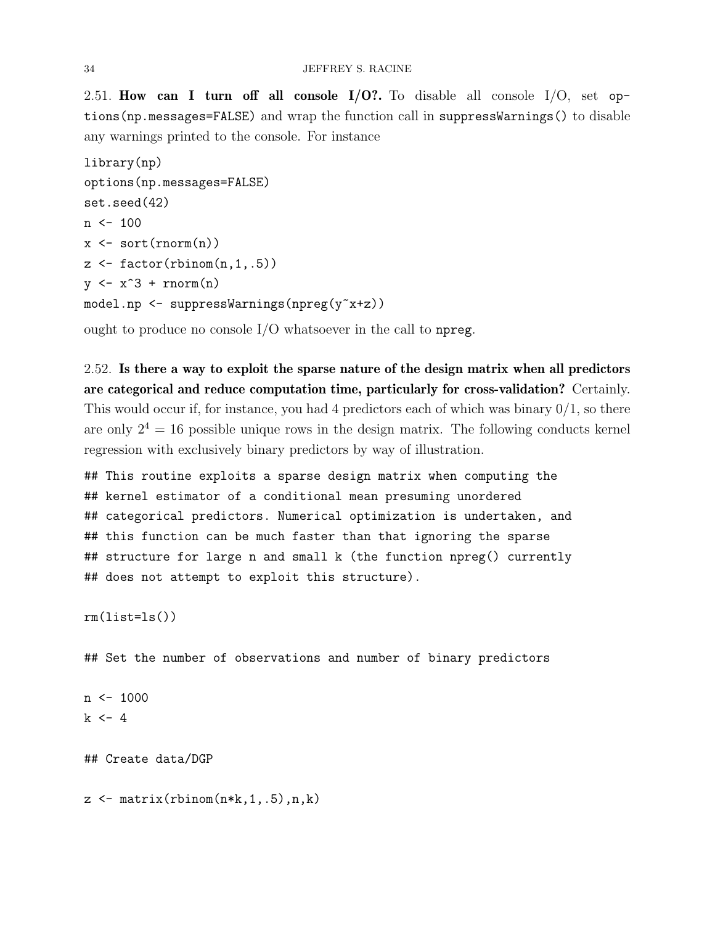<span id="page-33-0"></span>2.51. How can I turn off all console  $I/O$ ?. To disable all console  $I/O$ , set options(np.messages=FALSE) and wrap the function call in suppressWarnings() to disable any warnings printed to the console. For instance

```
library(np)
options(np.messages=FALSE)
set.seed(42)
n \le -100x \leftarrow sort(rnorm(n))z \leftarrow factor(rbinom(n,1,.5))
y \leftarrow x^3 + \text{rnorm}(n)model.np <- suppressWarnings(npreg(y~x+z))
```
ought to produce no console I/O whatsoever in the call to npreg.

<span id="page-33-1"></span>2.52. Is there a way to exploit the sparse nature of the design matrix when all predictors are categorical and reduce computation time, particularly for cross-validation? Certainly. This would occur if, for instance, you had 4 predictors each of which was binary  $0/1$ , so there are only  $2^4 = 16$  possible unique rows in the design matrix. The following conducts kernel regression with exclusively binary predictors by way of illustration.

## This routine exploits a sparse design matrix when computing the ## kernel estimator of a conditional mean presuming unordered ## categorical predictors. Numerical optimization is undertaken, and ## this function can be much faster than that ignoring the sparse ## structure for large n and small k (the function npreg() currently ## does not attempt to exploit this structure).

rm(list=ls())

## Set the number of observations and number of binary predictors

```
n \le -1000k \le -4
```
## Create data/DGP

 $z \leftarrow \text{matrix(rbinom(n*k, 1, .5), n, k}$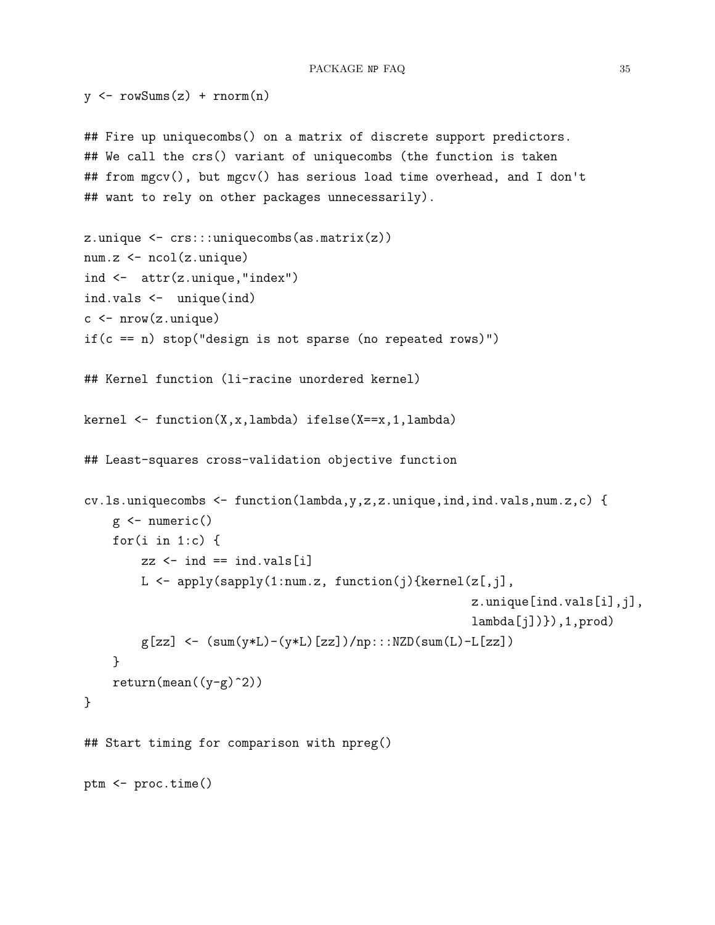```
y \leftarrow \text{rowSums}(z) + \text{norm}(n)## Fire up uniquecombs() on a matrix of discrete support predictors.
## We call the crs() variant of uniquecombs (the function is taken
## from mgcv(), but mgcv() has serious load time overhead, and I don't
## want to rely on other packages unnecessarily).
z.\text{unique} \leftarrow \text{crs}::\text{unique} \left(\text{as}.\text{matrix}(z)\right)num.z <- ncol(z.unique)
ind <- attr(z.unique,"index")
ind.vals <- unique(ind)
c \leftarrow \text{nrow}(z.\text{unique})if(c == n) stop("design is not sparse (no repeated rows)")## Kernel function (li-racine unordered kernel)
kernel \leq function(X,x,lambda) ifelse(X==x,1,lambda)
## Least-squares cross-validation objective function
cv.ls.uniquecombs <- function(lambda,y,z,z.unique,ind,ind.vals,num.z,c) {
    g <- numeric()
    for(i \text{ in } 1:c) {
         zz \le - ind == ind.vals[i]
         L \leftarrow apply(sapply(1:num.z, function(j){kernel(z[,j],
                                                            z.unique[ind.vals[i],j],
                                                            lambda[j]/),1,prod)g[zz] <- (sum(y*L)-(y*L)[zz])/np::NZD(sum(L)-L[zz])}
    return(mean((y-g)^2))}
## Start timing for comparison with npreg()
ptm <- proc.time()
```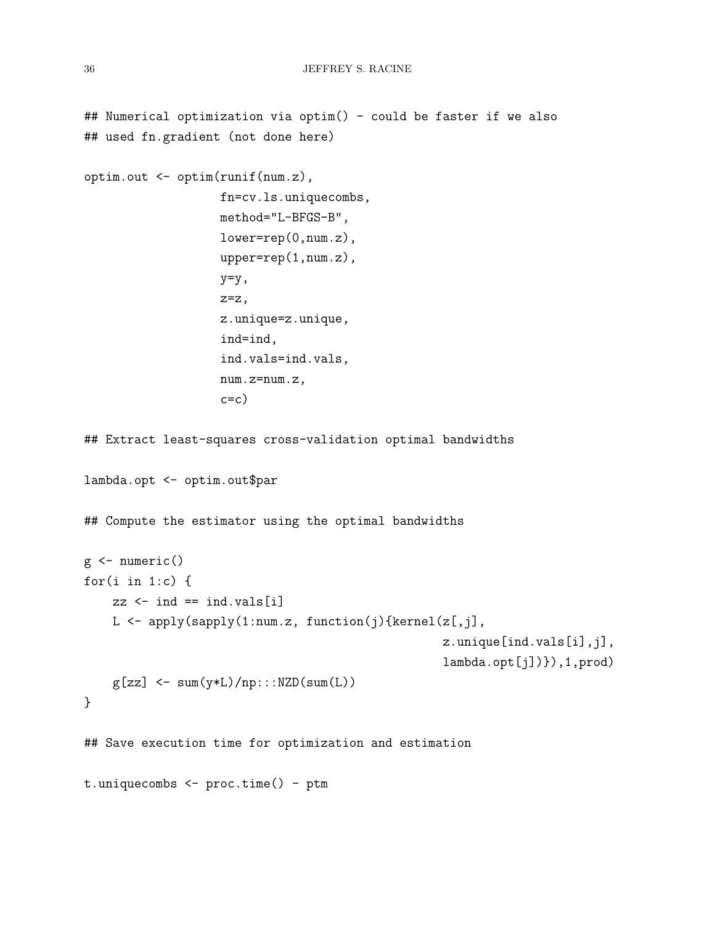## Numerical optimization via optim() - could be faster if we also

```
## used fn.gradient (not done here)
optim.out <- optim(runif(num.z),
                    fn=cv.ls.uniquecombs,
                    method="L-BFGS-B",
                    lower=rep(0,num.z),
                    upper=rep(1,num.z),
                    y=y,
                    z=z,
                    z.unique=z.unique,
                    ind=ind,
                    ind.vals=ind.vals,
                    num.z=num.z,
                    c=c)
## Extract least-squares cross-validation optimal bandwidths
lambda.opt <- optim.out$par
## Compute the estimator using the optimal bandwidths
g \leftarrow numeric()
for(i \text{ in } 1:c) {
    zz \leftarrow \text{ind} == \text{ind}.\text{vals}[i]L <- apply(sapply(1:num.z, function(j){kernel(z[,j],
                                                      z.unique[ind.vals[i],j],
                                                      lambda.opt[j])}),1,prod)
    g[zz] <- sum(y*L)/np:::NZD(sum(L))
}
## Save execution time for optimization and estimation
t.uniquecombs <- proc.time() - ptm
```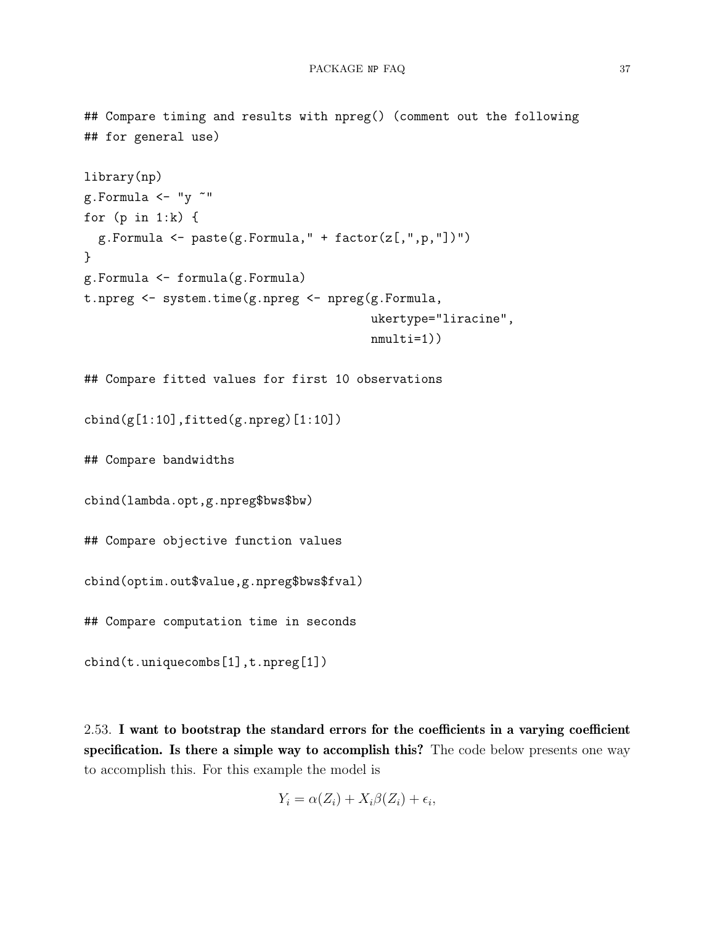```
## Compare timing and results with npreg() (comment out the following
## for general use)
library(np)
g.Formula \leftarrow "y"for (p in 1:k) {
  g.Formula <- paste(g.Formula," + factor(z[,",p,"])")
}
g.Formula <- formula(g.Formula)
t.npreg <- system.time(g.npreg <- npreg(g.Formula,
                                         ukertype="liracine",
                                         nmulti=1))
## Compare fitted values for first 10 observations
cbind(g[1:10], fitted(g.npreg)[1:10])## Compare bandwidths
cbind(lambda.opt,g.npreg$bws$bw)
## Compare objective function values
cbind(optim.out$value,g.npreg$bws$fval)
## Compare computation time in seconds
cbind(t.uniquecombs[1],t.npreg[1])
```
<span id="page-36-0"></span>2.53. I want to bootstrap the standard errors for the coefficients in a varying coefficient specification. Is there a simple way to accomplish this? The code below presents one way to accomplish this. For this example the model is

$$
Y_i = \alpha(Z_i) + X_i \beta(Z_i) + \epsilon_i,
$$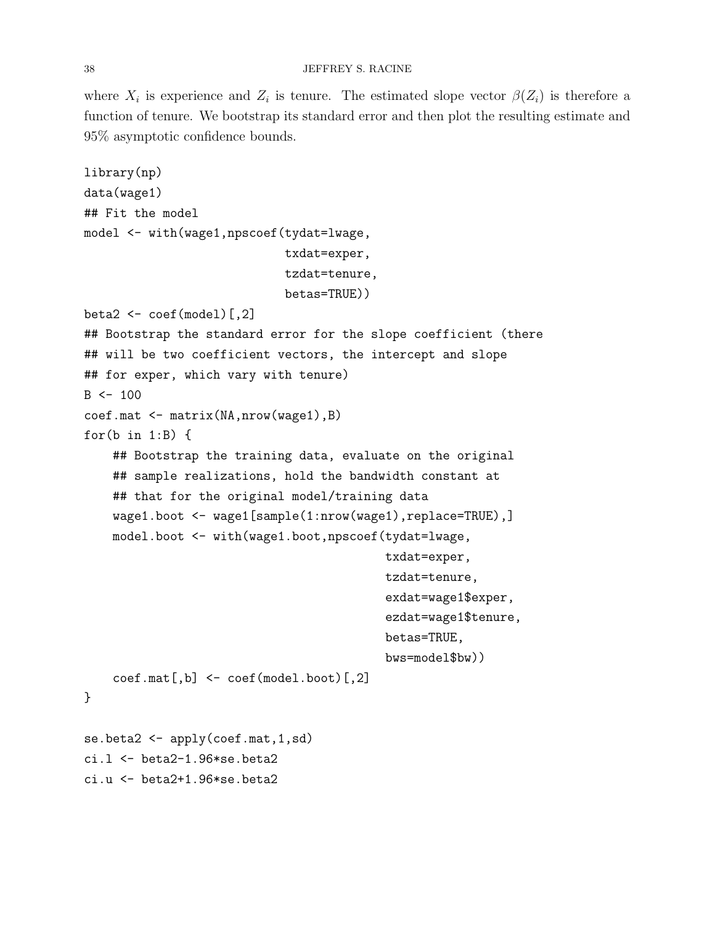where  $X_i$  is experience and  $Z_i$  is tenure. The estimated slope vector  $\beta(Z_i)$  is therefore a function of tenure. We bootstrap its standard error and then plot the resulting estimate and 95% asymptotic confidence bounds.

```
library(np)
data(wage1)
## Fit the model
model <- with(wage1,npscoef(tydat=lwage,
                             txdat=exper,
                             tzdat=tenure,
                             betas=TRUE))
beta2 \leftarrow \text{coef}(\text{model}) [, 2]
## Bootstrap the standard error for the slope coefficient (there
## will be two coefficient vectors, the intercept and slope
## for exper, which vary with tenure)
B < - 100coef.mat <- matrix(NA,nrow(wage1),B)
for(b in 1:B) {
    ## Bootstrap the training data, evaluate on the original
    ## sample realizations, hold the bandwidth constant at
    ## that for the original model/training data
    wage1.boot <- wage1[sample(1:nrow(wage1),replace=TRUE),]
    model.boot <- with(wage1.boot,npscoef(tydat=lwage,
                                            txdat=exper,
                                            tzdat=tenure,
                                             exdat=wage1$exper,
                                             ezdat=wage1$tenure,
                                            betas=TRUE,
                                            bws=model$bw))
    coeff(model.boot)[,2] <- coeff(model.boot)[,2]}
se.beta2 <- apply(coef.mat, 1, sd)
ci.l <- beta2-1.96*se.beta2
```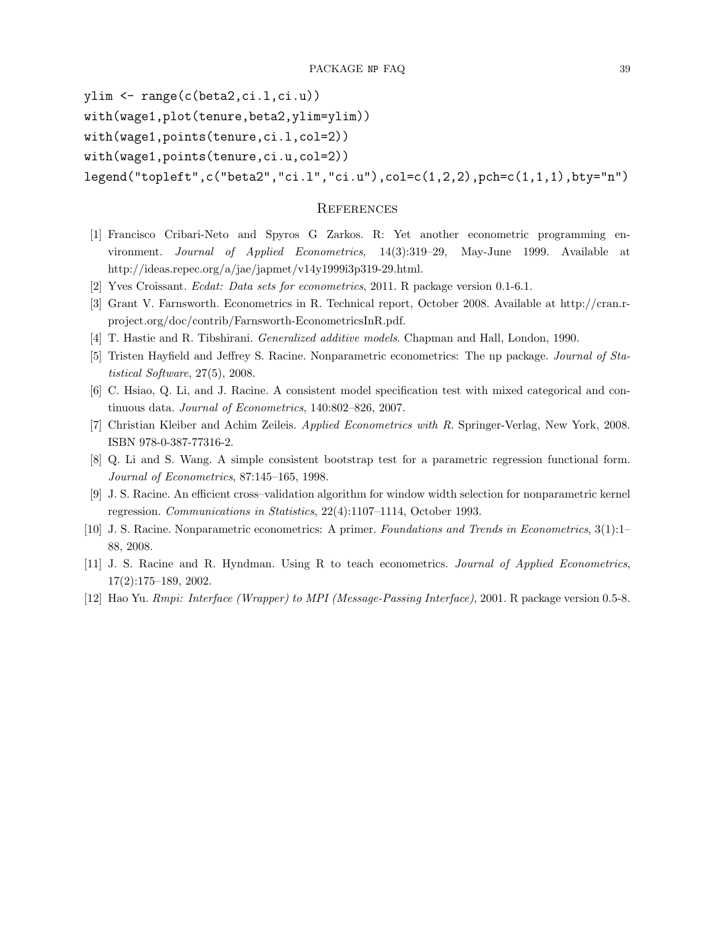ylim <- range(c(beta2,ci.l,ci.u))

with(wage1,plot(tenure,beta2,ylim=ylim))

with(wage1,points(tenure,ci.l,col=2))

with(wage1,points(tenure,ci.u,col=2))

```
legend("topleft",c("beta2","ci.l","ci.u"),col=c(1,2,2),pch=c(1,1,1),bty="n")
```
## <span id="page-38-1"></span>**REFERENCES**

- <span id="page-38-2"></span>[1] Francisco Cribari-Neto and Spyros G Zarkos. R: Yet another econometric programming environment. Journal of Applied Econometrics, 14(3):319–29, May-June 1999. Available at http://ideas.repec.org/a/jae/japmet/v14y1999i3p319-29.html.
- <span id="page-38-5"></span>[2] Yves Croissant. Ecdat: Data sets for econometrics, 2011. R package version 0.1-6.1.
- <span id="page-38-4"></span>[3] Grant V. Farnsworth. Econometrics in R. Technical report, October 2008. Available at http://cran.rproject.org/doc/contrib/Farnsworth-EconometricsInR.pdf.
- <span id="page-38-12"></span>[4] T. Hastie and R. Tibshirani. Generalized additive models. Chapman and Hall, London, 1990.
- <span id="page-38-7"></span>[5] Tristen Hayfield and Jeffrey S. Racine. Nonparametric econometrics: The np package. Journal of Statistical Software, 27(5), 2008.
- <span id="page-38-0"></span>[6] C. Hsiao, Q. Li, and J. Racine. A consistent model specification test with mixed categorical and continuous data. Journal of Econometrics, 140:802–826, 2007.
- <span id="page-38-6"></span>[7] Christian Kleiber and Achim Zeileis. Applied Econometrics with R. Springer-Verlag, New York, 2008. ISBN 978-0-387-77316-2.
- <span id="page-38-11"></span>[8] Q. Li and S. Wang. A simple consistent bootstrap test for a parametric regression functional form. Journal of Econometrics, 87:145–165, 1998.
- <span id="page-38-10"></span>[9] J. S. Racine. An efficient cross–validation algorithm for window width selection for nonparametric kernel regression. Communications in Statistics, 22(4):1107–1114, October 1993.
- <span id="page-38-8"></span>[10] J. S. Racine. Nonparametric econometrics: A primer. Foundations and Trends in Econometrics, 3(1):1– 88, 2008.
- <span id="page-38-3"></span>[11] J. S. Racine and R. Hyndman. Using R to teach econometrics. Journal of Applied Econometrics, 17(2):175–189, 2002.
- <span id="page-38-9"></span>[12] Hao Yu. Rmpi: Interface (Wrapper) to MPI (Message-Passing Interface), 2001. R package version 0.5-8.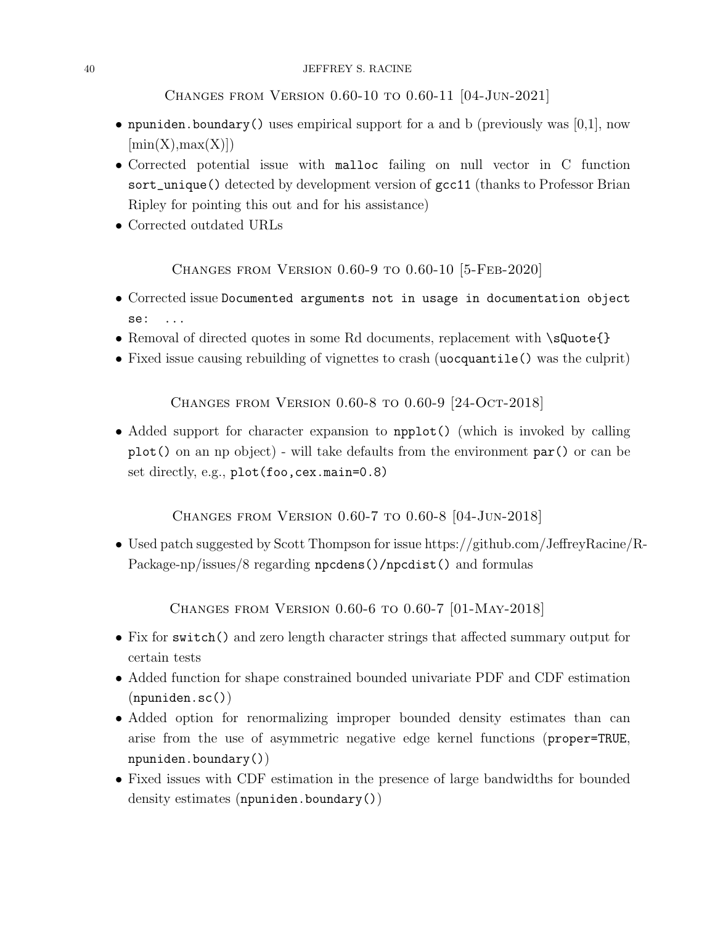<span id="page-39-0"></span>Changes from Version 0.60-10 to 0.60-11 [04-Jun-2021]

- npuniden.boundary() uses empirical support for a and b (previously was  $[0,1]$ , now  $[\min(X), \max(X)]$
- Corrected potential issue with malloc failing on null vector in C function sort\_unique() detected by development version of gcc11 (thanks to Professor Brian Ripley for pointing this out and for his assistance)
- Corrected outdated URLs

<span id="page-39-1"></span>Changes from Version 0.60-9 to 0.60-10 [5-Feb-2020]

- Corrected issue Documented arguments not in usage in documentation object se: ...
- Removal of directed quotes in some Rd documents, replacement with \sQuote{}
- Fixed issue causing rebuilding of vignettes to crash (uocquantile() was the culprit)

<span id="page-39-2"></span>Changes from Version 0.60-8 to 0.60-9 [24-Oct-2018]

• Added support for character expansion to npplot() (which is invoked by calling plot() on an np object) - will take defaults from the environment par() or can be set directly, e.g., plot(foo,cex.main=0.8)

<span id="page-39-3"></span>Changes from Version 0.60-7 to 0.60-8 [04-Jun-2018]

• Used patch suggested by Scott Thompson for issue https://github.com/JeffreyRacine/R-Package-np/issues/8 regarding npcdens()/npcdist() and formulas

<span id="page-39-4"></span>Changes from Version 0.60-6 to 0.60-7 [01-May-2018]

- Fix for switch() and zero length character strings that affected summary output for certain tests
- Added function for shape constrained bounded univariate PDF and CDF estimation (npuniden.sc())
- Added option for renormalizing improper bounded density estimates than can arise from the use of asymmetric negative edge kernel functions (proper=TRUE, npuniden.boundary())
- Fixed issues with CDF estimation in the presence of large bandwidths for bounded density estimates (npuniden.boundary())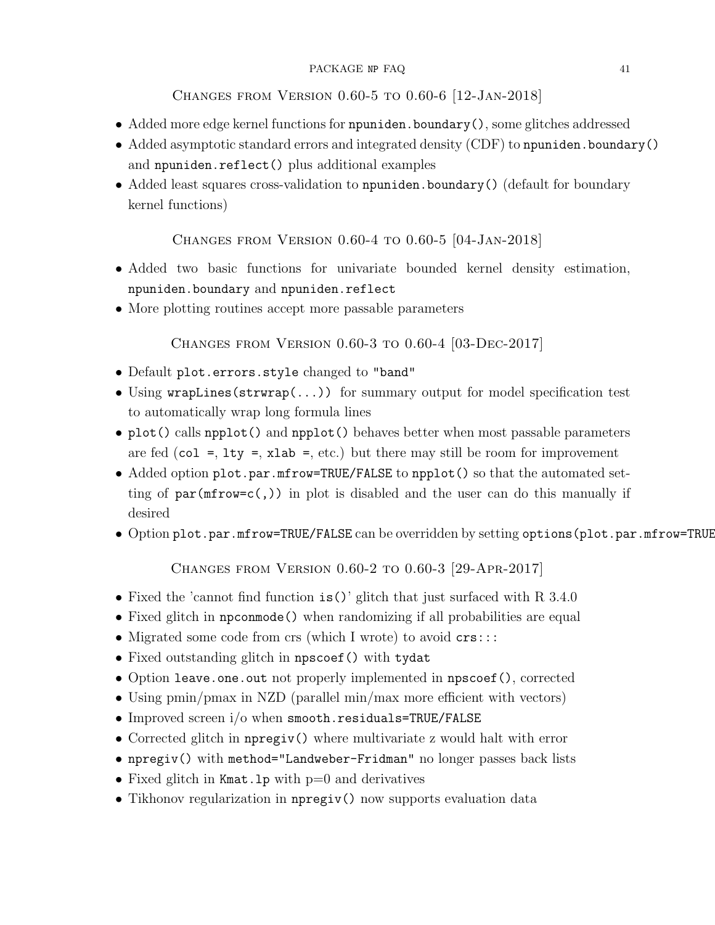## PACKAGE NP FAQ 41

<span id="page-40-0"></span>Changes from Version 0.60-5 to 0.60-6 [12-Jan-2018]

- Added more edge kernel functions for npuniden.boundary(), some glitches addressed
- Added asymptotic standard errors and integrated density (CDF) to npuniden.boundary() and npuniden.reflect() plus additional examples
- Added least squares cross-validation to npuniden.boundary() (default for boundary kernel functions)

# <span id="page-40-1"></span>Changes from Version 0.60-4 to 0.60-5 [04-Jan-2018]

- Added two basic functions for univariate bounded kernel density estimation, npuniden.boundary and npuniden.reflect
- More plotting routines accept more passable parameters

<span id="page-40-2"></span>Changes from Version 0.60-3 to 0.60-4 [03-Dec-2017]

- Default plot.errors.style changed to "band"
- Using wrapLines(strwrap(...)) for summary output for model specification test to automatically wrap long formula lines
- plot() calls npplot() and npplot() behaves better when most passable parameters are fed (col =, lty =, xlab =, etc.) but there may still be room for improvement
- Added option plot.par.mfrow=TRUE/FALSE to npplot() so that the automated setting of  $par(mfrow=c($ ,)) in plot is disabled and the user can do this manually if desired
- Option plot.par.mfrow=TRUE/FALSE can be overridden by setting options(plot.par.mfrow=TRUE/

<span id="page-40-3"></span>Changes from Version 0.60-2 to 0.60-3 [29-Apr-2017]

- Fixed the 'cannot find function is()' glitch that just surfaced with R 3.4.0
- Fixed glitch in npconmode() when randomizing if all probabilities are equal
- Migrated some code from crs (which I wrote) to avoid  $\text{crs}$ ::
- Fixed outstanding glitch in npscoef() with tydat
- Option leave.one.out not properly implemented in npscoef(), corrected
- Using pmin/pmax in NZD (parallel min/max more efficient with vectors)
- Improved screen i/o when smooth.residuals=TRUE/FALSE
- Corrected glitch in npregiv() where multivariate z would halt with error
- npregiv() with method="Landweber-Fridman" no longer passes back lists
- Fixed glitch in Kmat.lp with  $p=0$  and derivatives
- Tikhonov regularization in npregiv() now supports evaluation data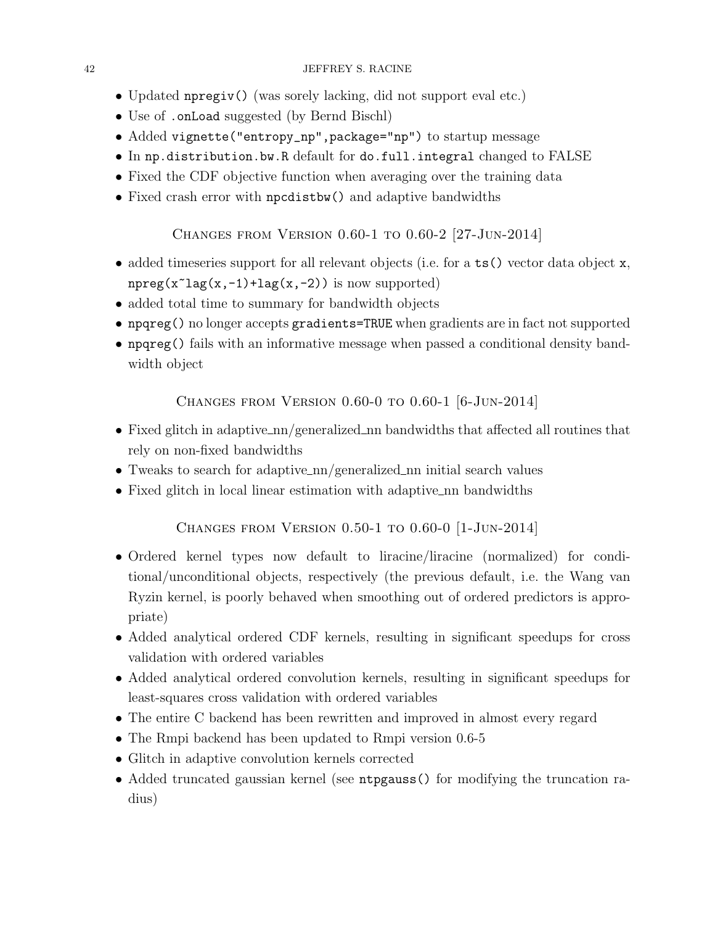- Updated npregiv() (was sorely lacking, did not support eval etc.)
- Use of .onLoad suggested (by Bernd Bischl)
- Added vignette("entropy\_np",package="np") to startup message
- In np.distribution.bw.R default for do.full.integral changed to FALSE
- Fixed the CDF objective function when averaging over the training data
- Fixed crash error with npcdistbw() and adaptive bandwidths

<span id="page-41-0"></span>Changes from Version 0.60-1 to 0.60-2 [27-Jun-2014]

- added timeseries support for all relevant objects (i.e. for a ts() vector data object x,  $npreg(x^lag(x,-1)+lag(x,-2))$  is now supported)
- added total time to summary for bandwidth objects
- npqreg() no longer accepts gradients=TRUE when gradients are in fact not supported
- npqreg() fails with an informative message when passed a conditional density bandwidth object

<span id="page-41-1"></span>Changes from Version 0.60-0 to 0.60-1 [6-Jun-2014]

- Fixed glitch in adaptive  $\text{nm}/\text{generalized}\text{nm}$  bandwidths that affected all routines that rely on non-fixed bandwidths
- Tweaks to search for adaptive nn/generalized nn initial search values
- Fixed glitch in local linear estimation with adaptive nn bandwidths

<span id="page-41-2"></span>Changes from Version 0.50-1 to 0.60-0 [1-Jun-2014]

- Ordered kernel types now default to liracine/liracine (normalized) for conditional/unconditional objects, respectively (the previous default, i.e. the Wang van Ryzin kernel, is poorly behaved when smoothing out of ordered predictors is appropriate)
- Added analytical ordered CDF kernels, resulting in significant speedups for cross validation with ordered variables
- Added analytical ordered convolution kernels, resulting in significant speedups for least-squares cross validation with ordered variables
- The entire C backend has been rewritten and improved in almost every regard
- The Rmpi backend has been updated to Rmpi version 0.6-5
- Glitch in adaptive convolution kernels corrected
- Added truncated gaussian kernel (see ntpgauss() for modifying the truncation radius)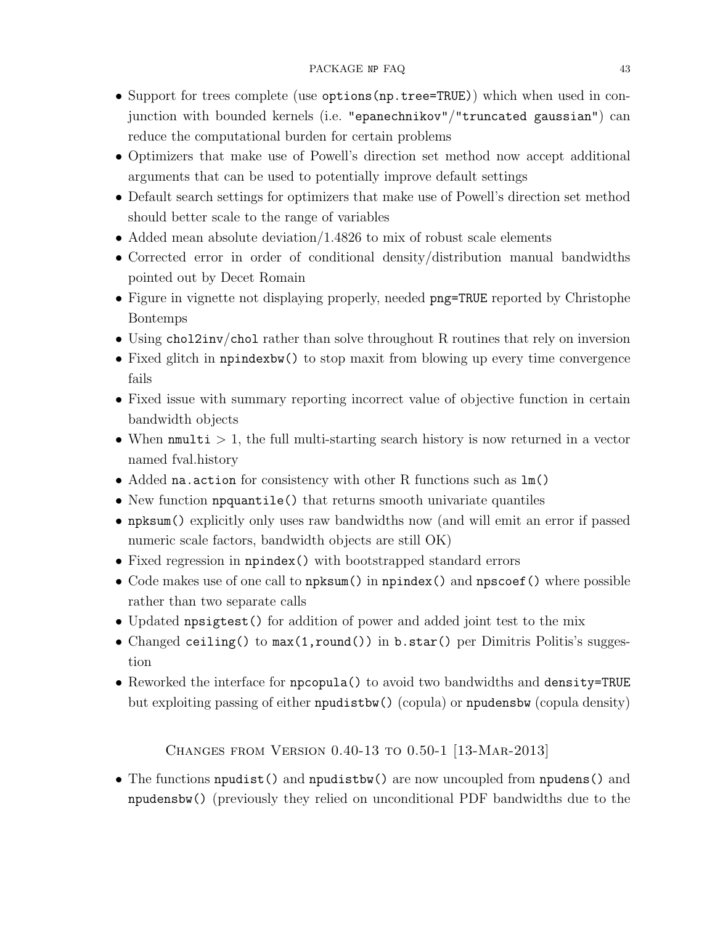- Support for trees complete (use options(np.tree=TRUE)) which when used in conjunction with bounded kernels (i.e. "epanechnikov"/"truncated gaussian") can reduce the computational burden for certain problems
- Optimizers that make use of Powell's direction set method now accept additional arguments that can be used to potentially improve default settings
- Default search settings for optimizers that make use of Powell's direction set method should better scale to the range of variables
- Added mean absolute deviation/1.4826 to mix of robust scale elements
- Corrected error in order of conditional density/distribution manual bandwidths pointed out by Decet Romain
- Figure in vignette not displaying properly, needed png=TRUE reported by Christophe Bontemps
- Using chol2inv/chol rather than solve throughout R routines that rely on inversion
- Fixed glitch in npindexbw() to stop maxit from blowing up every time convergence fails
- Fixed issue with summary reporting incorrect value of objective function in certain bandwidth objects
- When  $\text{mmulti} > 1$ , the full multi-starting search history is now returned in a vector named fval.history
- Added na.action for consistency with other R functions such as lm()
- New function npquantile() that returns smooth univariate quantiles
- npksum() explicitly only uses raw bandwidths now (and will emit an error if passed numeric scale factors, bandwidth objects are still OK)
- Fixed regression in npindex() with bootstrapped standard errors
- Code makes use of one call to npksum() in npindex() and npscoef() where possible rather than two separate calls
- Updated npsigtest() for addition of power and added joint test to the mix
- Changed ceiling() to max(1,round()) in b.star() per Dimitris Politis's suggestion
- Reworked the interface for npcopula() to avoid two bandwidths and density=TRUE but exploiting passing of either npudistbw() (copula) or npudensbw (copula density)

<span id="page-42-0"></span>Changes from Version 0.40-13 to 0.50-1 [13-Mar-2013]

• The functions npudist() and npudistbw() are now uncoupled from npudens() and npudensbw() (previously they relied on unconditional PDF bandwidths due to the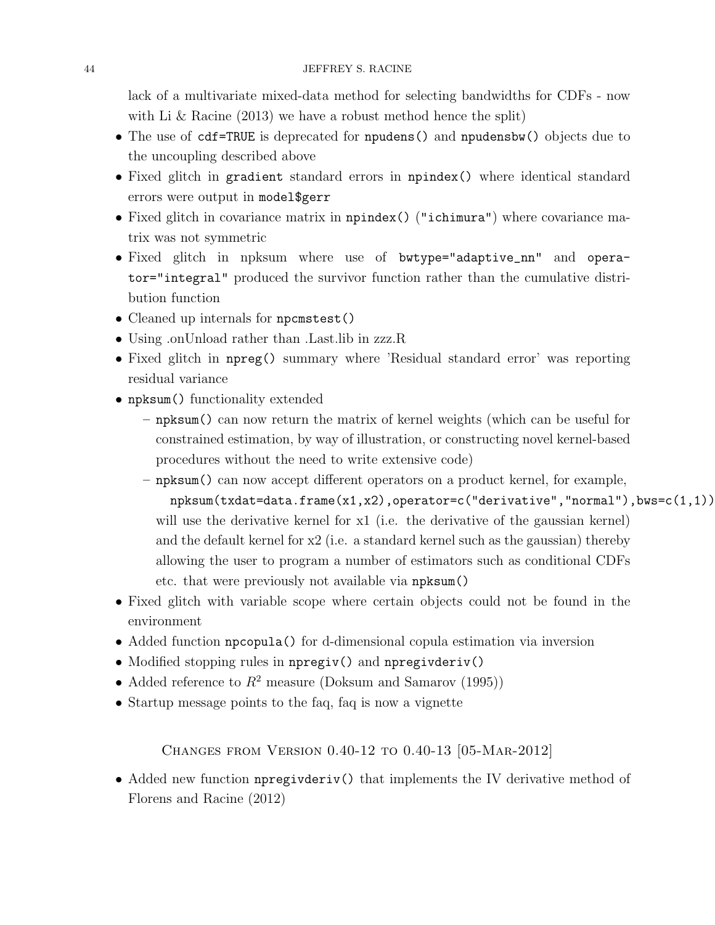lack of a multivariate mixed-data method for selecting bandwidths for CDFs - now with Li & Racine (2013) we have a robust method hence the split)

- The use of cdf=TRUE is deprecated for npudens() and npudensbw() objects due to the uncoupling described above
- Fixed glitch in gradient standard errors in npindex() where identical standard errors were output in model\$gerr
- Fixed glitch in covariance matrix in npindex() ("ichimura") where covariance matrix was not symmetric
- Fixed glitch in npksum where use of bwtype="adaptive\_nn" and operator="integral" produced the survivor function rather than the cumulative distribution function
- Cleaned up internals for npcmstest()
- Using .on Unload rather than . Last. lib in zzz. R
- Fixed glitch in npreg() summary where 'Residual standard error' was reporting residual variance
- npksum() functionality extended
	- npksum() can now return the matrix of kernel weights (which can be useful for constrained estimation, by way of illustration, or constructing novel kernel-based procedures without the need to write extensive code)
	- npksum() can now accept different operators on a product kernel, for example, npksum(txdat=data.frame(x1,x2),operator=c("derivative","normal"),bws=c(1,1)) will use the derivative kernel for x1 (i.e. the derivative of the gaussian kernel) and the default kernel for x2 (i.e. a standard kernel such as the gaussian) thereby allowing the user to program a number of estimators such as conditional CDFs etc. that were previously not available via npksum()
- Fixed glitch with variable scope where certain objects could not be found in the environment
- Added function npcopula() for d-dimensional copula estimation via inversion
- Modified stopping rules in npregiv() and npregivderiv()
- Added reference to  $R^2$  measure (Doksum and Samarov (1995))
- Startup message points to the faq, faq is now a vignette

<span id="page-43-0"></span>Changes from Version 0.40-12 to 0.40-13 [05-Mar-2012]

• Added new function **npregivderiv**() that implements the IV derivative method of Florens and Racine (2012)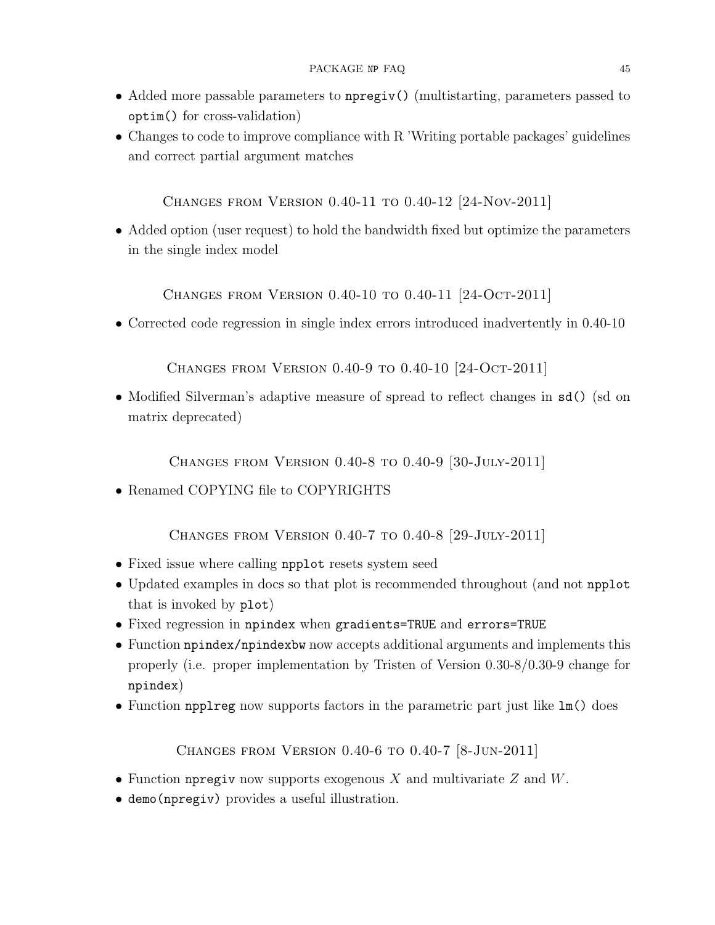- Added more passable parameters to npregiv() (multistarting, parameters passed to optim() for cross-validation)
- Changes to code to improve compliance with R 'Writing portable packages' guidelines and correct partial argument matches

<span id="page-44-0"></span>Changes from Version 0.40-11 to 0.40-12 [24-Nov-2011]

• Added option (user request) to hold the bandwidth fixed but optimize the parameters in the single index model

<span id="page-44-1"></span>Changes from Version 0.40-10 to 0.40-11 [24-Oct-2011]

• Corrected code regression in single index errors introduced inadvertently in 0.40-10

<span id="page-44-2"></span>Changes from Version 0.40-9 to 0.40-10 [24-Oct-2011]

• Modified Silverman's adaptive measure of spread to reflect changes in  $sd()$  (sd on matrix deprecated)

<span id="page-44-3"></span>Changes from Version 0.40-8 to 0.40-9 [30-July-2011]

• Renamed COPYING file to COPYRIGHTS

<span id="page-44-4"></span>Changes from Version 0.40-7 to 0.40-8 [29-July-2011]

- Fixed issue where calling npplot resets system seed
- Updated examples in docs so that plot is recommended throughout (and not npplot that is invoked by plot)
- Fixed regression in npindex when gradients=TRUE and errors=TRUE
- Function npindex/npindexbw now accepts additional arguments and implements this properly (i.e. proper implementation by Tristen of Version 0.30-8/0.30-9 change for npindex)
- Function npplreg now supports factors in the parametric part just like  $lm()$  does

<span id="page-44-5"></span>Changes from Version 0.40-6 to 0.40-7 [8-Jun-2011]

- Function npregive now supports exogenous X and multivariate  $Z$  and  $W$ .
- demo(npregiv) provides a useful illustration.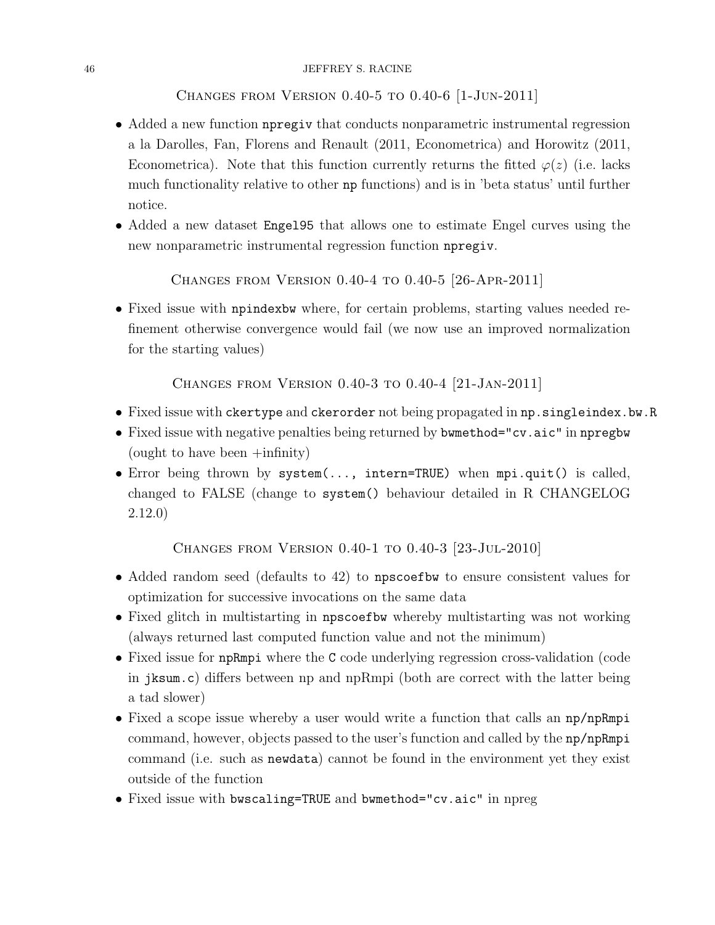### 46 JEFFREY S. RACINE

<span id="page-45-0"></span>Changes from Version 0.40-5 to 0.40-6 [1-Jun-2011]

- Added a new function npregiv that conducts nonparametric instrumental regression a la Darolles, Fan, Florens and Renault (2011, Econometrica) and Horowitz (2011, Econometrica). Note that this function currently returns the fitted  $\varphi(z)$  (i.e. lacks much functionality relative to other np functions) and is in 'beta status' until further notice.
- Added a new dataset Engel95 that allows one to estimate Engel curves using the new nonparametric instrumental regression function npregiv.

<span id="page-45-1"></span>Changes from Version 0.40-4 to 0.40-5 [26-Apr-2011]

• Fixed issue with npindexbw where, for certain problems, starting values needed refinement otherwise convergence would fail (we now use an improved normalization for the starting values)

<span id="page-45-2"></span>Changes from Version 0.40-3 to 0.40-4 [21-Jan-2011]

- Fixed issue with ckertype and ckerorder not being propagated in np.singleindex.bw.R
- Fixed issue with negative penalties being returned by bwmethod="cv.aic" in npregbw (ought to have been +infinity)
- Error being thrown by system(..., intern=TRUE) when mpi.quit() is called, changed to FALSE (change to system() behaviour detailed in R CHANGELOG 2.12.0)

<span id="page-45-3"></span>Changes from Version 0.40-1 to 0.40-3 [23-Jul-2010]

- Added random seed (defaults to 42) to npscoefbw to ensure consistent values for optimization for successive invocations on the same data
- Fixed glitch in multistarting in npscoefbw whereby multistarting was not working (always returned last computed function value and not the minimum)
- Fixed issue for npRmpi where the C code underlying regression cross-validation (code in jksum.c) differs between np and npRmpi (both are correct with the latter being a tad slower)
- Fixed a scope issue whereby a user would write a function that calls an np/npRmpi command, however, objects passed to the user's function and called by the np/npRmpi command (i.e. such as newdata) cannot be found in the environment yet they exist outside of the function
- Fixed issue with bwscaling=TRUE and bwmethod="cv.aic" in npreg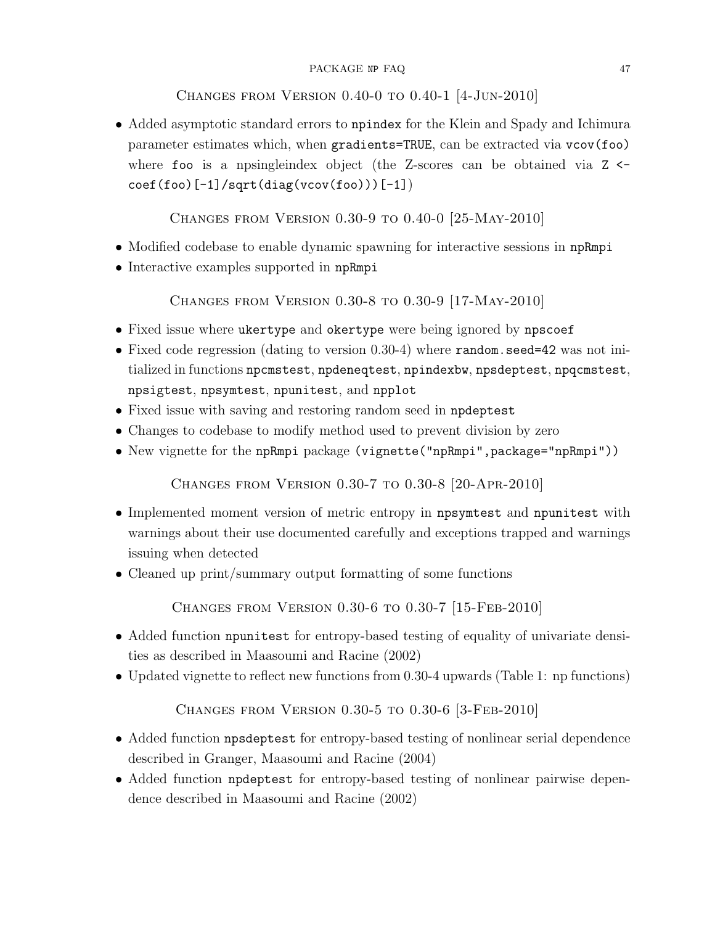### PACKAGE NP FAQ 47

# <span id="page-46-0"></span>Changes from Version 0.40-0 to 0.40-1 [4-Jun-2010]

• Added asymptotic standard errors to npindex for the Klein and Spady and Ichimura parameter estimates which, when gradients=TRUE, can be extracted via vcov(foo) where foo is a npsingleindex object (the Z-scores can be obtained via  $Z \leftarrow$  $\text{coeff}(\text{foo})[-1]/\text{sqrt}(\text{diag}(v\text{cov}(\text{foo})))[-1])$ 

<span id="page-46-1"></span>Changes from Version 0.30-9 to 0.40-0 [25-May-2010]

- Modified codebase to enable dynamic spawning for interactive sessions in npRmpi
- Interactive examples supported in npRmpi

<span id="page-46-2"></span>Changes from Version 0.30-8 to 0.30-9 [17-May-2010]

- Fixed issue where ukertype and okertype were being ignored by npscoef
- Fixed code regression (dating to version 0.30-4) where random.seed=42 was not initialized in functions npcmstest, npdeneqtest, npindexbw, npsdeptest, npqcmstest, npsigtest, npsymtest, npunitest, and npplot
- Fixed issue with saving and restoring random seed in npdeptest
- Changes to codebase to modify method used to prevent division by zero
- New vignette for the npRmpi package (vignette("npRmpi",package="npRmpi"))

<span id="page-46-3"></span>Changes from Version 0.30-7 to 0.30-8 [20-Apr-2010]

- Implemented moment version of metric entropy in npsymtest and npunitest with warnings about their use documented carefully and exceptions trapped and warnings issuing when detected
- Cleaned up print/summary output formatting of some functions

<span id="page-46-4"></span>Changes from Version 0.30-6 to 0.30-7 [15-Feb-2010]

- Added function npunitest for entropy-based testing of equality of univariate densities as described in Maasoumi and Racine (2002)
- Updated vignette to reflect new functions from 0.30-4 upwards (Table 1: np functions)

<span id="page-46-5"></span>Changes from Version 0.30-5 to 0.30-6 [3-Feb-2010]

- Added function npsdeptest for entropy-based testing of nonlinear serial dependence described in Granger, Maasoumi and Racine (2004)
- Added function npdeptest for entropy-based testing of nonlinear pairwise dependence described in Maasoumi and Racine (2002)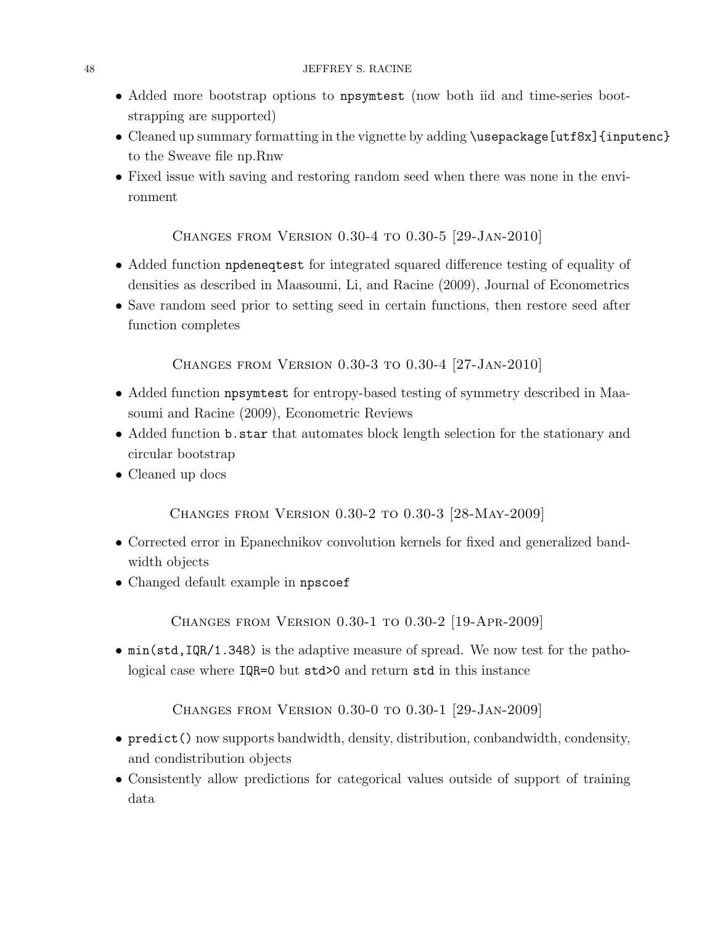- Added more bootstrap options to npsymtest (now both iid and time-series bootstrapping are supported)
- Cleaned up summary formatting in the vignette by adding \usepackage[utf8x] {inputenc} to the Sweave file np.Rnw
- Fixed issue with saving and restoring random seed when there was none in the environment

# <span id="page-47-0"></span>Changes from Version 0.30-4 to 0.30-5 [29-Jan-2010]

- Added function npdeneqtest for integrated squared difference testing of equality of densities as described in Maasoumi, Li, and Racine (2009), Journal of Econometrics
- Save random seed prior to setting seed in certain functions, then restore seed after function completes

<span id="page-47-1"></span>Changes from Version 0.30-3 to 0.30-4 [27-Jan-2010]

- Added function npsymtest for entropy-based testing of symmetry described in Maasoumi and Racine (2009), Econometric Reviews
- Added function b.star that automates block length selection for the stationary and circular bootstrap
- Cleaned up docs

<span id="page-47-2"></span>Changes from Version 0.30-2 to 0.30-3 [28-May-2009]

- Corrected error in Epanechnikov convolution kernels for fixed and generalized bandwidth objects
- Changed default example in npscoef

<span id="page-47-3"></span>Changes from Version 0.30-1 to 0.30-2 [19-Apr-2009]

• min(std,IQR/1.348) is the adaptive measure of spread. We now test for the pathological case where IQR=0 but std>0 and return std in this instance

<span id="page-47-4"></span>Changes from Version 0.30-0 to 0.30-1 [29-Jan-2009]

- predict() now supports bandwidth, density, distribution, conbandwidth, condensity, and condistribution objects
- Consistently allow predictions for categorical values outside of support of training data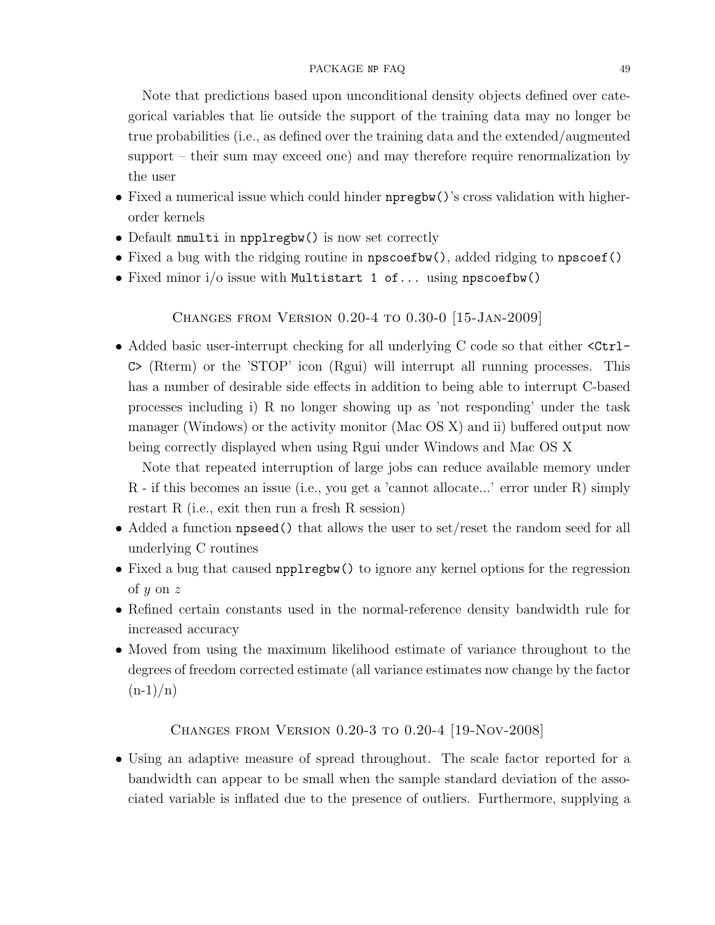Note that predictions based upon unconditional density objects defined over categorical variables that lie outside the support of the training data may no longer be true probabilities (i.e., as defined over the training data and the extended/augmented support – their sum may exceed one) and may therefore require renormalization by the user

- Fixed a numerical issue which could hinder npregbw()'s cross validation with higherorder kernels
- Default nmulti in npplregbw() is now set correctly
- Fixed a bug with the ridging routine in npscoefbw(), added ridging to npscoef()
- Fixed minor  $i/\sigma$  issue with Multistart 1 of... using npscoefbw()

<span id="page-48-0"></span>Changes from Version 0.20-4 to 0.30-0 [15-Jan-2009]

• Added basic user-interrupt checking for all underlying C code so that either  $\text{Ctrl}-$ C> (Rterm) or the 'STOP' icon (Rgui) will interrupt all running processes. This has a number of desirable side effects in addition to being able to interrupt C-based processes including i) R no longer showing up as 'not responding' under the task manager (Windows) or the activity monitor (Mac OS X) and ii) buffered output now being correctly displayed when using Rgui under Windows and Mac OS X

Note that repeated interruption of large jobs can reduce available memory under R - if this becomes an issue (i.e., you get a 'cannot allocate...' error under R) simply restart R (i.e., exit then run a fresh R session)

- Added a function **npseed**() that allows the user to set/reset the random seed for all underlying C routines
- Fixed a bug that caused npplregbw() to ignore any kernel options for the regression of  $y$  on  $z$
- Refined certain constants used in the normal-reference density bandwidth rule for increased accuracy
- Moved from using the maximum likelihood estimate of variance throughout to the degrees of freedom corrected estimate (all variance estimates now change by the factor  $(n-1)/n$

<span id="page-48-1"></span>Changes from Version 0.20-3 to 0.20-4 [19-Nov-2008]

• Using an adaptive measure of spread throughout. The scale factor reported for a bandwidth can appear to be small when the sample standard deviation of the associated variable is inflated due to the presence of outliers. Furthermore, supplying a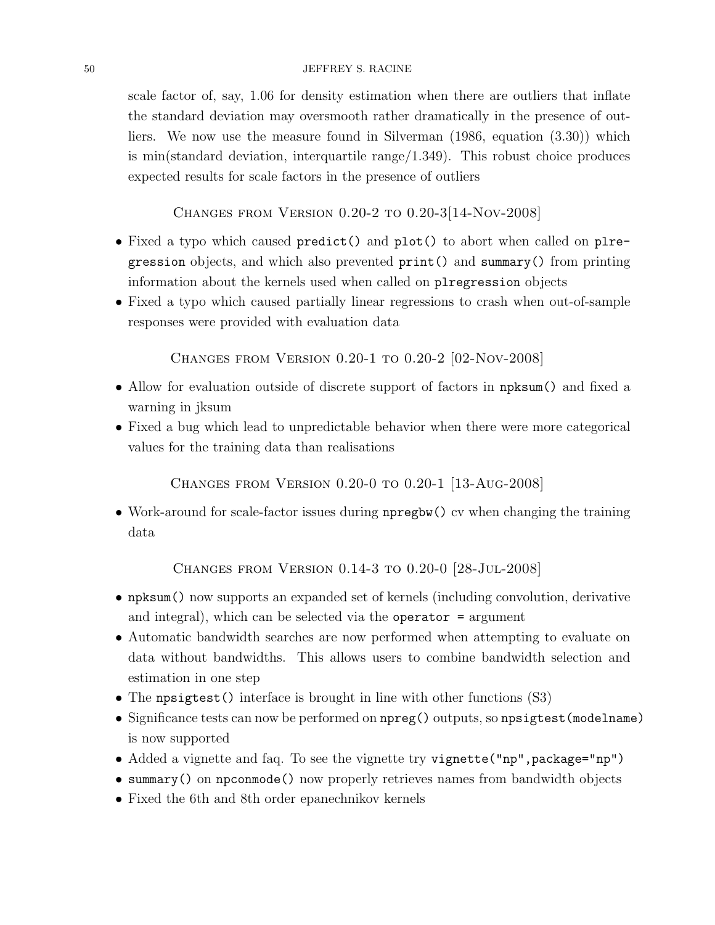### 50 JEFFREY S. RACINE

scale factor of, say, 1.06 for density estimation when there are outliers that inflate the standard deviation may oversmooth rather dramatically in the presence of outliers. We now use the measure found in Silverman (1986, equation (3.30)) which is min(standard deviation, interquartile range/1.349). This robust choice produces expected results for scale factors in the presence of outliers

<span id="page-49-0"></span>Changes from Version 0.20-2 to 0.20-3[14-Nov-2008]

- Fixed a typo which caused predict() and plot() to abort when called on plregression objects, and which also prevented print() and summary() from printing information about the kernels used when called on plregression objects
- Fixed a typo which caused partially linear regressions to crash when out-of-sample responses were provided with evaluation data

<span id="page-49-1"></span>Changes from Version 0.20-1 to 0.20-2 [02-Nov-2008]

- Allow for evaluation outside of discrete support of factors in npksum() and fixed a warning in jksum
- Fixed a bug which lead to unpredictable behavior when there were more categorical values for the training data than realisations

<span id="page-49-2"></span>Changes from Version 0.20-0 to 0.20-1 [13-Aug-2008]

• Work-around for scale-factor issues during noting to contract the training the training data

<span id="page-49-3"></span>Changes from Version 0.14-3 to 0.20-0 [28-Jul-2008]

- npksum() now supports an expanded set of kernels (including convolution, derivative and integral), which can be selected via the operator  $=$  argument
- Automatic bandwidth searches are now performed when attempting to evaluate on data without bandwidths. This allows users to combine bandwidth selection and estimation in one step
- The npsigtest () interface is brought in line with other functions (S3)
- Significance tests can now be performed on  $npreg()$  outputs, so  $npsigtest(modelname)$ is now supported
- Added a vignette and faq. To see the vignette try vignette ("np", package="np")
- summary() on npconmode() now properly retrieves names from bandwidth objects
- Fixed the 6th and 8th order epanechnikov kernels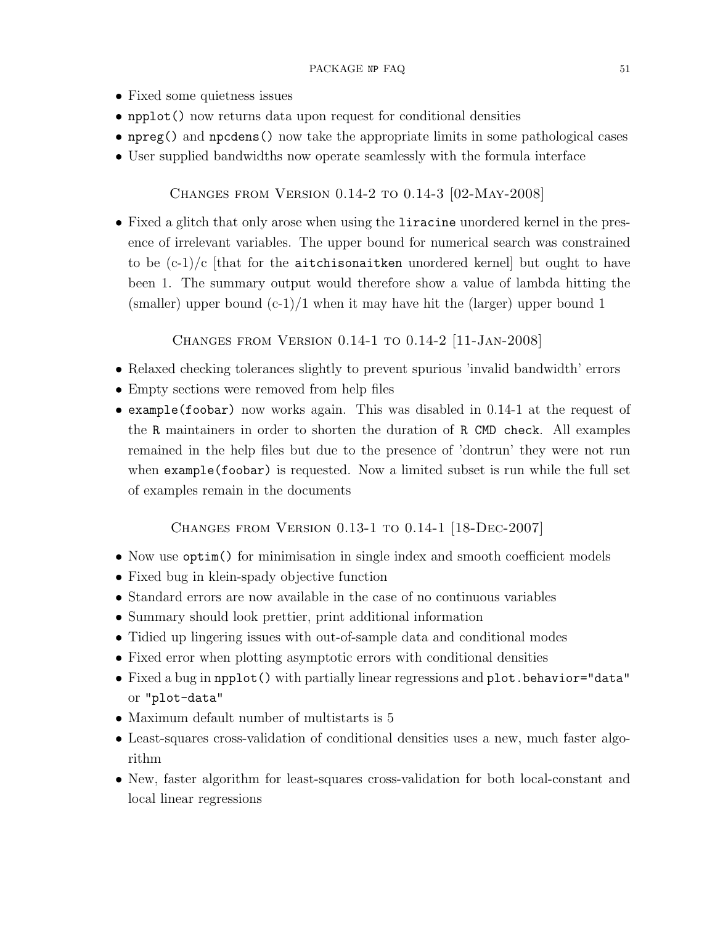- Fixed some quietness issues
- npplot() now returns data upon request for conditional densities
- npreg() and npcdens() now take the appropriate limits in some pathological cases
- User supplied bandwidths now operate seamlessly with the formula interface

<span id="page-50-0"></span>Changes from Version 0.14-2 to 0.14-3 [02-May-2008]

• Fixed a glitch that only arose when using the liracine unordered kernel in the presence of irrelevant variables. The upper bound for numerical search was constrained to be  $(c-1)/c$  [that for the aitchisonaitken unordered kernel] but ought to have been 1. The summary output would therefore show a value of lambda hitting the (smaller) upper bound  $(c-1)/1$  when it may have hit the (larger) upper bound 1

<span id="page-50-1"></span>Changes from Version 0.14-1 to 0.14-2 [11-Jan-2008]

- Relaxed checking tolerances slightly to prevent spurious 'invalid bandwidth' errors
- Empty sections were removed from help files
- example(foobar) now works again. This was disabled in 0.14-1 at the request of the R maintainers in order to shorten the duration of R CMD check. All examples remained in the help files but due to the presence of 'dontrun' they were not run when example(foobar) is requested. Now a limited subset is run while the full set of examples remain in the documents

## <span id="page-50-2"></span>Changes from Version 0.13-1 to 0.14-1 [18-Dec-2007]

- Now use  $\text{optim}()$  for minimisation in single index and smooth coefficient models
- Fixed bug in klein-spady objective function
- Standard errors are now available in the case of no continuous variables
- Summary should look prettier, print additional information
- Tidied up lingering issues with out-of-sample data and conditional modes
- Fixed error when plotting asymptotic errors with conditional densities
- Fixed a bug in npplot() with partially linear regressions and plot.behavior="data" or "plot-data"
- Maximum default number of multistarts is 5
- Least-squares cross-validation of conditional densities uses a new, much faster algorithm
- New, faster algorithm for least-squares cross-validation for both local-constant and local linear regressions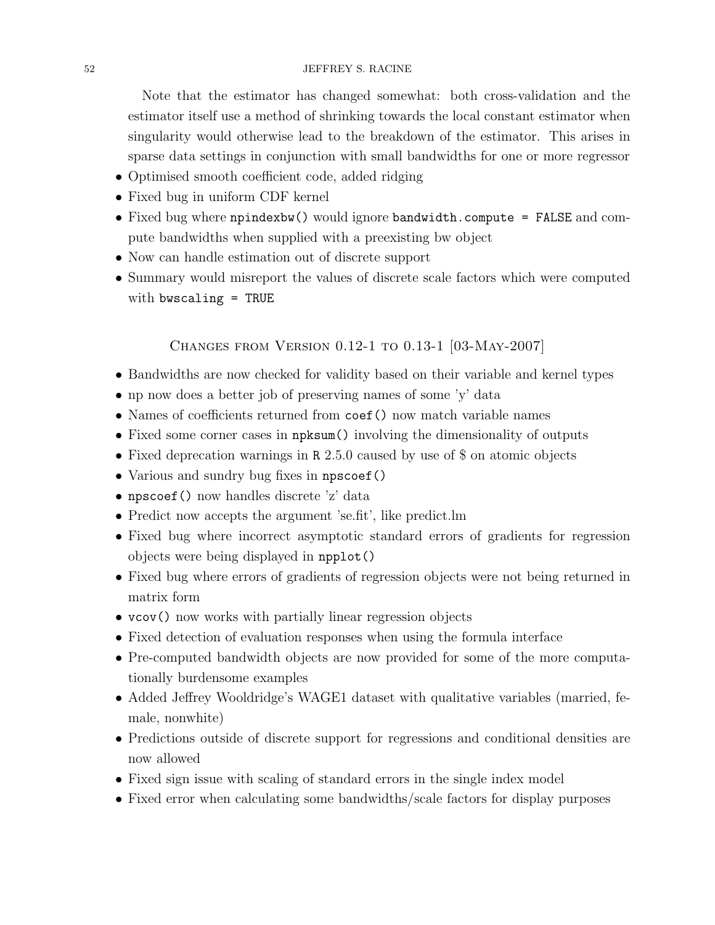### 52 JEFFREY S. RACINE

Note that the estimator has changed somewhat: both cross-validation and the estimator itself use a method of shrinking towards the local constant estimator when singularity would otherwise lead to the breakdown of the estimator. This arises in sparse data settings in conjunction with small bandwidths for one or more regressor

- Optimised smooth coefficient code, added ridging
- Fixed bug in uniform CDF kernel
- Fixed bug where npindexbw() would ignore bandwidth.compute = FALSE and compute bandwidths when supplied with a preexisting bw object
- Now can handle estimation out of discrete support
- Summary would misreport the values of discrete scale factors which were computed with bwscaling = TRUE

## <span id="page-51-0"></span>Changes from Version 0.12-1 to 0.13-1 [03-May-2007]

- Bandwidths are now checked for validity based on their variable and kernel types
- np now does a better job of preserving names of some 'y' data
- Names of coefficients returned from coef () now match variable names
- Fixed some corner cases in  $npksum()$  involving the dimensionality of outputs
- Fixed deprecation warnings in R 2.5.0 caused by use of \$ on atomic objects
- Various and sundry bug fixes in npscoef()
- npscoef() now handles discrete 'z' data
- Predict now accepts the argument 'se.fit', like predict.lm
- Fixed bug where incorrect asymptotic standard errors of gradients for regression objects were being displayed in npplot()
- Fixed bug where errors of gradients of regression objects were not being returned in matrix form
- vcov() now works with partially linear regression objects
- Fixed detection of evaluation responses when using the formula interface
- Pre-computed bandwidth objects are now provided for some of the more computationally burdensome examples
- Added Jeffrey Wooldridge's WAGE1 dataset with qualitative variables (married, female, nonwhite)
- Predictions outside of discrete support for regressions and conditional densities are now allowed
- Fixed sign issue with scaling of standard errors in the single index model
- Fixed error when calculating some bandwidths/scale factors for display purposes